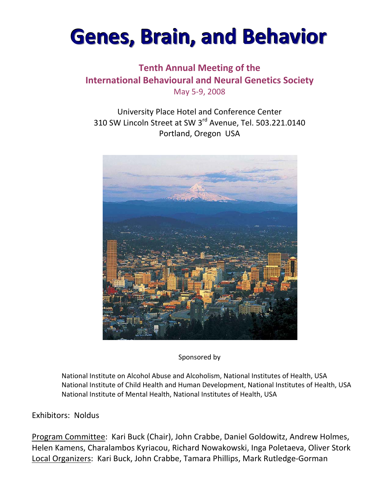# **Genes, Brain, and Behavior**

## **Tenth Annual Meeting of the International Behavioural and Neural Genetics Society** May 5‐9, 2008

University Place Hotel and Conference Center 310 SW Lincoln Street at SW 3rd Avenue, Tel. 503.221.0140 Portland, Oregon USA



Sponsored by

 National Institute on Alcohol Abuse and Alcoholism, National Institutes of Health, USA National Institute of Child Health and Human Development, National Institutes of Health, USA National Institute of Mental Health, National Institutes of Health, USA

## Exhibitors: Noldus

Program Committee: Kari Buck (Chair), John Crabbe, Daniel Goldowitz, Andrew Holmes, Helen Kamens, Charalambos Kyriacou, Richard Nowakowski, Inga Poletaeva, Oliver Stork Local Organizers: Kari Buck, John Crabbe, Tamara Phillips, Mark Rutledge‐Gorman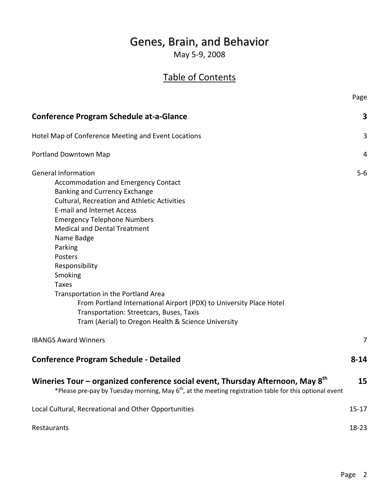## Genes, Brain, and Behavior

May 5‐9, 2008

## Table of Contents

|                                                                                                                                                                                                                                                                                                                                                                                                                                                                                                                                                                                      | Page      |
|--------------------------------------------------------------------------------------------------------------------------------------------------------------------------------------------------------------------------------------------------------------------------------------------------------------------------------------------------------------------------------------------------------------------------------------------------------------------------------------------------------------------------------------------------------------------------------------|-----------|
| <b>Conference Program Schedule at-a-Glance</b>                                                                                                                                                                                                                                                                                                                                                                                                                                                                                                                                       | 3         |
| Hotel Map of Conference Meeting and Event Locations                                                                                                                                                                                                                                                                                                                                                                                                                                                                                                                                  | 3         |
| Portland Downtown Map                                                                                                                                                                                                                                                                                                                                                                                                                                                                                                                                                                | 4         |
| <b>General Information</b><br><b>Accommodation and Emergency Contact</b><br>Banking and Currency Exchange<br><b>Cultural, Recreation and Athletic Activities</b><br><b>E-mail and Internet Access</b><br><b>Emergency Telephone Numbers</b><br><b>Medical and Dental Treatment</b><br>Name Badge<br>Parking<br>Posters<br>Responsibility<br>Smoking<br><b>Taxes</b><br>Transportation in the Portland Area<br>From Portland International Airport (PDX) to University Place Hotel<br>Transportation: Streetcars, Buses, Taxis<br>Tram (Aerial) to Oregon Health & Science University | $5-6$     |
| <b>IBANGS Award Winners</b>                                                                                                                                                                                                                                                                                                                                                                                                                                                                                                                                                          | 7         |
| <b>Conference Program Schedule - Detailed</b>                                                                                                                                                                                                                                                                                                                                                                                                                                                                                                                                        | $8 - 14$  |
| Wineries Tour - organized conference social event, Thursday Afternoon, May 8 <sup>th</sup><br>*Please pre-pay by Tuesday morning, May 6 <sup>th</sup> , at the meeting registration table for this optional event                                                                                                                                                                                                                                                                                                                                                                    | 15        |
| Local Cultural, Recreational and Other Opportunities                                                                                                                                                                                                                                                                                                                                                                                                                                                                                                                                 | $15 - 17$ |
| Restaurants                                                                                                                                                                                                                                                                                                                                                                                                                                                                                                                                                                          | 18-23     |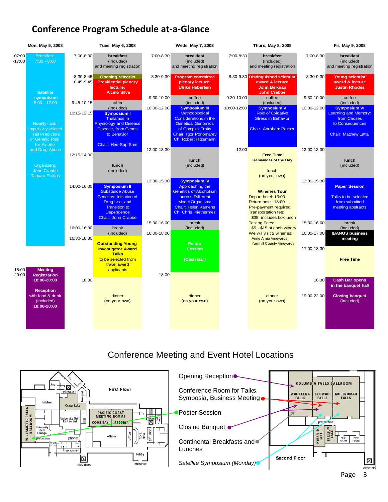## **Conference Program Schedule at‐a‐Glance**



## Conference Meeting and Event Hotel Locations

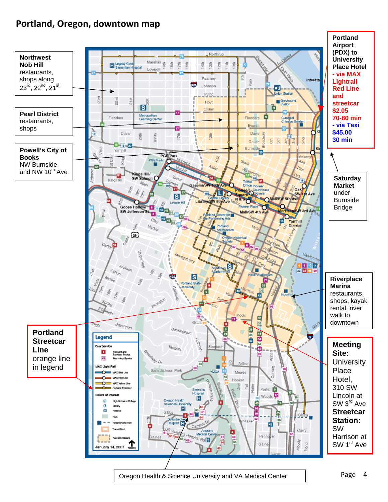## **Portland, Oregon, downtown map**



Oregon Health & Science University and VA Medical Center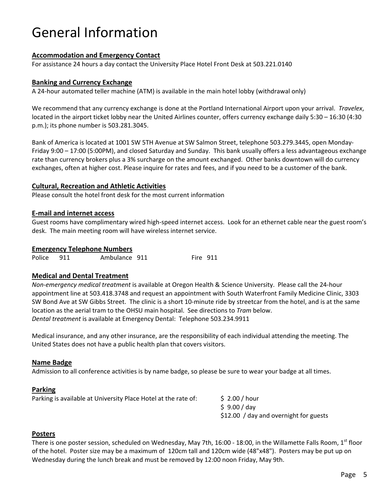## General Information

#### **Accommodation and Emergency Contact**

For assistance 24 hours a day contact the University Place Hotel Front Desk at 503.221.0140

#### **Banking and Currency Exchange**

A 24‐hour automated teller machine (ATM) is available in the main hotel lobby (withdrawal only)

We recommend that any currency exchange is done at the Portland International Airport upon your arrival. *Travelex*, located in the airport ticket lobby near the United Airlines counter, offers currency exchange daily 5:30 – 16:30 (4:30 p.m.); its phone number is 503.281.3045.

Bank of America is located at 1001 SW 5TH Avenue at SW Salmon Street, telephone 503.279.3445, open Monday‐ Friday 9:00 – 17:00 (5:00PM), and closed Saturday and Sunday. This bank usually offers a less advantageous exchange rate than currency brokers plus a 3% surcharge on the amount exchanged. Other banks downtown will do currency exchanges, often at higher cost. Please inquire for rates and fees, and if you need to be a customer of the bank.

#### **Cultural, Recreation and Athletic Activities**

Please consult the hotel front desk for the most current information

#### **E‐mail and internet access**

Guest rooms have complimentary wired high-speed internet access. Look for an ethernet cable near the guest room's desk. The main meeting room will have wireless internet service.

#### **Emergency Telephone Numbers**

Police 911 Ambulance 911 Fire 911

#### **Medical and Dental Treatment**

*Non‐emergency medical treatment* is available at Oregon Health & Science University. Please call the 24‐hour appointment line at 503.418.3748 and request an appointment with South Waterfront Family Medicine Clinic, 3303 SW Bond Ave at SW Gibbs Street. The clinic is a short 10‐minute ride by streetcar from the hotel, and is at the same location as the aerial tram to the OHSU main hospital. See directions to *Tram* below. *Dental treatment* is available at Emergency Dental: Telephone 503.234.9911

Medical insurance, and any other insurance, are the responsibility of each individual attending the meeting. The United States does not have a public health plan that covers visitors.

#### **Name Badge**

Admission to all conference activities is by name badge, so please be sure to wear your badge at all times.

#### **Parking**

| Parking is available at University Place Hotel at the rate of: | $\sim$ 2.00 / hour                     |
|----------------------------------------------------------------|----------------------------------------|
|                                                                | \$9.00/day                             |
|                                                                | \$12.00 / day and overnight for guests |

#### **Posters**

There is one poster session, scheduled on Wednesday, May 7th, 16:00 - 18:00, in the Willamette Falls Room, 1st floor of the hotel. Poster size may be a maximum of 120cm tall and 120cm wide (48"x48"). Posters may be put up on Wednesday during the lunch break and must be removed by 12:00 noon Friday, May 9th.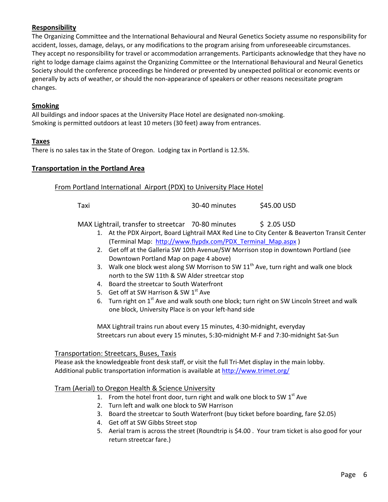#### **Responsibility**

The Organizing Committee and the International Behavioural and Neural Genetics Society assume no responsibility for accident, losses, damage, delays, or any modifications to the program arising from unforeseeable circumstances. They accept no responsibility for travel or accommodation arrangements. Participants acknowledge that they have no right to lodge damage claims against the Organizing Committee or the International Behavioural and Neural Genetics Society should the conference proceedings be hindered or prevented by unexpected political or economic events or generally by acts of weather, or should the non‐appearance of speakers or other reasons necessitate program changes.

#### **Smoking**

All buildings and indoor spaces at the University Place Hotel are designated non‐smoking. Smoking is permitted outdoors at least 10 meters (30 feet) away from entrances.

#### **Taxes**

There is no sales tax in the State of Oregon. Lodging tax in Portland is 12.5%.

#### **Transportation in the Portland Area**

#### From Portland International Airport (PDX) to University Place Hotel

Taxi 30‐40 minutes \$45.00 USD

MAX Lightrail, transfer to streetcar  $-70-80$  minutes  $\phantom{00}$  \$ 2.05 USD

- 1. At the PDX Airport, Board Lightrail MAX Red Line to City Center & Beaverton Transit Center (Terminal Map: http://www.flypdx.com/PDX\_Terminal\_Map.aspx)
- 2. Get off at the Galleria SW 10th Avenue/SW Morrison stop in downtown Portland (see Downtown Portland Map on page 4 above)
- 3. Walk one block west along SW Morrison to SW  $11<sup>th</sup>$  Ave, turn right and walk one block north to the SW 11th & SW Alder streetcar stop
- 4. Board the streetcar to South Waterfront
- 5. Get off at SW Harrison & SW  $1<sup>st</sup>$  Ave
- 6. Turn right on  $1<sup>st</sup>$  Ave and walk south one block; turn right on SW Lincoln Street and walk one block, University Place is on your left‐hand side

MAX Lightrail trains run about every 15 minutes, 4:30‐midnight, everyday Streetcars run about every 15 minutes, 5:30‐midnight M‐F and 7:30‐midnight Sat‐Sun

#### Transportation: Streetcars, Buses, Taxis

Please ask the knowledgeable front desk staff, or visit the full Tri-Met display in the main lobby. Additional public transportation information is available at http://www.trimet.org/

#### Tram (Aerial) to Oregon Health & Science University

- 1. From the hotel front door, turn right and walk one block to SW  $1<sup>st</sup>$  Ave
- 2. Turn left and walk one block to SW Harrison
- 3. Board the streetcar to South Waterfront (buy ticket before boarding, fare \$2.05)
- 4. Get off at SW Gibbs Street stop
- 5. Aerial tram is across the street (Roundtrip is \$4.00 . Your tram ticket is also good for your return streetcar fare.)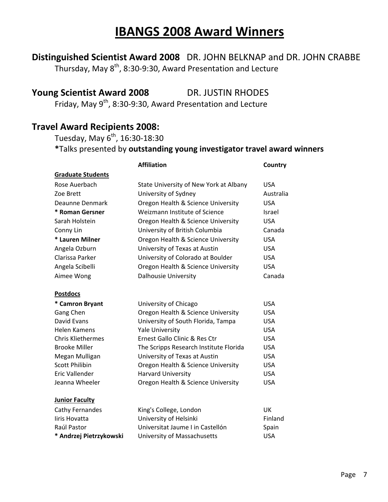## **IBANGS 2008 Award Winners**

**Distinguished Scientist Award 2008** DR. JOHN BELKNAP and DR. JOHN CRABBE

Thursday, May 8<sup>th</sup>, 8:30-9:30, Award Presentation and Lecture

## **Young Scientist Award 2008** DR. JUSTIN RHODES

Friday, May  $9^{th}$ , 8:30-9:30, Award Presentation and Lecture

## **Travel Award Recipients 2008:**

Tuesday, May  $6^{th}$ , 16:30-18:30 **\***Talks presented by **outstanding young investigator travel award winners**

| <b>Affiliation</b>       |                                        | Country    |
|--------------------------|----------------------------------------|------------|
| <b>Graduate Students</b> |                                        |            |
| Rose Auerbach            | State University of New York at Albany | <b>USA</b> |
| Zoe Brett                | University of Sydney                   | Australia  |
| Deaunne Denmark          | Oregon Health & Science University     | <b>USA</b> |
| * Roman Gersner          | Weizmann Institute of Science          | Israel     |
| Sarah Holstein           | Oregon Health & Science University     | <b>USA</b> |
| Conny Lin                | University of British Columbia         | Canada     |
| * Lauren Milner          | Oregon Health & Science University     | <b>USA</b> |
| Angela Ozburn            | University of Texas at Austin          | <b>USA</b> |
| Clarissa Parker          | University of Colorado at Boulder      | <b>USA</b> |
| Angela Scibelli          | Oregon Health & Science University     | <b>USA</b> |
| Aimee Wong               | <b>Dalhousie University</b>            | Canada     |
|                          |                                        |            |
| <b>Postdocs</b>          |                                        |            |
| * Camron Bryant          | University of Chicago                  | <b>USA</b> |
| Gang Chen                | Oregon Health & Science University     | <b>USA</b> |
| <b>David Evans</b>       | University of South Florida, Tampa     | <b>USA</b> |
| <b>Helen Kamens</b>      | <b>Yale University</b>                 | <b>USA</b> |
| <b>Chris Kliethermes</b> | Ernest Gallo Clinic & Res Ctr          | <b>USA</b> |
| <b>Brooke Miller</b>     | The Scripps Research Institute Florida | <b>USA</b> |
| Megan Mulligan           | University of Texas at Austin          | <b>USA</b> |
| <b>Scott Philibin</b>    | Oregon Health & Science University     | <b>USA</b> |
| Eric Vallender           | <b>Harvard University</b>              | <b>USA</b> |
| Jeanna Wheeler           | Oregon Health & Science University     | <b>USA</b> |
| <b>Junior Faculty</b>    |                                        |            |
| Cathy Fernandes          | King's College, London                 | <b>UK</b>  |
| liris Hovatta            | University of Helsinki                 | Finland    |
| Raúl Pastor              | Universitat Jaume I in Castellón       | Spain      |
| * Andrzej Pietrzykowski  | University of Massachusetts            | <b>USA</b> |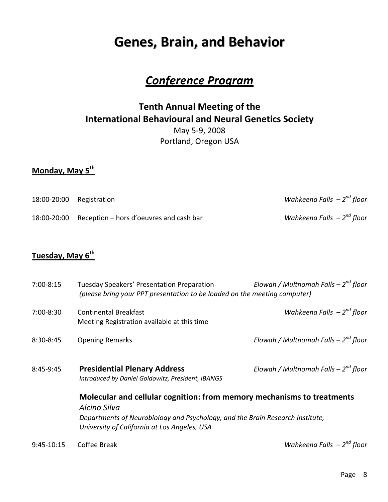## **Genes, Brain, and Behavior**

## *Conference Program*

## **Tenth Annual Meeting of the International Behavioural and Neural Genetics Society** May 5‐9, 2008 Portland, Oregon USA

## **Monday, May 5th**

| 18:00-20:00 Registration                            | Wahkeena Falls $-2^{nd}$ floor |
|-----------------------------------------------------|--------------------------------|
| 18:00-20:00 Reception – hors d'oeuvres and cash bar | Wahkeena Falls $-2^{nd}$ floor |

## **Tuesday, May 6th**

| $7:00-8:15$ | Tuesday Speakers' Presentation Preparation<br>(please bring your PPT presentation to be loaded on the meeting computer)       | Elowah / Multnomah Falls - $2^{nd}$ floor |
|-------------|-------------------------------------------------------------------------------------------------------------------------------|-------------------------------------------|
| 7:00-8:30   | <b>Continental Breakfast</b><br>Meeting Registration available at this time                                                   | Wahkeena Falls $-2^{nd}$ floor            |
| 8:30-8:45   | <b>Opening Remarks</b>                                                                                                        | Elowah / Multnomah Falls - $2^{nd}$ floor |
| 8:45-9:45   | <b>Presidential Plenary Address</b><br>Introduced by Daniel Goldowitz, President, IBANGS                                      | Elowah / Multnomah Falls - $2^{nd}$ floor |
|             | Molecular and cellular cognition: from memory mechanisms to treatments<br>Alcino Silva                                        |                                           |
|             | Departments of Neurobiology and Psychology, and the Brain Research Institute,<br>University of California at Los Angeles, USA |                                           |
| 9:45-10:15  | Coffee Break                                                                                                                  | Wahkeena Falls $-2^{nd}$ floor            |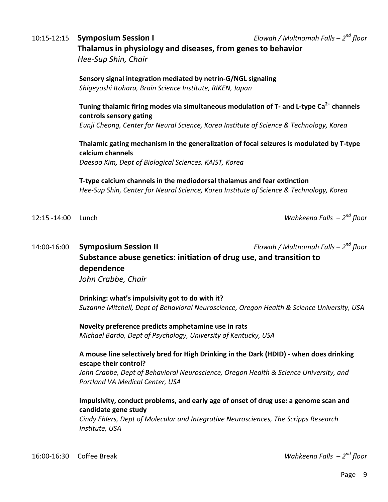## 10:15‐12:15 **Symposium Session I** *Elowah / Multnomah Falls – 2nd floor* **Thalamus in physiology and diseases, from genes to behavior**

 *Hee‐Sup Shin, Chair*

**Sensory signal integration mediated by netrin‐G/NGL signaling** *Shigeyoshi Itohara, Brain Science Institute, RIKEN, Japan*

## **Tuning thalamic firing modes via simultaneous modulation of T‐ and L‐type Ca2+ channels controls sensory gating**

*Eunji Cheong, Center for Neural Science, Korea Institute of Science & Technology, Korea*

**Thalamic gating mechanism in the generalization of focal seizures is modulated by T‐type calcium channels**

*Daesoo Kim, Dept of Biological Sciences, KAIST, Korea*

**T‐type calcium channels in the mediodorsal thalamus and fear extinction** *Hee‐Sup Shin, Center for Neural Science, Korea Institute of Science & Technology, Korea*

12:15 ‐14:00 Lunch *Wahkeena Falls – 2nd floor*

## 14:00‐16:00 **Symposium Session II** *Elowah / Multnomah Falls – 2nd floor* **Substance abuse genetics: initiation of drug use, and transition to dependence**

*John Crabbe, Chair*

**Drinking: what's impulsivity got to do with it?** *Suzanne Mitchell, Dept of Behavioral Neuroscience, Oregon Health & Science University, USA*

**Novelty preference predicts amphetamine use in rats** *Michael Bardo, Dept of Psychology, University of Kentucky, USA*

#### **A mouse line selectively bred for High Drinking in the Dark (HDID) ‐ when does drinking escape their control?**

*John Crabbe, Dept of Behavioral Neuroscience, Oregon Health & Science University, and Portland VA Medical Center, USA*

#### **Impulsivity, conduct problems, and early age of onset of drug use: a genome scan and candidate gene study**

*Cindy Ehlers, Dept of Molecular and Integrative Neurosciences, The Scripps Research Institute, USA*

16:00‐16:30 Coffee Break *Wahkeena Falls – 2nd floor*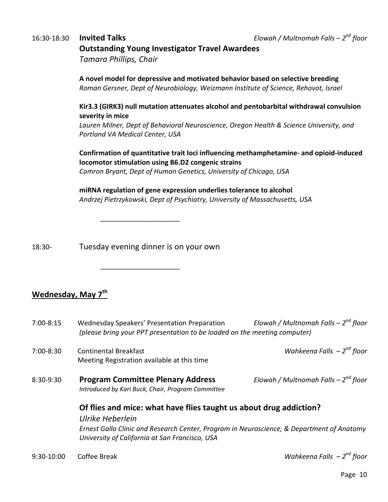## 16:30‐18:30 **Invited Talks** *Elowah / Multnomah Falls – 2nd floor* **Outstanding Young Investigator Travel Awardees**

*Tamara Phillips, Chair*

**A novel model for depressive and motivated behavior based on selective breeding** *Roman Gersner, Dept of Neurobiology, Weizmann Institute of Science, Rehovot, Israel*

### **Kir3.3 (GIRK3) null mutation attenuates alcohol and pentobarbital withdrawal convulsion severity in mice**

*Lauren Milner, Dept of Behavioral Neuroscience, Oregon Health & Science University, and Portland VA Medical Center, USA*

### **Confirmation of quantitative trait loci influencing methamphetamine‐ and opioid‐induced locomotor stimulation using B6.D2 congenic strains**

*Camron Bryant, Dept of Human Genetics, University of Chicago, USA*

**miRNA regulation of gene expression underlies tolerance to alcohol** *Andrzej Pietrzykowski, Dept of Psychiatry, University of Massachusetts, USA*

 $\overline{\phantom{a}}$  , and the contract of the contract of the contract of the contract of the contract of the contract of the contract of the contract of the contract of the contract of the contract of the contract of the contrac

18:30‐ Tuesday evening dinner is on your own

 $\overline{\phantom{a}}$  , and the contract of the contract of the contract of the contract of the contract of the contract of the contract of the contract of the contract of the contract of the contract of the contract of the contrac

## **Wednesday, May 7th**

| 7:00-8:15 | Wednesday Speakers' Presentation Preparation<br>(please bring your PPT presentation to be loaded on the meeting computer)                                                                                                             | Elowah / Multnomah Falls - $2^{nd}$ floor |
|-----------|---------------------------------------------------------------------------------------------------------------------------------------------------------------------------------------------------------------------------------------|-------------------------------------------|
| 7:00-8:30 | <b>Continental Breakfast</b><br>Meeting Registration available at this time                                                                                                                                                           | Wahkeena Falls $-2^{nd}$ floor            |
| 8:30-9:30 | <b>Program Committee Plenary Address</b><br>Introduced by Kari Buck, Chair, Program Committee                                                                                                                                         | Elowah / Multnomah Falls - $2^{nd}$ floor |
|           | Of flies and mice: what have flies taught us about drug addiction?<br>Ulrike Heberlein<br>Ernest Gallo Clinic and Research Center, Program in Neuroscience, & Department of Anatomy<br>University of California at San Francisco, USA |                                           |
|           |                                                                                                                                                                                                                                       |                                           |

9:30‐10:00 Coffee Break *Wahkeena Falls – 2nd floor*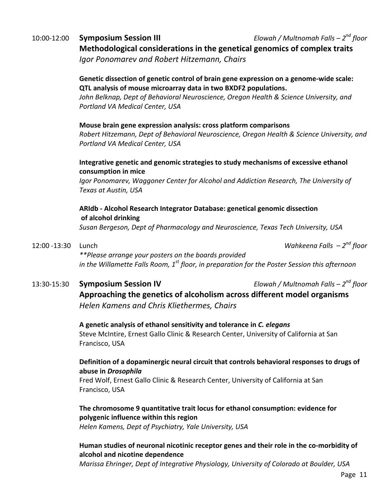## 10:00‐12:00 **Symposium Session III** *Elowah / Multnomah Falls – 2nd floor* **Methodological considerations in the genetical genomics of complex traits**

*Igor Ponomarev and Robert Hitzemann, Chairs*

### **Genetic dissection of genetic control of brain gene expression on a genome‐wide scale: QTL analysis of mouse microarray data in two BXDF2 populations.**

*John Belknap, Dept of Behavioral Neuroscience, Oregon Health & Science University, and Portland VA Medical Center, USA*

#### **Mouse brain gene expression analysis: cross platform comparisons**

*Robert Hitzemann, Dept of Behavioral Neuroscience, Oregon Health & Science University, and Portland VA Medical Center, USA*

### **Integrative genetic and genomic strategies to study mechanisms of excessive ethanol consumption in mice**

*Igor Ponomarev, Waggoner Center for Alcohol and Addiction Research, The University of Texas at Austin, USA*

### **ARIdb ‐ Alcohol Research Integrator Database: genetical genomic dissection of alcohol drinking**

*Susan Bergeson, Dept of Pharmacology and Neuroscience, Texas Tech University, USA*

12:00 ‐13:30 Lunch *Wahkeena Falls – 2nd floor*

*\*\*Please arrange your posters on the boards provided in the Willamette Falls Room, 1st floor, in preparation for the Poster Session this afternoon*

## 13:30‐15:30 **Symposium Session IV** *Elowah / Multnomah Falls – 2nd floor*

**Approaching the genetics of alcoholism across different model organisms** *Helen Kamens and Chris Kliethermes, Chairs*

## **A genetic analysis of ethanol sensitivity and tolerance in** *C. elegans* Steve McIntire, Ernest Gallo Clinic & Research Center, University of California at San Francisco, USA

## **Definition of a dopaminergic neural circuit that controls behavioral responses to drugs of abuse in** *Drosophila*

Fred Wolf, Ernest Gallo Clinic & Research Center, University of California at San Francisco, USA

## **The chromosome 9 quantitative trait locus for ethanol consumption: evidence for polygenic influence within this region**

*Helen Kamens, Dept of Psychiatry, Yale University, USA*

## **Human studies of neuronal nicotinic receptor genes and their role in the co‐morbidity of alcohol and nicotine dependence**

*Marissa Ehringer, Dept of Integrative Physiology, University of Colorado at Boulder, USA*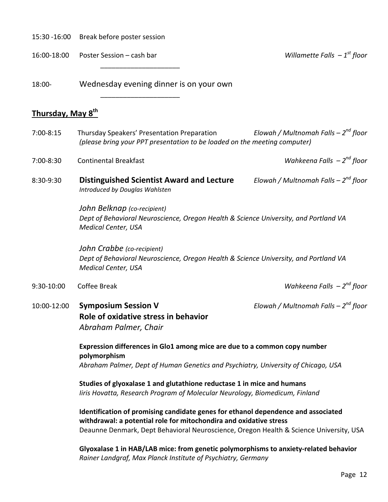15:30 ‐16:00 Break before poster session

16:00‐18:00 Poster Session – cash bar *Willamette Falls – 1st floor*

 $\overline{\phantom{a}}$  ,  $\overline{\phantom{a}}$  ,  $\overline{\phantom{a}}$  ,  $\overline{\phantom{a}}$  ,  $\overline{\phantom{a}}$  ,  $\overline{\phantom{a}}$  ,  $\overline{\phantom{a}}$  ,  $\overline{\phantom{a}}$  ,  $\overline{\phantom{a}}$  ,  $\overline{\phantom{a}}$  ,  $\overline{\phantom{a}}$  ,  $\overline{\phantom{a}}$  ,  $\overline{\phantom{a}}$  ,  $\overline{\phantom{a}}$  ,  $\overline{\phantom{a}}$  ,  $\overline{\phantom{a}}$ 

 $\overline{\phantom{a}}$  ,  $\overline{\phantom{a}}$  ,  $\overline{\phantom{a}}$  ,  $\overline{\phantom{a}}$  ,  $\overline{\phantom{a}}$  ,  $\overline{\phantom{a}}$  ,  $\overline{\phantom{a}}$  ,  $\overline{\phantom{a}}$  ,  $\overline{\phantom{a}}$  ,  $\overline{\phantom{a}}$  ,  $\overline{\phantom{a}}$  ,  $\overline{\phantom{a}}$  ,  $\overline{\phantom{a}}$  ,  $\overline{\phantom{a}}$  ,  $\overline{\phantom{a}}$  ,  $\overline{\phantom{a}}$ 

18:00‐ Wednesday evening dinner is on your own

## **Thursday, May 8th**

7:00‐8:15 Thursday Speakers' Presentation Preparation *Elowah / Multnomah Falls – 2nd floor (please bring your PPT presentation to be loaded on the meeting computer)*

7:00‐8:30 Continental Breakfast *Wahkeena Falls – 2nd floor*

8:30‐9:30 **Distinguished Scientist Award and Lecture** *Elowah / Multnomah Falls – 2nd floor Introduced by Douglas Wahlsten*

> *John Belknap (co‐recipient) Dept of Behavioral Neuroscience, Oregon Health & Science University, and Portland VA Medical Center, USA*

> *John Crabbe (co‐recipient) Dept of Behavioral Neuroscience, Oregon Health & Science University, and Portland VA Medical Center, USA*

- 9:30‐10:00 Coffee Break *Wahkeena Falls – 2nd floor*
- 10:00‐12:00 **Symposium Session V** *Elowah / Multnomah Falls – 2nd floor* **Role of oxidative stress in behavior** *Abraham Palmer, Chair*

**Expression differences in Glo1 among mice are due to a common copy number polymorphism** *Abraham Palmer, Dept of Human Genetics and Psychiatry, University of Chicago, USA*

**Studies of glyoxalase 1 and glutathione reductase 1 in mice and humans** *Iiris Hovatta, Research Program of Molecular Neurology, Biomedicum, Finland*

**Identification of promising candidate genes for ethanol dependence and associated withdrawal: a potential role for mitochondira and oxidative stress** Deaunne Denmark, Dept Behavioral Neuroscience, Oregon Health & Science University, USA

**Glyoxalase 1 in HAB/LAB mice: from genetic polymorphisms to anxiety‐related behavior** *Rainer Landgraf, Max Planck Institute of Psychiatry, Germany*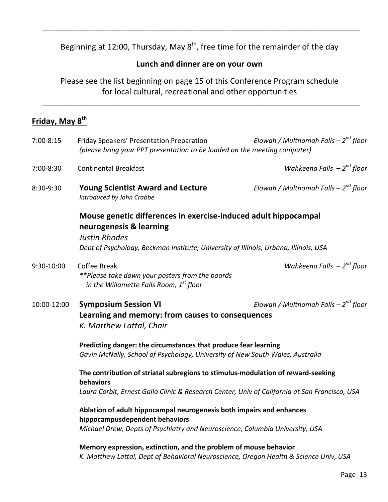Beginning at 12:00, Thursday, May  $8^{th}$ , free time for the remainder of the day

\_\_\_\_\_\_\_\_\_\_\_\_\_\_\_\_\_\_\_\_\_\_\_\_\_\_\_\_\_\_\_\_\_\_\_\_\_\_\_\_\_\_\_\_\_\_\_\_\_\_\_\_\_\_\_\_\_\_\_\_\_\_\_\_\_\_\_\_\_\_\_\_\_\_\_\_\_\_\_\_\_\_\_\_

## **Lunch and dinner are on your own**

Please see the list beginning on page 15 of this Conference Program schedule for local cultural, recreational and other opportunities

\_\_\_\_\_\_\_\_\_\_\_\_\_\_\_\_\_\_\_\_\_\_\_\_\_\_\_\_\_\_\_\_\_\_\_\_\_\_\_\_\_\_\_\_\_\_\_\_\_\_\_\_\_\_\_\_\_\_\_\_\_\_\_\_\_\_\_\_\_\_\_\_\_\_\_\_\_\_\_\_\_\_\_\_

## **Friday, May 8th**

| 7:00-8:15   | Friday Speakers' Presentation Preparation<br>(please bring your PPT presentation to be loaded on the meeting computer)                                                                                     | Elowah / Multnomah Falls - $2^{nd}$ floor |
|-------------|------------------------------------------------------------------------------------------------------------------------------------------------------------------------------------------------------------|-------------------------------------------|
| 7:00-8:30   | <b>Continental Breakfast</b>                                                                                                                                                                               | Wahkeena Falls $-2^{nd}$ floor            |
| 8:30-9:30   | <b>Young Scientist Award and Lecture</b><br>Introduced by John Crabbe                                                                                                                                      | Elowah / Multnomah Falls - $2^{nd}$ floor |
|             | Mouse genetic differences in exercise-induced adult hippocampal<br>neurogenesis & learning<br><b>Justin Rhodes</b><br>Dept of Psychology, Beckman Institute, University of Illinois, Urbana, Illinois, USA |                                           |
| 9:30-10:00  | <b>Coffee Break</b><br>**Please take down your posters from the boards<br>in the Willamette Falls Room, $1st$ floor                                                                                        | Wahkeena Falls $-2^{nd}$ floor            |
| 10:00-12:00 | <b>Symposium Session VI</b><br>Learning and memory: from causes to consequences<br>K. Matthew Lattal, Chair                                                                                                | Elowah / Multnomah Falls - $2^{nd}$ floor |
|             | Predicting danger: the circumstances that produce fear learning<br>Gavin McNally, School of Psychology, University of New South Wales, Australia                                                           |                                           |
|             | The contribution of striatal subregions to stimulus-modulation of reward-seeking<br>behaviors<br>Laura Corbit, Ernest Gallo Clinic & Research Center, Univ of California at San Francisco, USA             |                                           |
|             | Ablation of adult hippocampal neurogenesis both impairs and enhances<br>hippocampusdependent behaviors<br>Michael Drew, Depts of Psychiatry and Neuroscience, Columbia University, USA                     |                                           |
|             | Memory expression, extinction, and the problem of mouse behavior<br>K. Matthew Lattal, Dept of Behavioral Neuroscience, Oregon Health & Science Univ, USA                                                  |                                           |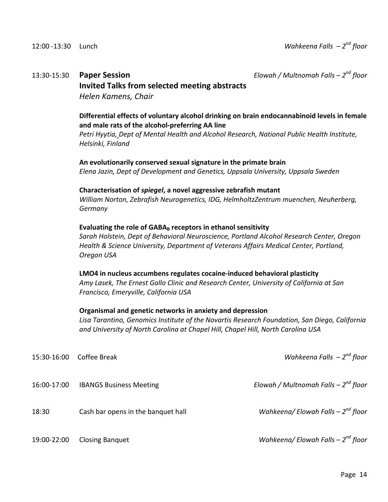## 13:30‐15:30 **Paper Session** *Elowah / Multnomah Falls – 2nd floor*

### **Invited Talks from selected meeting abstracts**

*Helen Kamens, Chair*

#### **Differential effects of voluntary alcohol drinking on brain endocannabinoid levels in female and male rats of the alcohol‐preferring AA line**

*Petri Hyytia, Dept of Mental Health and Alcohol Research, National Public Health Institute, Helsinki, Finland*

**An evolutionarily conserved sexual signature in the primate brain** *Elena Jazin, Dept of Development and Genetics, Uppsala University, Uppsala Sweden* 

#### **Characterisation of** *spiegel***, a novel aggressive zebrafish mutant**

*William Norton, Zebrafish Neurogenetics, IDG, HelmholtzZentrum muenchen, Neuherberg, Germany*

#### **Evaluating the role of GABAB receptors in ethanol sensitivity**

*Sarah Holstein, Dept of Behavioral Neuroscience, Portland Alcohol Research Center, Oregon Health & Science University, Department of Veterans Affairs Medical Center, Portland, Oregon USA*

#### **LMO4 in nucleus accumbens regulates cocaine‐induced behavioral plasticity**

*Amy Lasek, The Ernest Gallo Clinic and Research Center, University of California at San Francisco, Emeryville, California USA*

#### **Organismal and genetic networks in anxiety and depression**

*Lisa Tarantino, Genomics Institute of the Novartis Research Foundation, San Diego, California and University of North Carolina at Chapel Hill, Chapel Hill, North Carolina USA* 

| 15:30-16:00 | Coffee Break                       | Wahkeena Falls $-2^{nd}$ floor            |
|-------------|------------------------------------|-------------------------------------------|
| 16:00-17:00 | <b>IBANGS Business Meeting</b>     | Elowah / Multnomah Falls - $2^{nd}$ floor |
| 18:30       | Cash bar opens in the banquet hall | Wahkeena/ Elowah Falls $-2^{nd}$ floor    |
| 19:00-22:00 | <b>Closing Banquet</b>             | Wahkeena/ Elowah Falls $-2^{nd}$ floor    |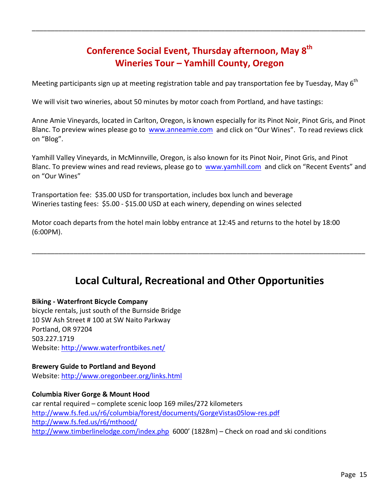## **Conference Social Event, Thursday afternoon, May 8th Wineries Tour – Yamhill County, Oregon**

\_\_\_\_\_\_\_\_\_\_\_\_\_\_\_\_\_\_\_\_\_\_\_\_\_\_\_\_\_\_\_\_\_\_\_\_\_\_\_\_\_\_\_\_\_\_\_\_\_\_\_\_\_\_\_\_\_\_\_\_\_\_\_\_\_\_\_\_\_\_\_\_\_\_\_\_\_\_\_\_\_\_\_\_\_\_\_\_

Meeting participants sign up at meeting registration table and pay transportation fee by Tuesday, May  $6<sup>th</sup>$ 

We will visit two wineries, about 50 minutes by motor coach from Portland, and have tastings:

Anne Amie Vineyards, located in Carlton, Oregon, is known especially for its Pinot Noir, Pinot Gris, and Pinot Blanc. To preview wines please go to www.anneamie.com and click on "Our Wines". To read reviews click on "Blog".

Yamhill Valley Vineyards, in McMinnville, Oregon, is also known for its Pinot Noir, Pinot Gris, and Pinot Blanc. To preview wines and read reviews, please go to www.yamhill.com and click on "Recent Events" and on "Our Wines"

Transportation fee: \$35.00 USD for transportation, includes box lunch and beverage Wineries tasting fees: \$5.00 - \$15.00 USD at each winery, depending on wines selected

Motor coach departs from the hotel main lobby entrance at 12:45 and returns to the hotel by 18:00 (6:00PM).

## **Local Cultural, Recreational and Other Opportunities**

\_\_\_\_\_\_\_\_\_\_\_\_\_\_\_\_\_\_\_\_\_\_\_\_\_\_\_\_\_\_\_\_\_\_\_\_\_\_\_\_\_\_\_\_\_\_\_\_\_\_\_\_\_\_\_\_\_\_\_\_\_\_\_\_\_\_\_\_\_\_\_\_\_\_\_\_\_\_\_\_\_\_\_\_\_\_\_\_

#### **Biking ‐ Waterfront Bicycle Company**

bicycle rentals, just south of the Burnside Bridge 10 SW Ash Street # 100 at SW Naito Parkway Portland, OR 97204 503.227.1719 Website: http://www.waterfrontbikes.net/

## **Brewery Guide to Portland and Beyond**

Website: http://www.oregonbeer.org/links.html

**Columbia River Gorge & Mount Hood** car rental required – complete scenic loop 169 miles/272 kilometers http://www.fs.fed.us/r6/columbia/forest/documents/GorgeVistas05low‐res.pdf http://www.fs.fed.us/r6/mthood/ http://www.timberlinelodge.com/index.php 6000' (1828m) - Check on road and ski conditions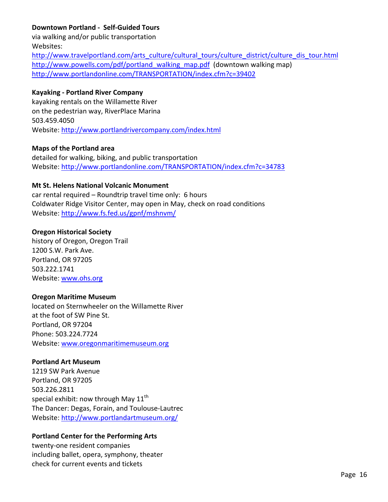### **Downtown Portland ‐ Self‐Guided Tours**

via walking and/or public transportation Websites:

http://www.travelportland.com/arts\_culture/cultural\_tours/culture\_district/culture\_dis\_tour.html http://www.powells.com/pdf/portland\_walking\_map.pdf (downtown walking map) http://www.portlandonline.com/TRANSPORTATION/index.cfm?c=39402

#### **Kayaking ‐ Portland River Company**

kayaking rentals on the Willamette River on the pedestrian way, RiverPlace Marina 503.459.4050 Website: http://www.portlandrivercompany.com/index.html

#### **Maps of the Portland area**

detailed for walking, biking, and public transportation Website: http://www.portlandonline.com/TRANSPORTATION/index.cfm?c=34783

#### **Mt St. Helens National Volcanic Monument**

car rental required – Roundtrip travel time only: 6 hours Coldwater Ridge Visitor Center, may open in May, check on road conditions Website: http://www.fs.fed.us/gpnf/mshnvm/

#### **Oregon Historical Society**

history of Oregon, Oregon Trail 1200 S.W. Park Ave. Portland, OR 97205 503.222.1741 Website: www.ohs.org

#### **Oregon Maritime Museum**

located on Sternwheeler on the Willamette River at the foot of SW Pine St. Portland, OR 97204 Phone: 503.224.7724 Website: www.oregonmaritimemuseum.org

#### **Portland Art Museum**

1219 SW Park Avenue Portland, OR 97205 503.226.2811 special exhibit: now through May  $11<sup>th</sup>$ The Dancer: Degas, Forain, and Toulouse‐Lautrec Website: http://www.portlandartmuseum.org/

#### **Portland Center for the Performing Arts**

twenty‐one resident companies including ballet, opera, symphony, theater check for current events and tickets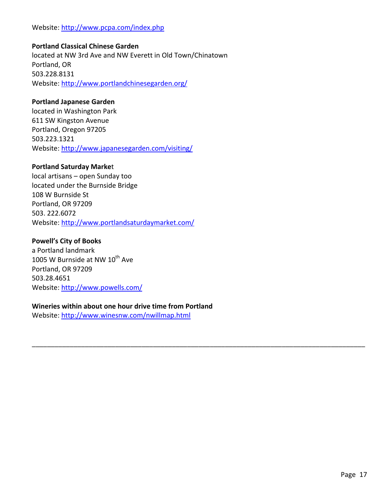#### Website: http://www.pcpa.com/index.php

#### **Portland Classical Chinese Garden**

located at NW 3rd Ave and NW Everett in Old Town/Chinatown Portland, OR 503.228.8131 Website: http://www.portlandchinesegarden.org/

#### **Portland Japanese Garden**

located in Washington Park 611 SW Kingston Avenue Portland, Oregon 97205 503.223.1321 Website: http://www.japanesegarden.com/visiting/

#### **Portland Saturday Marke**t

local artisans – open Sunday too located under the Burnside Bridge 108 W Burnside St Portland, OR 97209 503. 222.6072 Website: http://www.portlandsaturdaymarket.com/

#### **Powell's City of Books**

a Portland landmark 1005 W Burnside at NW  $10^{th}$  Ave Portland, OR 97209 503.28.4651 Website: http://www.powells.com/

#### **Wineries within about one hour drive time from Portland**

\_\_\_\_\_\_\_\_\_\_\_\_\_\_\_\_\_\_\_\_\_\_\_\_\_\_\_\_\_\_\_\_\_\_\_\_\_\_\_\_\_\_\_\_\_\_\_\_\_\_\_\_\_\_\_\_\_\_\_\_\_\_\_\_\_\_\_\_\_\_\_\_\_\_\_\_\_\_\_\_\_\_\_\_\_\_\_\_

Website: http://www.winesnw.com/nwillmap.html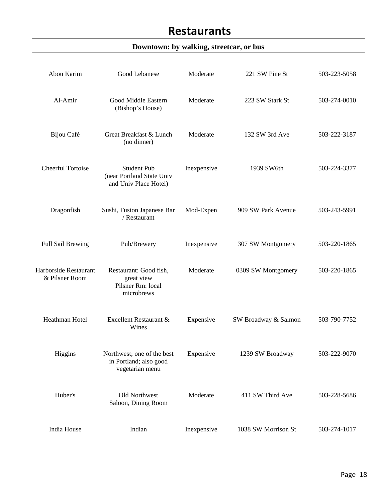## **Restaurants**

## **Downtown: by walking, streetcar, or bus**

| Abou Karim                              | <b>Good Lebanese</b>                                                     | Moderate    | 221 SW Pine St       | 503-223-5058 |
|-----------------------------------------|--------------------------------------------------------------------------|-------------|----------------------|--------------|
|                                         |                                                                          |             |                      |              |
| Al-Amir                                 | Good Middle Eastern<br>(Bishop's House)                                  | Moderate    | 223 SW Stark St      | 503-274-0010 |
| Bijou Café                              | Great Breakfast & Lunch<br>(no dinner)                                   | Moderate    | 132 SW 3rd Ave       | 503-222-3187 |
| Cheerful Tortoise                       | <b>Student Pub</b><br>(near Portland State Univ<br>and Univ Place Hotel) | Inexpensive | 1939 SW6th           | 503-224-3377 |
| Dragonfish                              | Sushi, Fusion Japanese Bar<br>/ Restaurant                               | Mod-Expen   | 909 SW Park Avenue   | 503-243-5991 |
| <b>Full Sail Brewing</b>                | Pub/Brewery                                                              | Inexpensive | 307 SW Montgomery    | 503-220-1865 |
| Harborside Restaurant<br>& Pilsner Room | Restaurant: Good fish,<br>great view<br>Pilsner Rm: local<br>microbrews  | Moderate    | 0309 SW Montgomery   | 503-220-1865 |
| Heathman Hotel                          | Excellent Restaurant &<br>Wines                                          | Expensive   | SW Broadway & Salmon | 503-790-7752 |
| Higgins                                 | Northwest; one of the best<br>in Portland; also good<br>vegetarian menu  | Expensive   | 1239 SW Broadway     | 503-222-9070 |
| Huber's                                 | Old Northwest<br>Saloon, Dining Room                                     | Moderate    | 411 SW Third Ave     | 503-228-5686 |
| India House                             | Indian                                                                   | Inexpensive | 1038 SW Morrison St  | 503-274-1017 |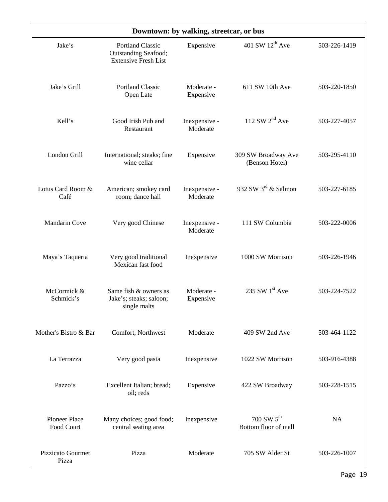| Downtown: by walking, streetcar, or bus |                                                                                |                           |                                                  |              |
|-----------------------------------------|--------------------------------------------------------------------------------|---------------------------|--------------------------------------------------|--------------|
| Jake's                                  | <b>Portland Classic</b><br>Outstanding Seafood;<br><b>Extensive Fresh List</b> | Expensive                 | 401 SW $12^{th}$ Ave                             | 503-226-1419 |
| Jake's Grill                            | <b>Portland Classic</b><br>Open Late                                           | Moderate -<br>Expensive   | 611 SW 10th Ave                                  | 503-220-1850 |
| Kell's                                  | Good Irish Pub and<br>Restaurant                                               | Inexpensive -<br>Moderate | 112 SW $2nd$ Ave                                 | 503-227-4057 |
| London Grill                            | International; steaks; fine<br>wine cellar                                     | Expensive                 | 309 SW Broadway Ave<br>(Benson Hotel)            | 503-295-4110 |
| Lotus Card Room &<br>Café               | American; smokey card<br>room; dance hall                                      | Inexpensive -<br>Moderate | 932 SW $3^{\text{rd}}$ & Salmon                  | 503-227-6185 |
| <b>Mandarin Cove</b>                    | Very good Chinese                                                              | Inexpensive -<br>Moderate | 111 SW Columbia                                  | 503-222-0006 |
| Maya's Taqueria                         | Very good traditional<br>Mexican fast food                                     | Inexpensive               | 1000 SW Morrison                                 | 503-226-1946 |
| McCormick &<br>Schmick's                | Same fish & owners as<br>Jake's; steaks; saloon;<br>single malts               | Moderate -<br>Expensive   | 235 SW $1st$ Ave                                 | 503-224-7522 |
| Mother's Bistro & Bar                   | Comfort, Northwest                                                             | Moderate                  | 409 SW 2nd Ave                                   | 503-464-1122 |
| La Terrazza                             | Very good pasta                                                                | Inexpensive               | 1022 SW Morrison                                 | 503-916-4388 |
| Pazzo's                                 | Excellent Italian; bread;<br>oil; reds                                         | Expensive                 | 422 SW Broadway                                  | 503-228-1515 |
| Pioneer Place<br>Food Court             | Many choices; good food;<br>central seating area                               | Inexpensive               | $700$ SW $5^{\text{th}}$<br>Bottom floor of mall | NA           |
| <b>Pizzicato Gourmet</b><br>Pizza       | Pizza                                                                          | Moderate                  | 705 SW Alder St                                  | 503-226-1007 |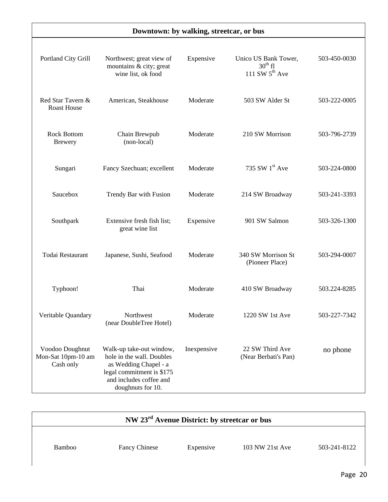| Downtown: by walking, streetcar, or bus            |                                                                                                                                                             |             |                                                                    |              |
|----------------------------------------------------|-------------------------------------------------------------------------------------------------------------------------------------------------------------|-------------|--------------------------------------------------------------------|--------------|
| Portland City Grill                                | Northwest; great view of<br>mountains & city; great<br>wine list, ok food                                                                                   | Expensive   | Unico US Bank Tower,<br>$30^{\text{th}}$ fl<br>111 SW $5^{th}$ Ave | 503-450-0030 |
| Red Star Tavern &<br><b>Roast House</b>            | American, Steakhouse                                                                                                                                        | Moderate    | 503 SW Alder St                                                    | 503-222-0005 |
| <b>Rock Bottom</b><br><b>Brewery</b>               | Chain Brewpub<br>(non-local)                                                                                                                                | Moderate    | 210 SW Morrison                                                    | 503-796-2739 |
| Sungari                                            | Fancy Szechuan; excellent                                                                                                                                   | Moderate    | 735 SW $1st$ Ave                                                   | 503-224-0800 |
| Saucebox                                           | Trendy Bar with Fusion                                                                                                                                      | Moderate    | 214 SW Broadway                                                    | 503-241-3393 |
| Southpark                                          | Extensive fresh fish list;<br>great wine list                                                                                                               | Expensive   | 901 SW Salmon                                                      | 503-326-1300 |
| Todai Restaurant                                   | Japanese, Sushi, Seafood                                                                                                                                    | Moderate    | 340 SW Morrison St<br>(Pioneer Place)                              | 503-294-0007 |
| Typhoon!                                           | Thai                                                                                                                                                        | Moderate    | 410 SW Broadway                                                    | 503.224-8285 |
| Veritable Quandary                                 | Northwest<br>(near DoubleTree Hotel)                                                                                                                        | Moderate    | 1220 SW 1st Ave                                                    | 503-227-7342 |
| Voodoo Doughnut<br>Mon-Sat 10pm-10 am<br>Cash only | Walk-up take-out window,<br>hole in the wall. Doubles<br>as Wedding Chapel - a<br>legal commitment is \$175<br>and includes coffee and<br>doughnuts for 10. | Inexpensive | 22 SW Third Ave<br>(Near Berbati's Pan)                            | no phone     |

| NW 23 <sup>rd</sup> Avenue District: by streetcar or bus |                      |           |                 |              |
|----------------------------------------------------------|----------------------|-----------|-----------------|--------------|
| Bamboo                                                   | <b>Fancy Chinese</b> | Expensive | 103 NW 21st Ave | 503-241-8122 |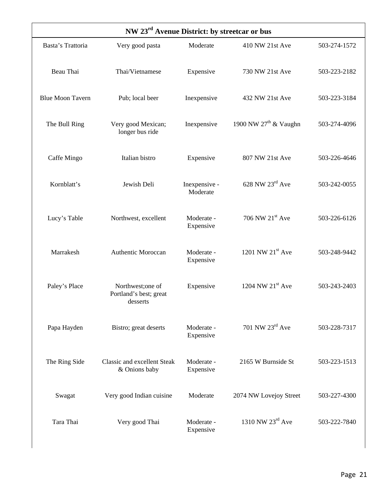| NW 23 <sup>rd</sup> Avenue District: by streetcar or bus |                                                         |                           |                             |              |  |  |  |
|----------------------------------------------------------|---------------------------------------------------------|---------------------------|-----------------------------|--------------|--|--|--|
| Basta's Trattoria                                        | Very good pasta                                         | Moderate                  | 410 NW 21st Ave             | 503-274-1572 |  |  |  |
| Beau Thai                                                | Thai/Vietnamese                                         | Expensive                 | 730 NW 21st Ave             | 503-223-2182 |  |  |  |
| <b>Blue Moon Tavern</b>                                  | Pub; local beer                                         | Inexpensive               | 432 NW 21st Ave             | 503-223-3184 |  |  |  |
| The Bull Ring                                            | Very good Mexican;<br>longer bus ride                   | Inexpensive               | 1900 NW $27th$ & Vaughn     | 503-274-4096 |  |  |  |
| Caffe Mingo                                              | Italian bistro                                          | Expensive                 | 807 NW 21st Ave             | 503-226-4646 |  |  |  |
| Kornblatt's                                              | Jewish Deli                                             | Inexpensive -<br>Moderate | $628$ NW $23rd$ Ave         | 503-242-0055 |  |  |  |
| Lucy's Table                                             | Northwest, excellent                                    | Moderate -<br>Expensive   | 706 NW $21st$ Ave           | 503-226-6126 |  |  |  |
| Marrakesh                                                | Authentic Moroccan                                      | Moderate -<br>Expensive   | 1201 NW $21st$ Ave          | 503-248-9442 |  |  |  |
| Paley's Place                                            | Northwest; one of<br>Portland's best; great<br>desserts | Expensive                 | 1204 NW $21st$ Ave          | 503-243-2403 |  |  |  |
| Papa Hayden                                              | Bistro; great deserts                                   | Moderate -<br>Expensive   | 701 NW 23 <sup>rd</sup> Ave | 503-228-7317 |  |  |  |
| The Ring Side                                            | <b>Classic and excellent Steak</b><br>& Onions baby     | Moderate -<br>Expensive   | 2165 W Burnside St          | 503-223-1513 |  |  |  |
| Swagat                                                   | Very good Indian cuisine                                | Moderate                  | 2074 NW Lovejoy Street      | 503-227-4300 |  |  |  |
| Tara Thai                                                | Very good Thai                                          | Moderate -<br>Expensive   | 1310 NW $23rd$ Ave          | 503-222-7840 |  |  |  |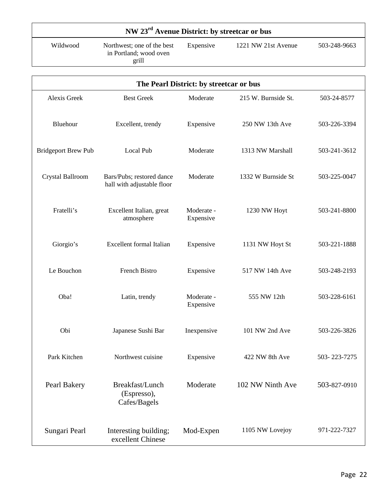## **NW 23rd Avenue District: by streetcar or bus**

Wildwood Northwest; one of the best in Portland; wood oven grill Expensive 1221 NW 21st Avenue 503-248-9663

| The Pearl District: by streetcar or bus |                                                         |                         |                     |              |  |  |  |
|-----------------------------------------|---------------------------------------------------------|-------------------------|---------------------|--------------|--|--|--|
| <b>Alexis Greek</b>                     | <b>Best Greek</b>                                       | Moderate                | 215 W. Burnside St. | 503-24-8577  |  |  |  |
| Bluehour                                | Excellent, trendy                                       | Expensive               | 250 NW 13th Ave     | 503-226-3394 |  |  |  |
| <b>Bridgeport Brew Pub</b>              | Local Pub                                               | Moderate                | 1313 NW Marshall    | 503-241-3612 |  |  |  |
| Crystal Ballroom                        | Bars/Pubs; restored dance<br>hall with adjustable floor | Moderate                | 1332 W Burnside St  | 503-225-0047 |  |  |  |
| Fratelli's                              | Excellent Italian, great<br>atmosphere                  | Moderate -<br>Expensive | 1230 NW Hoyt        | 503-241-8800 |  |  |  |
| Giorgio's                               | <b>Excellent</b> formal Italian                         | Expensive               | 1131 NW Hoyt St     | 503-221-1888 |  |  |  |
| Le Bouchon                              | French Bistro                                           | Expensive               | 517 NW 14th Ave     | 503-248-2193 |  |  |  |
| Oba!                                    | Latin, trendy                                           | Moderate -<br>Expensive | 555 NW 12th         | 503-228-6161 |  |  |  |
| Obi                                     | Japanese Sushi Bar                                      | Inexpensive             | 101 NW 2nd Ave      | 503-226-3826 |  |  |  |
| Park Kitchen                            | Northwest cuisine                                       | Expensive               | 422 NW 8th Ave      | 503-223-7275 |  |  |  |
| Pearl Bakery                            | Breakfast/Lunch<br>(Espresso),<br>Cafes/Bagels          | Moderate                | 102 NW Ninth Ave    | 503-827-0910 |  |  |  |
| Sungari Pearl                           | Interesting building;<br>excellent Chinese              | Mod-Expen               | 1105 NW Lovejoy     | 971-222-7327 |  |  |  |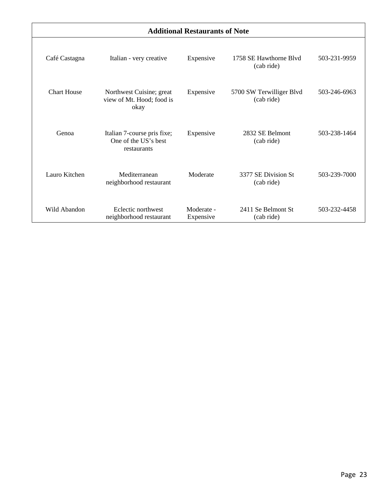| <b>Additional Restaurants of Note</b> |                                                                    |                         |                                        |              |  |  |  |
|---------------------------------------|--------------------------------------------------------------------|-------------------------|----------------------------------------|--------------|--|--|--|
| Café Castagna                         | Italian - very creative                                            | Expensive               | 1758 SE Hawthorne Blyd<br>(cab ride)   | 503-231-9959 |  |  |  |
| <b>Chart House</b>                    | Northwest Cuisine; great<br>view of Mt. Hood; food is<br>okay      | Expensive               | 5700 SW Terwilliger Blvd<br>(cab ride) | 503-246-6963 |  |  |  |
| Genoa                                 | Italian 7-course pris fixe;<br>One of the US's best<br>restaurants | Expensive               | 2832 SE Belmont<br>(cab ride)          | 503-238-1464 |  |  |  |
| Lauro Kitchen                         | Mediterranean<br>neighborhood restaurant                           | Moderate                | 3377 SE Division St<br>(cab ride)      | 503-239-7000 |  |  |  |
| Wild Abandon                          | Eclectic northwest<br>neighborhood restaurant                      | Moderate -<br>Expensive | 2411 Se Belmont St<br>(cab ride)       | 503-232-4458 |  |  |  |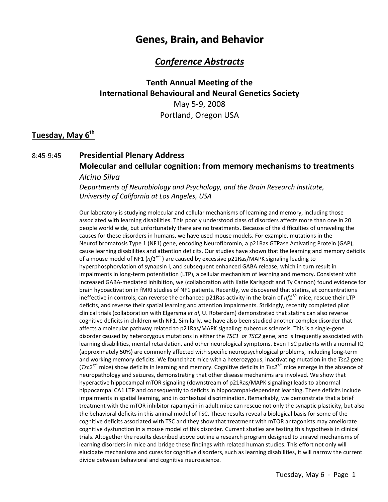## **Genes, Brain, and Behavior**

## *Conference Abstracts*

## **Tenth Annual Meeting of the International Behavioural and Neural Genetics Society** May 5‐9, 2008 Portland, Oregon USA

### **Tuesday, May 6th**

## 8:45‐9:45 **Presidential Plenary Address Molecular and cellular cognition: from memory mechanisms to treatments**

#### *Alcino Silva*

*Departments of Neurobiology and Psychology, and the Brain Research Institute, University of California at Los Angeles, USA*

Our laboratory is studying molecular and cellular mechanisms of learning and memory, including those associated with learning disabilities. This poorly understood class of disorders affects more than one in 20 people world wide, but unfortunately there are no treatments. Because of the difficulties of unraveling the causes for these disorders in humans, we have used mouse models. For example, mutations in the Neurofibromatosis Type 1 (NF1) gene, encoding Neurofibromin, a p21Ras GTPase Activating Protein (GAP), cause learning disabilities and attention deficits. Our studies have shown that the learning and memory deficits of a mouse model of NF1 (*nf1+/‐* ) are caused by excessive p21Ras/MAPK signaling leading to hyperphosphorylation of synapsin I, and subsequent enhanced GABA release, which in turn result in impairments in long-term potentiation (LTP), a cellular mechanism of learning and memory. Consistent with increased GABA‐mediated inhibition, we (collaboration with Katie Karlsgodt and Ty Cannon) found evidence for brain hypoactivation in fMRI studies of NF1 patients. Recently, we discovered that statins, at concentrations ineffective in controls, can reverse the enhanced p21Ras activity in the brain of *nf1+/‐* mice, rescue their LTP deficits, and reverse their spatial learning and attention impairments. Strikingly, recently completed pilot clinical trials (collaboration with Elgersma *et al*, U. Roterdam) demonstrated that statins can also reverse cognitive deficits in children with NF1. Similarly, we have also been studied another complex disorder that affects a molecular pathway related to p21Ras/MAPK signaling: tuberous sclerosis. This is a single‐gene disorder caused by heterozygous mutations in either the *TSC1 o*r *TSC2* gene, and is frequently associated with learning disabilities, mental retardation, and other neurological symptoms. Even TSC patients with a normal IQ (approximately 50%) are commonly affected with specific neuropsychological problems, including long‐term and working memory deficits. We found that mice with a heterozygous, inactivating mutation in the *Tsc2* gene (*Tsc2+/‐* mice) show deficits in learning and memory. Cognitive deficits in *Tsc2+/‐* mice emerge in the absence of neuropathology and seizures, demonstrating that other disease mechanims are involved. We show that hyperactive hippocampal mTOR signaling (downstream of p21Ras/MAPK signaling) leads to abnormal hippocampal CA1 LTP and consequently to deficits in hippocampal‐dependent learning. These deficits include impairments in spatial learning, and in contextual discrimination. Remarkably, we demonstrate that a brief treatment with the mTOR inhibitor rapamycin in adult mice can rescue not only the synaptic plasticity, but also the behavioral deficits in this animal model of TSC. These results reveal a biological basis for some of the cognitive deficits associated with TSC and they show that treatment with mTOR antagonists may ameliorate cognitive dysfunction in a mouse model of this disorder. Current studies are testing this hypothesis in clinical trials. Altogether the results described above outline a research program designed to unravel mechanisms of learning disorders in mice and bridge these findings with related human studies. This effort not only will elucidate mechanisms and cures for cognitive disorders, such as learning disabilities, it will narrow the current divide between behavioral and cognitive neuroscience.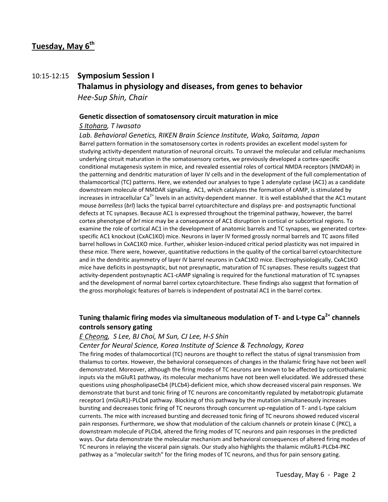### **Tuesday, May 6th**

## 10:15‐12:15 **Symposium Session I Thalamus in physiology and diseases, from genes to behavior**  *Hee‐Sup Shin, Chair*

## **Genetic dissection of somatosensory circuit maturation in mice**

#### *S Itohara, T Iwasato*

*Lab. Behavioral Genetics, RIKEN Brain Science Institute, Wako, Saitama, Japan* Barrel pattern formation in the somatosensory cortex in rodents provides an excellent model system for studying activity‐dependent maturation of neuronal circuits. To unravel the molecular and cellular mechanisms underlying circuit maturation in the somatosensory cortex, we previously developed a cortex‐specific conditional mutagenesis system in mice, and revealed essential roles of cortical NMDA receptors (NMDAR) in the patterning and dendritic maturation of layer IV cells and in the development of the full complementation of thalamocortical (TC) patterns. Here, we extended our analyses to type 1 adenylate cyclase (AC1) as a candidate downstream molecule of NMDAR signaling. AC1, which catalyzes the formation of cAMP, is stimulated by increases in intracellular Ca<sup>2+</sup> levels in an activity-dependent manner. It is well established that the AC1 mutant mouse *barrelless* (*brl*) lacks the typical barrel cytoarchitecture and displays pre‐ and postsynaptic functional defects at TC synapses. Because AC1 is expressed throughout the trigeminal pathway, however, the barrel cortex phenotype of *brl* mice may be a consequence of AC1 disruption in cortical or subcortical regions. To examine the role of cortical AC1 in the development of anatomic barrels and TC synapses, we generated cortex‐ specific AC1 knockout (CxAC1KO) mice. Neurons in layer IV formed grossly normal barrels and TC axons filled barrel hollows in CxAC1KO mice. Further, whisker lesion-induced critical period plasticity was not impaired in these mice. There were, however, quantitative reductions in the quality of the cortical barrel cytoarchitecture and in the dendritic asymmetry of layer IV barrel neurons in CxAC1KO mice. Electrophysiologically, CxAC1KO mice have deficits in postsynaptic, but not presynaptic, maturation of TC synapses. These results suggest that activity-dependent postsynaptic AC1-cAMP signaling is required for the functional maturation of TC synapses and the development of normal barrel cortex cytoarchitecture. These findings also suggest that formation of the gross morphologic features of barrels is independent of postnatal AC1 in the barrel cortex.

### **Tuning thalamic firing modes via simultaneous modulation of T‐ and L‐type Ca2+ channels controls sensory gating**

#### *E Cheong, S Lee, BJ Choi, M Sun, CJ Lee, H‐S Shin*

#### *Center for Neural Science, Korea Institute of Science & Technology, Korea*

The firing modes of thalamocortical (TC) neurons are thought to reflect the status of signal transmission from thalamus to cortex. However, the behavioral consequences of changes in the thalamic firing have not been well demonstrated. Moreover, although the firing modes of TC neurons are known to be affected by corticothalamic inputs via the mGluR1 pathway, its molecular mechanisms have not been well elucidated. We addressed these questions using phospholipaseCb4 (PLCb4)‐deficient mice, which show decreased visceral pain responses. We demonstrate that burst and tonic firing of TC neurons are concomitantly regulated by metabotropic glutamate receptor1 (mGluR1)‐PLCb4 pathway. Blocking of this pathway by the mutation simultaneously increases bursting and decreases tonic firing of TC neurons through concurrent up-regulation of T- and L-type calcium currents. The mice with increased bursting and decreased tonic firing of TC neurons showed reduced visceral pain responses. Furthermore, we show that modulation of the calcium channels or protein kinase C (PKC), a downstream molecule of PLCb4, altered the firing modes of TC neurons and pain responses in the predicted ways. Our data demonstrate the molecular mechanism and behavioral consequences of altered firing modes of TC neurons in relaying the visceral pain signals. Our study also highlights the thalamic mGluR1‐PLCb4‐PKC pathway as a "molecular switch" for the firing modes of TC neurons, and thus for pain sensory gating.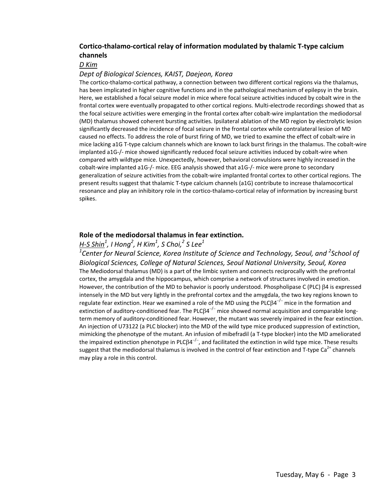#### **Cortico‐thalamo‐cortical relay of information modulated by thalamic T‐type calcium channels**

*D Kim*

#### *Dept of Biological Sciences, KAIST, Daejeon, Korea*

The cortico-thalamo-cortical pathway, a connection between two different cortical regions via the thalamus, has been implicated in higher cognitive functions and in the pathological mechanism of epilepsy in the brain. Here, we established a focal seizure model in mice where focal seizure activities induced by cobalt wire in the frontal cortex were eventually propagated to other cortical regions. Multi‐electrode recordings showed that as the focal seizure activities were emerging in the frontal cortex after cobalt‐wire implantation the mediodorsal (MD) thalamus showed coherent bursting activities. Ipsilateral ablation of the MD region by electrolytic lesion significantly decreased the incidence of focal seizure in the frontal cortex while contralateral lesion of MD caused no effects. To address the role of burst firing of MD, we tried to examine the effect of cobalt‐wire in mice lacking a1G T‐type calcium channels which are known to lack burst firings in the thalamus. The cobalt‐wire implanted a1G‐/‐ mice showed significantly reduced focal seizure activities induced by cobalt‐wire when compared with wildtype mice. Unexpectedly, however, behavioral convulsions were highly increased in the cobalt-wire implanted a1G-/- mice. EEG analysis showed that a1G-/- mice were prone to secondary generalization of seizure activities from the cobalt‐wire implanted frontal cortex to other cortical regions. The present results suggest that thalamic T-type calcium channels (a1G) contribute to increase thalamocortical resonance and play an inhibitory role in the cortico‐thalamo‐cortical relay of information by increasing burst spikes.

#### **Role of the mediodorsal thalamus in fear extinction.**

### *H‐S Shin<sup>1</sup> , I Hong<sup>2</sup> , H Kim1 , S Choi,<sup>2</sup> S Lee<sup>1</sup>*

*1 Center for Neural Science, Korea Institute of Science and Technology, Seoul, and <sup>2</sup> School of Biological Sciences, College of Natural Sciences, Seoul National University, Seoul, Korea* The Mediodorsal thalamus (MD) is a part of the limbic system and connects reciprocally with the prefrontal cortex, the amygdala and the hippocampus, which comprise a network of structures involved in emotion. However, the contribution of the MD to behavior is poorly understood. Phospholipase C (PLC) β4 is expressed intensely in the MD but very lightly in the prefrontal cortex and the amygdala, the two key regions known to regulate fear extinction. Hear we examined a role of the MD using the PLC $\beta$ 4<sup>-/−</sup> mice in the formation and extinction of auditory-conditioned fear. The PLCβ4<sup>-/-</sup> mice showed normal acquisition and comparable longterm memory of auditory-conditioned fear. However, the mutant was severely impaired in the fear extinction. An injection of U73122 (a PLC blocker) into the MD of the wild type mice produced suppression of extinction, mimicking the phenotype of the mutant. An infusion of mibefradil (a T‐type blocker) into the MD ameliorated the impaired extinction phenotype in PLCβ4<sup>-/-</sup>, and facilitated the extinction in wild type mice. These results suggest that the mediodorsal thalamus is involved in the control of fear extinction and T-type Ca<sup>2+</sup> channels may play a role in this control.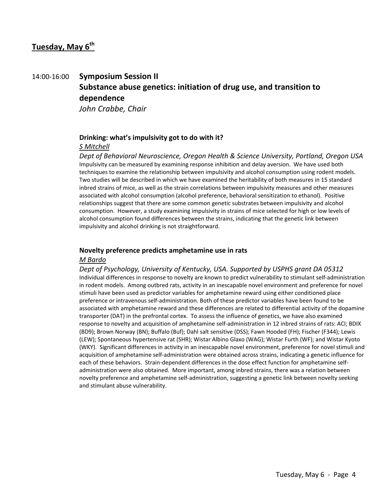## **Tuesday, May 6th**

## 14:00‐16:00 **Symposium Session II Substance abuse genetics: initiation of drug use, and transition to dependence** *John Crabbe, Chair*

**Drinking: what's impulsivity got to do with it?**

#### *S Mitchell*

*Dept of Behavioral Neuroscience, Oregon Health & Science University, Portland, Oregon USA* Impulsivity can be measured by examining response inhibition and delay aversion. We have used both techniques to examine the relationship between impulsivity and alcohol consumption using rodent models. Two studies will be described in which we have examined the heritability of both measures in 15 standard inbred strains of mice, as well as the strain correlations between impulsivity measures and other measures associated with alcohol consumption (alcohol preference, behavioral sensitization to ethanol). Positive relationships suggest that there are some common genetic substrates between impulsivity and alcohol consumption. However, a study examining impulsivity in strains of mice selected for high or low levels of alcohol consumption found differences between the strains, indicating that the genetic link between impulsivity and alcohol drinking is not straightforward.

#### **Novelty preference predicts amphetamine use in rats**

#### *M Bardo*

*Dept of Psychology, University of Kentucky, USA. Supported by USPHS grant DA 05312* Individual differences in response to novelty are known to predict vulnerability to stimulant self‐administration in rodent models. Among outbred rats, activity in an inescapable novel environment and preference for novel stimuli have been used as predictor variables for amphetamine reward using either conditioned place preference or intravenous self‐administration. Both of these predictor variables have been found to be associated with amphetamine reward and these differences are related to differential activity of the dopamine transporter (DAT) in the prefrontal cortex. To assess the influence of genetics, we have also examined response to novelty and acquisition of amphetamine self‐administration in 12 inbred strains of rats: ACI; BDIX (BD9); Brown Norway (BN); Buffalo (Buf); Dahl salt sensitive (DSS); Fawn Hooded (FH); Fischer (F344); Lewis (LEW); Spontaneous hypertensive rat (SHR); Wistar Albino Glaxo (WAG); Wistar Furth (WF); and Wistar Kyoto (WKY). Significant differences in activity in an inescapable novel environment, preference for novel stimuli and acquisition of amphetamine self‐administration were obtained across strains, indicating a genetic influence for each of these behaviors. Strain-dependent differences in the dose effect function for amphetamine selfadministration were also obtained. More important, among inbred strains, there was a relation between novelty preference and amphetamine self‐administration, suggesting a genetic link between novelty seeking and stimulant abuse vulnerability.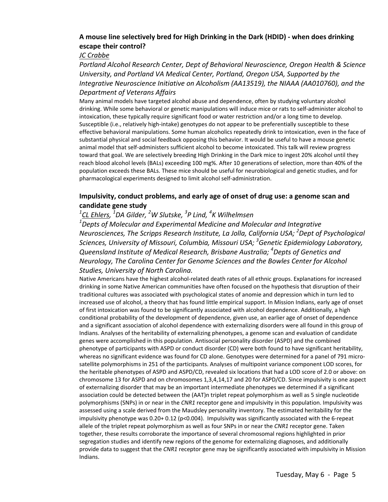#### **A mouse line selectively bred for High Drinking in the Dark (HDID) ‐ when does drinking escape their control?**

#### *JC Crabbe*

*Portland Alcohol Research Center, Dept of Behavioral Neuroscience, Oregon Health & Science University, and Portland VA Medical Center, Portland, Oregon USA, Supported by the Integrative Neuroscience Initiative on Alcoholism (AA13519), the NIAAA (AA010760), and the Department of Veterans Affairs*

Many animal models have targeted alcohol abuse and dependence, often by studying voluntary alcohol drinking. While some behavioral or genetic manipulations will induce mice or rats to self‐administer alcohol to intoxication, these typically require significant food or water restriction and/or a long time to develop. Susceptible (i.e., relatively high‐intake) genotypes do not appear to be preferentially susceptible to these effective behavioral manipulations. Some human alcoholics repeatedly drink to intoxication, even in the face of substantial physical and social feedback opposing this behavior. It would be useful to have a mouse genetic animal model that self-administers sufficient alcohol to become intoxicated. This talk will review progress toward that goal. We are selectively breeding High Drinking in the Dark mice to ingest 20% alcohol until they reach blood alcohol levels (BALs) exceeding 100 mg%. After 10 generations of selection, more than 40% of the population exceeds these BALs. These mice should be useful for neurobiological and genetic studies, and for pharmacological experiments designed to limit alcohol self‐administration.

#### **Impulsivity, conduct problems, and early age of onset of drug use: a genome scan and candidate gene study**

### *1 CL Ehlers, <sup>1</sup> DA Gilder, <sup>2</sup> W Slutske, <sup>3</sup> P Lind, <sup>4</sup> K Wilhelmsen*

*1 Depts of Molecular and Experimental Medicine and Molecular and Integrative Neurosciences, The Scripps Research Institute, La Jolla, California USA; <sup>2</sup> Dept of Psychological Sciences, University of Missouri, Columbia, Missouri USA; <sup>3</sup> Genetic Epidemiology Laboratory, Queensland Institute of Medical Research, Brisbane Australia; <sup>4</sup> Depts of Genetics and Neurology, The Carolina Center for Genome Sciences and the Bowles Center for Alcohol Studies, University of North Carolina.*

Native Americans have the highest alcohol‐related death rates of all ethnic groups. Explanations for increased drinking in some Native American communities have often focused on the hypothesis that disruption of their traditional cultures was associated with psychological states of anomie and depression which in turn led to increased use of alcohol, a theory that has found little empirical support. In Mission Indians, early age of onset of first intoxication was found to be significantly associated with alcohol dependence. Additionally, a high conditional probability of the development of dependence, given use, an earlier age of onset of dependence and a significant association of alcohol dependence with externalizing disorders were all found in this group of Indians. Analyses of the heritability of externalizing phenotypes, a genome scan and evaluation of candidate genes were accomplished in this population. Antisocial personality disorder (ASPD) and the combined phenotype of participants with ASPD or conduct disorder (CD) were both found to have significant heritability, whereas no significant evidence was found for CD alone. Genotypes were determined for a panel of 791 microsatellite polymorphisms in 251 of the participants. Analyses of multipoint variance component LOD scores, for the heritable phenotypes of ASPD and ASPD/CD, revealed six locations that had a LOD score of 2.0 or above: on chromosome 13 for ASPD and on chromosomes 1,3,4,14,17 and 20 for ASPD/CD. Since impulsivity is one aspect of externalizing disorder that may be an important intermediate phenotypes we determined if a significant association could be detected between the (AAT)n triplet repeat polymorphism as well as 5 single nucleotide polymorphisms (SNPs) in or near in the *CNR1* receptor gene and impulsivity in this population. Impulsivity was assessed using a scale derived from the Maudsley personality inventory. The estimated heritability for the impulsivity phenotype was 0.20+ 0.12 (p<0.004). Impulsivity was significantly associated with the 6‐repeat allele of the triplet repeat polymorphism as well as four SNPs in or near the *CNR1* receptor gene. Taken together, these results corroborate the importance of several chromosomal regions highlighted in prior segregation studies and identify new regions of the genome for externalizing diagnoses, and additionally provide data to suggest that the *CNR1* receptor gene may be significantly associated with impulsivity in Mission Indians.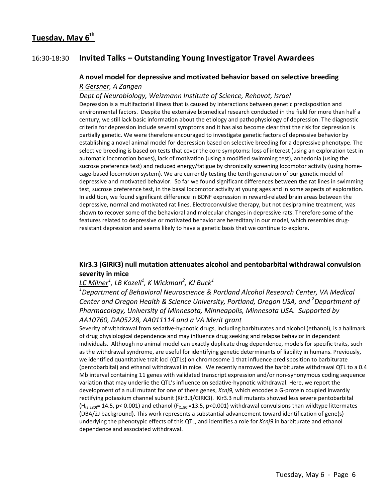### 16:30‐18:30 **Invited Talks – Outstanding Young Investigator Travel Awardees**

#### **A novel model for depressive and motivated behavior based on selective breeding** *R Gersner, A Zangen*

#### *Dept of Neurobiology, Weizmann Institute of Science, Rehovot, Israel*

Depression is a multifactorial illness that is caused by interactions between genetic predisposition and environmental factors. Despite the extensive biomedical research conducted in the field for more than half a century, we still lack basic information about the etiology and pathophysiology of depression. The diagnostic criteria for depression include several symptoms and it has also become clear that the risk for depression is partially genetic. We were therefore encouraged to investigate genetic factors of depressive behavior by establishing a novel animal model for depression based on selective breeding for a depressive phenotype. The selective breeding is based on tests that cover the core symptoms: loss of interest (using an exploration test in automatic locomotion boxes), lack of motivation (using a modified swimming test), anhedonia (using the sucrose preference test) and reduced energy/fatigue by chronically screening locomotor activity (using home‐ cage‐based locomotion system). We are currently testing the tenth generation of our genetic model of depressive and motivated behavior. So far we found significant differences between the rat lines in swimming test, sucrose preference test, in the basal locomotor activity at young ages and in some aspects of exploration. In addition, we found significant difference in BDNF expression in reward-related brain areas between the depressive, normal and motivated rat lines. Electroconvulsive therapy, but not desipramine treatment, was shown to recover some of the behavioral and molecular changes in depressive rats. Therefore some of the features related to depressive or motivated behavior are hereditary in our model, which resembles drugresistant depression and seems likely to have a genetic basis that we continue to explore.

#### **Kir3.3 (GIRK3) null mutation attenuates alcohol and pentobarbital withdrawal convulsion severity in mice**

### *LC Milner<sup>1</sup> , LB Kozell<sup>1</sup> , K Wickman<sup>2</sup> , KJ Buck<sup>1</sup>*

*1 Department of Behavioral Neuroscience & Portland Alcohol Research Center, VA Medical Center and Oregon Health & Science University, Portland, Oregon USA, and <sup>2</sup> Department of Pharmacology, University of Minnesota, Minneapolis, Minnesota USA. Supported by AA10760, DA05228, AA011114 and a VA Merit grant*

Severity of withdrawal from sedative‐hypnotic drugs, including barbiturates and alcohol (ethanol), is a hallmark of drug physiological dependence and may influence drug seeking and relapse behavior in dependent individuals. Although no animal model can exactly duplicate drug dependence, models for specific traits, such as the withdrawal syndrome, are useful for identifying genetic determinants of liability in humans. Previously, we identified quantitative trait loci (QTLs) on chromosome 1 that influence predisposition to barbiturate (pentobarbital) and ethanol withdrawal in mice. We recently narrowed the barbiturate withdrawal QTL to a 0.4 Mb interval containing 11 genes with validated transcript expression and/or non-synonymous coding sequence variation that may underlie the QTL's influence on sedative-hypnotic withdrawal. Here, we report the development of a null mutant for one of these genes, *Kcnj9,* which encodes a G‐protein coupled inwardly rectifying potassium channel subunit (Kir3.3/GIRK3). Kir3.3 null mutants showed less severe pentobarbital  $(H<sub>(2,280)</sub> = 14.5, p < 0.001)$  and ethanol  $(F<sub>(1,80)</sub> = 13.5, p < 0.001)$  withdrawal convulsions than wildtype littermates (DBA/2J background). This work represents a substantial advancement toward identification of gene(s) underlying the phenotypic effects of this QTL, and identifies a role for *Kcnj9* in barbiturate and ethanol dependence and associated withdrawal.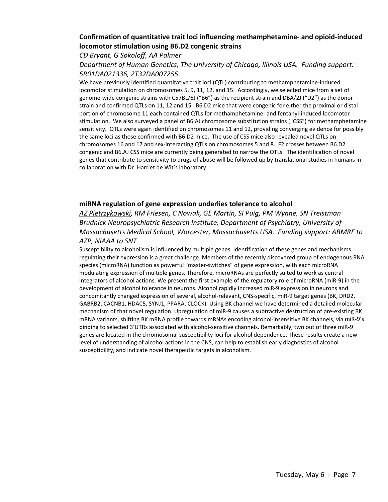#### **Confirmation of quantitative trait loci influencing methamphetamine‐ and opioid‐induced locomotor stimulation using B6.D2 congenic strains**

#### *CD Bryant, G Sokoloff, AA Palmer*

#### *Department of Human Genetics, The University of Chicago, Illinois USA. Funding support: 5R01DA021336, 2T32DA007255*

We have previously identified quantitative trait loci (QTL) contributing to methamphetamine-induced locomotor stimulation on chromosomes 5, 9, 11, 12, and 15. Accordingly, we selected mice from a set of genome-wide congenic strains with C57BL/6J ("B6") as the recipient strain and DBA/2J ("D2") as the donor strain and confirmed QTLs on 11, 12 and 15. B6.D2 mice that were congenic for either the proximal or distal portion of chromosome 11 each contained QTLs for methamphetamine- and fentanyl-induced locomotor stimulation. We also surveyed a panel of B6.AJ chromosome substitution strains ("CSS") for methamphetamine sensitivity. QTLs were again identified on chromosomes 11 and 12, providing converging evidence for possibly the same loci as those confirmed with B6.D2 mice. The use of CSS mice also revealed novel QTLs on chromosomes 16 and 17 and sex‐interacting QTLs on chromosomes 5 and 8. F2 crosses between B6.D2 congenic and B6.AJ CSS mice are currently being generated to narrow the QTLs. The identification of novel genes that contribute to sensitivity to drugs of abuse will be followed up by translational studies in humans in collaboration with Dr. Harriet de Wit's laboratory.

#### **miRNA regulation of gene expression underlies tolerance to alcohol**

*AZ Pietrzykowski, RM Friesen, C Nowak, GE Martin, SI Puig, PM Wynne, SN Treistman Brudnick Neuropsychiatric Research Institute, Department of Psychiatry, University of Massachusetts Medical School, Worcester, Massachusetts USA. Funding support: ABMRF to AZP, NIAAA to SNT*

Susceptibility to alcoholism is influenced by multiple genes. Identification of these genes and mechanisms regulating their expression is a great challenge. Members of the recently discovered group of endogenous RNA species (microRNA) function as powerful "master‐switches" of gene expression, with each microRNA modulating expression of multiple genes. Therefore, microRNAs are perfectly suited to work as central integrators of alcohol actions. We present the first example of the regulatory role of microRNA (miR‐9) in the development of alcohol tolerance in neurons. Alcohol rapidly increased miR‐9 expression in neurons and concomitantly changed expression of several, alcohol‐relevant, CNS‐specific, miR‐9 target genes (BK, DRD2, GABRB2, CACNB1, HDAC5, SYNJ1, PPARA, CLOCK). Using BK channel we have determined a detailed molecular mechanism of that novel regulation. Upregulation of miR‐9 causes a subtractive destruction of pre‐existing BK mRNA variants, shifting BK mRNA profile towards mRNAs encoding alcohol‐insensitive BK channels, via miR‐9's binding to selected 3'UTRs associated with alcohol‐sensitive channels. Remarkably, two out of three miR‐9 genes are located in the chromosomal susceptibility loci for alcohol dependence. These results create a new level of understanding of alcohol actions in the CNS, can help to establish early diagnostics of alcohol susceptibility, and indicate novel therapeutic targets in alcoholism.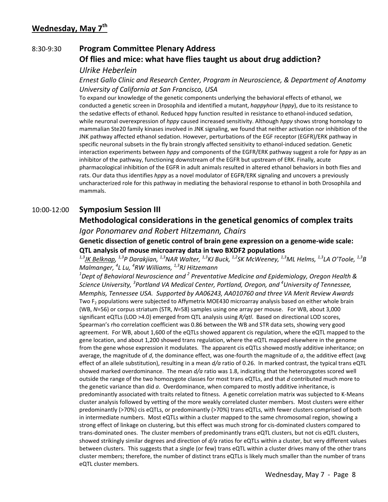## 8:30‐9:30 **Program Committee Plenary Address Of flies and mice: what have flies taught us about drug addiction?** *Ulrike Heberlein*

## *Ernest Gallo Clinic and Research Center, Program in Neuroscience, & Department of Anatomy University of California at San Francisco, USA*

To expand our knowledge of the genetic components underlying the behavioral effects of ethanol, we conducted a genetic screen in Drosophila and identified a mutant, *happyhour* (*hppy*), due to its resistance to the sedative effects of ethanol. Reduced hppy function resulted in resistance to ethanol‐induced sedation, while neuronal overexpression of *hppy* caused increased sensitivity. Although *hppy* shows strong homology to mammalian Ste20 family kinases involved in JNK signaling, we found that neither activation nor inhibition of the JNK pathway affected ethanol sedation. However, perturbations of the EGF receptor (EGFR)/ERK pathway in specific neuronal subsets in the fly brain strongly affected sensitivity to ethanol-induced sedation. Genetic interaction experiments between *hppy* and components of the EGFR/ERK pathway suggest a role for *hppy* as an inhibitor of the pathway, functioning downstream of the EGFR but upstream of ERK. Finally, acute pharmacological inhibition of the EGFR in adult animals resulted in altered ethanol behaviors in both flies and rats. Our data thus identifies *hppy* as a novel modulator of EGFR/ERK signaling and uncovers a previously uncharacterized role for this pathway in mediating the behavioral response to ethanol in both Drosophila and mammals.

## 10:00‐12:00 **Symposium Session III**

## **Methodological considerations in the genetical genomics of complex traits**

## *Igor Ponomarev and Robert Hitzemann, Chairs*

### **Genetic dissection of genetic control of brain gene expression on a genome‐wide scale: QTL analysis of mouse microarray data in two BXDF2 populations**

*1,3JK Belknap, 1,3P Darakjian, 1,3NAR Walter, 1,3KJ Buck, 1,2SK McWeeney, 1,3ML Helms, 1,3LA O'Toole, 1,3B Malmanger, <sup>4</sup> L Lu, <sup>4</sup> RW Williams, 1,3RJ Hitzemann*

*1 Dept of Behavioral Neuroscience and <sup>2</sup> Preventative Medicine and Epidemiology, Oregon Health & Science University, <sup>3</sup> Portland VA Medical Center, Portland, Oregon, and <sup>4</sup> University of Tennessee, Memphis, Tennessee USA. Supported by AA06243, AA010760 and three VA Merit Review Awards* Two F<sub>2</sub> populations were subjected to Affymetrix MOE430 microarray analysis based on either whole brain (WB, *N*=56) or corpus striatum (STR, *N*=58) samples using one array per mouse. For WB, about 3,000 significant eQTLs (LOD >4.0) emerged from QTL analysis using *R/qtl*. Based on directional LOD scores, Spearman's rho correlation coefficient was 0.86 between the WB and STR data sets, showing very good agreement. For WB, about 1,600 of the eQTLs showed apparent cis regulation, where the eQTL mapped to the gene location, and about 1,200 showed trans regulation, where the eQTL mapped elsewhere in the genome from the gene whose expression it modulates. The apparent cis eQTLs showed mostly additive inheritance; on average, the magnitude of *d*, the dominance effect, was one-fourth the magnitude of *a*, the additive effect (avg effect of an allele substitution), resulting in a mean *d/a* ratio of 0.26. In marked contrast, the typical trans eQTL showed marked overdominance. The mean *d/a* ratio was 1.8, indicating that the heterozygotes scored well outside the range of the two homozygote classes for most trans eQTLs, and that *d* contributed much more to the genetic variance than did *a*. Overdominance, when compared to mostly additive inheritance, is predominantly associated with traits related to fitness. A genetic correlation matrix was subjected to K‐Means cluster analysis followed by vetting of the more weakly correlated cluster members. Most clusters were either predominantly (>70%) cis eQTLs, or predominantly (>70%) trans eQTLs, with fewer clusters comprised of both in intermediate numbers. Most eQTLs within a cluster mapped to the same chromosomal region, showing a strong effect of linkage on clustering, but this effect was much strong for cis‐dominated clusters compared to trans‐dominated ones. The cluster members of predominantly trans eQTL clusters, but not cis eQTL clusters, showed strikingly similar degrees and direction of *d/a* ratios for eQTLs within a cluster, but very different values between clusters. This suggests that a single (or few) trans eQTL within a cluster drives many of the other trans cluster members; therefore, the number of distinct trans eQTLs is likely much smaller than the number of trans eQTL cluster members.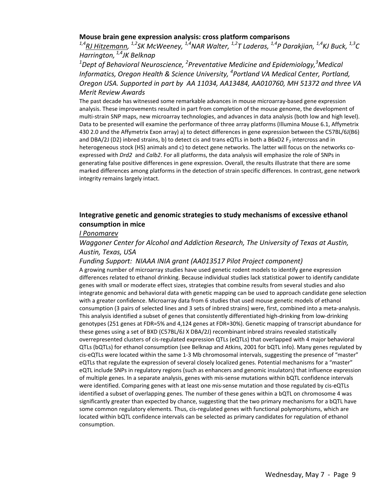#### **Mouse brain gene expression analysis: cross platform comparisons**

*1,4RJ Hitzemann, 1,2SK McWeeney, 1,4NAR Walter, 1,2T Laderas, 1,4P Darakjian, 1,4KJ Buck, 1,3C Harrington, 1,4JK Belknap* 

*1 Dept of Behavioral Neuroscience, <sup>2</sup> Preventative Medicine and Epidemiology,<sup>3</sup> Medical Informatics, Oregon Health & Science University, <sup>4</sup> Portland VA Medical Center, Portland, Oregon USA. Supported in part by AA 11034, AA13484, AA010760, MH 51372 and three VA Merit Review Awards*

The past decade has witnessed some remarkable advances in mouse microarray‐based gene expression analysis. These improvements resulted in part from completion of the mouse genome, the development of multi-strain SNP maps, new microarray technologies, and advances in data analysis (both low and high level). Data to be presented will examine the performance of three array platforms (Illumina Mouse 6.1, Affymetrix 430 2.0 and the Affymetrix Exon array) a) to detect differences in gene expression between the C57BL/6J(B6) and DBA/2J (D2) inbred strains, b) to detect cis and trans eQTLs in both a B6xD2 F<sub>2</sub> intercross and in heterogeneous stock (HS) animals and c) to detect gene networks. The latter will focus on the networks coexpressed with *Drd2* and *Calb2*. For all platforms, the data analysis will emphasize the role of SNPs in generating false positive differences in gene expression. Overall, the results illustrate that there are some marked differences among platforms in the detection of strain specific differences. In contrast, gene network integrity remains largely intact.

#### **Integrative genetic and genomic strategies to study mechanisms of excessive ethanol consumption in mice**

#### *I Ponomarev*

#### *Waggoner Center for Alcohol and Addiction Research, The University of Texas at Austin, Austin, Texas, USA*

#### *Funding Support: NIAAA INIA grant (AA013517 Pilot Project component)*

A growing number of microarray studies have used genetic rodent models to identify gene expression differences related to ethanol drinking. Because individual studies lack statistical power to identify candidate genes with small or moderate effect sizes, strategies that combine results from several studies and also integrate genomic and behavioral data with genetic mapping can be used to approach candidate gene selection with a greater confidence. Microarray data from 6 studies that used mouse genetic models of ethanol consumption (3 pairs of selected lines and 3 sets of inbred strains) were, first, combined into a meta-analysis. This analysis identified a subset of genes that consistently differentiated high‐drinking from low‐drinking genotypes (251 genes at FDR=5% and 4,124 genes at FDR=30%). Genetic mapping of transcript abundance for these genes using a set of BXD (C57BL/6J X DBA/2J) recombinant inbred strains revealed statistically overrepresented clusters of cis‐regulated expression QTLs (eQTLs) that overlapped with 4 major behavioral QTLs (bQTLs) for ethanol consumption (see Belknap and Atkins, 2001 for bQTL info). Many genes regulated by cis‐eQTLs were located within the same 1‐3 Mb chromosomal intervals, suggesting the presence of "master" eQTLs that regulate the expression of several closely localized genes. Potential mechanisms for a "master" eQTL include SNPs in regulatory regions (such as enhancers and genomic insulators) that influence expression of multiple genes. In a separate analysis, genes with mis‐sense mutations within bQTL confidence intervals were identified. Comparing genes with at least one mis-sense mutation and those regulated by cis-eQTLs identified a subset of overlapping genes. The number of these genes within a bQTL on chromosome 4 was significantly greater than expected by chance, suggesting that the two primary mechanisms for a bQTL have some common regulatory elements. Thus, cis-regulated genes with functional polymorphisms, which are located within bQTL confidence intervals can be selected as primary candidates for regulation of ethanol consumption.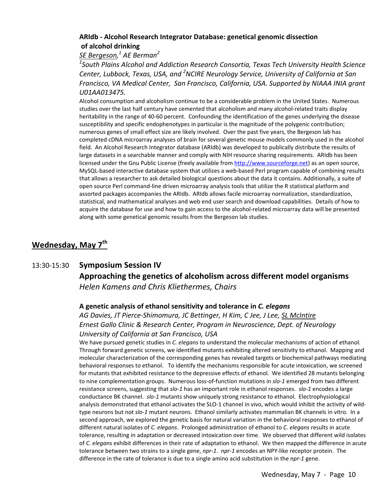#### **ARIdb ‐ Alcohol Research Integrator Database: genetical genomic dissection of alcohol drinking**

### *SE Bergeson, <sup>1</sup> AE Berman<sup>2</sup>*

*1 South Plains Alcohol and Addiction Research Consortia, Texas Tech University Health Science Center, Lubbock, Texas, USA, and <sup>2</sup> NCIRE Neurology Service, University of California at San Francisco, VA Medical Center, San Francisco, California, USA. Supported by NIAAA INIA grant U01AA013475.*

Alcohol consumption and alcoholism continue to be a considerable problem in the United States. Numerous studies over the last half century have cemented that alcoholism and many alcohol-related traits display heritability in the range of 40‐60 percent. Confounding the identification of the genes underlying the disease susceptibility and specific endophenotypes in particular is the magnitude of the polygenic contribution; numerous genes of small effect size are likely involved. Over the past five years, the Bergeson lab has completed cDNA microarray analyses of brain for several genetic mouse models commonly used in the alcohol field. An Alcohol Research Integrator database (ARIdb) was developed to publically distribute the results of large datasets in a searchable manner and comply with NIH resource sharing requirements. ARIdb has been licensed under the Gnu Public License (freely available from http://www.sourceforge.net) as an open source, MySQL‐based interactive database system that utilizes a web‐based Perl program capable of combining results that allows a researcher to ask detailed biological questions about the data it contains. Additionally, a suite of open source Perl command‐line driven microarray analysis tools that utilize the R statistical platform and assorted packages accompanies the ARIdb. ARIdb allows facile microarray normalization, standardization, statistical, and mathematical analyses and web end user search and download capabilities. Details of how to acquire the database for use and how to gain access to the alcohol‐related microarray data will be presented along with some genetical genomic results from the Bergeson lab studies.

## **Wednesday, May 7th**

## 13:30‐15:30 **Symposium Session IV Approaching the genetics of alcoholism across different model organisms** *Helen Kamens and Chris Kliethermes, Chairs*

#### **A genetic analysis of ethanol sensitivity and tolerance in** *C. elegans*

*AG Davies, JT Pierce‐Shimomura, JC Bettinger, H Kim, C Jee, J Lee, SL McIntire Ernest Gallo Clinic & Research Center, Program in Neuroscience, Dept. of Neurology University of California at San Francisco, USA*

We have pursued genetic studies in *C. elegans* to understand the molecular mechanisms of action of ethanol. Through forward genetic screens, we identified mutants exhibiting altered sensitivity to ethanol. Mapping and molecular characterization of the corresponding genes has revealed targets or biochemical pathways mediating behavioral responses to ethanol. To identify the mechanisms responsible for acute intoxication, we screened for mutants that exhibited resistance to the depressive effects of ethanol. We identified 28 mutants belonging to nine complementation groups. Numerous loss‐of‐function mutations in *slo‐1* emerged from two different resistance screens, suggesting that *slo‐1* has an important role in ethanol responses. *slo‐1* encodes a large conductance BK channel. *slo‐1* mutants show uniquely strong resistance to ethanol. Electrophysiological analysis demonstrated that ethanol activates the SLO-1 channel in vivo, which would inhibit the activity of wildtype neurons but not *slo‐1* mutant neurons. Ethanol similarly activates mammalian BK channels in vitro. In a second approach, we explored the genetic basis for natural variation in the behavioral responses to ethanol of different natural isolates of *C. elegans*. Prolonged administration of ethanol to *C. elegans* results in acute tolerance, resulting in adaptation or decreased intoxication over time. We observed that different wild isolates of *C. elegans* exhibit differences in their rate of adaptation to ethanol. We then mapped the difference in acute tolerance between two strains to a single gene, *npr‐1*. *npr‐1* encodes an NPY‐like receptor protein. The difference in the rate of tolerance is due to a single amino acid substitution in the *npr‐1* gene.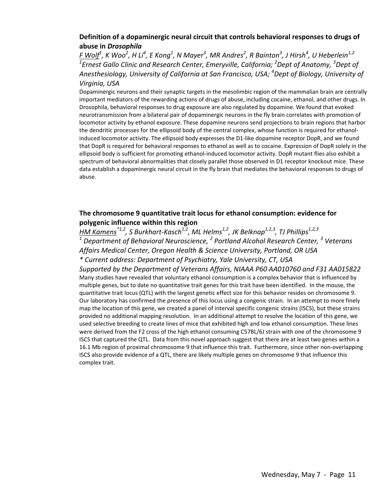#### **Definition of a dopaminergic neural circuit that controls behavioral responses to drugs of abuse in** *Drosophila*

<u>F Wolf</u> $^1$ , K Woo $^2$ , H Li $^4$ , E Kong $^1$ , N Mayer $^3$ , MR Andres $^2$ , R Bainton $^3$ , J Hirsh $^4$ , U Heberlein $^{1,2}$ *1 Ernest Gallo Clinic and Research Center, Emeryville, California; <sup>2</sup> Dept of Anatomy, <sup>3</sup> Dept of Anesthesiology, University of California at San Francisco, USA; <sup>4</sup> Dept of Biology, University of Virginia, USA*

Dopaminergic neurons and their synaptic targets in the mesolimbic region of the mammalian brain are centrally important mediators of the rewarding actions of drugs of abuse, including cocaine, ethanol, and other drugs. In Drosophila, behavioral responses to drug exposure are also regulated by dopamine. We found that evoked neurotransmission from a bilateral pair of dopaminergic neurons in the fly brain correlates with promotion of locomotor activity by ethanol exposure. These dopamine neurons send projections to brain regions that harbor the dendritic processes for the ellipsoid body of the central complex, whose function is required for ethanol‐ induced locomotor activity. The ellipsoid body expresses the D1‐like dopamine receptor DopR, and we found that DopR is required for behavioral responses to ethanol as well as to cocaine. Expression of DopR solely in the ellipsoid body is sufficient for promoting ethanol‐induced locomotor activity. DopR mutant flies also exhibit a spectrum of behavioral abnormalities that closely parallel those observed in D1 receptor knockout mice. These data establish a dopaminergic neural circuit in the fly brain that mediates the behavioral responses to drugs of abuse.

#### **The chromosome 9 quantitative trait locus for ethanol consumption: evidence for polygenic influence within this region**

*HM Kamens\*1,2, S Burkhart‐Kasch1,2, ML Helms1,2, JK Belknap1,2,3, TJ Phillips1,2,3 <sup>1</sup> Department of Behavioral Neuroscience, <sup>2</sup> Portland Alcohol Research Center, <sup>3</sup> Veterans Affairs Medical Center, Oregon Health & Science University, Portland, OR USA \* Current address: Department of Psychiatry, Yale University, CT, USA*

*Supported by the Department of Veterans Affairs, NIAAA P60 AA010760 and F31 AA015822* Many studies have revealed that voluntary ethanol consumption is a complex behavior that is influenced by multiple genes, but to date no quantitative trait genes for this trait have been identified. In the mouse, the quantitative trait locus (QTL) with the largest genetic effect size for this behavior resides on chromosome 9. Our laboratory has confirmed the presence of this locus using a congenic strain. In an attempt to more finely map the location of this gene, we created a panel of interval specific congenic strains (ISCS), but these strains provided no additional mapping resolution. In an additional attempt to resolve the location of this gene, we used selective breeding to create lines of mice that exhibited high and low ethanol consumption. These lines were derived from the F2 cross of the high ethanol consuming C57BL/6J strain with one of the chromosome 9 ISCS that captured the QTL. Data from this novel approach suggest that there are at least two genes within a 16.1 Mb region of proximal chromosome 9 that influence this trait. Furthermore, since other non‐overlapping ISCS also provide evidence of a QTL, there are likely multiple genes on chromosome 9 that influence this complex trait.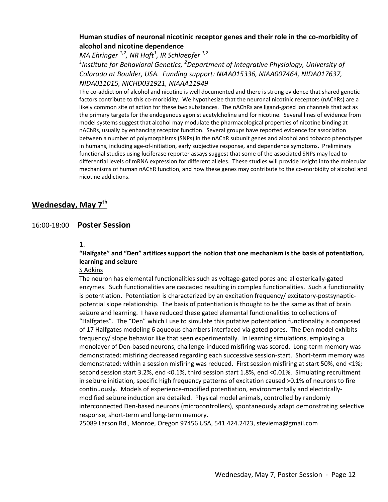#### **Human studies of neuronal nicotinic receptor genes and their role in the co‐morbidity of alcohol and nicotine dependence**

*MA Ehringer 1,2, NR Hoft<sup>1</sup> , IR Schlaepfer 1,2 1 Institute for Behavioral Genetics, <sup>2</sup> Department of Integrative Physiology, University of Colorado at Boulder, USA. Funding support: NIAA015336, NIAA007464, NIDA017637, NIDA011015, NICHD031921, NIAAA11949*

The co-addiction of alcohol and nicotine is well documented and there is strong evidence that shared genetic factors contribute to this co-morbidity. We hypothesize that the neuronal nicotinic receptors (nAChRs) are a likely common site of action for these two substances. The nAChRs are ligand‐gated ion channels that act as the primary targets for the endogenous agonist acetylcholine and for nicotine. Several lines of evidence from model systems suggest that alcohol may modulate the pharmacological properties of nicotine binding at nAChRs, usually by enhancing receptor function. Several groups have reported evidence for association between a number of polymorphisms (SNPs) in the nAChR subunit genes and alcohol and tobacco phenotypes in humans, including age-of-initiation, early subjective response, and dependence symptoms. Preliminary functional studies using luciferase reporter assays suggest that some of the associated SNPs may lead to differential levels of mRNA expression for different alleles. These studies will provide insight into the molecular mechanisms of human nAChR function, and how these genes may contribute to the co-morbidity of alcohol and nicotine addictions.

## **Wednesday, May 7th**

#### 16:00‐18:00 **Poster Session**

#### 1.

**"Halfgate" and "Den" artifices support the notion that one mechanism is the basis of potentiation, learning and seizure**

#### S Adkins

The neuron has elemental functionalities such as voltage‐gated pores and allosterically‐gated enzymes. Such functionalities are cascaded resulting in complex functionalities. Such a functionality is potentiation. Potentiation is characterized by an excitation frequency/ excitatory-postsynapticpotential slope relationship. The basis of potentiation is thought to be the same as that of brain seizure and learning. I have reduced these gated elemental functionalities to collections of "Halfgates". The "Den" which I use to simulate this putative potentiation functionality is composed of 17 Halfgates modeling 6 aqueous chambers interfaced via gated pores. The Den model exhibits frequency/ slope behavior like that seen experimentally. In learning simulations, employing a monolayer of Den-based neurons, challenge-induced misfiring was scored. Long-term memory was demonstrated: misfiring decreased regarding each successive session‐start. Short‐term memory was demonstrated: within a session misfiring was reduced. First session misfiring at start 50%, end <1%; second session start 3.2%, end <0.1%, third session start 1.8%, end <0.01%. Simulating recruitment in seizure initiation, specific high frequency patterns of excitation caused >0.1% of neurons to fire continuously. Models of experience‐modified potentiation, environmentally and electrically‐ modified seizure induction are detailed. Physical model animals, controlled by randomly interconnected Den‐based neurons (microcontrollers), spontaneously adapt demonstrating selective response, short-term and long-term memory.

25089 Larson Rd., Monroe, Oregon 97456 USA, 541.424.2423, steviema@gmail.com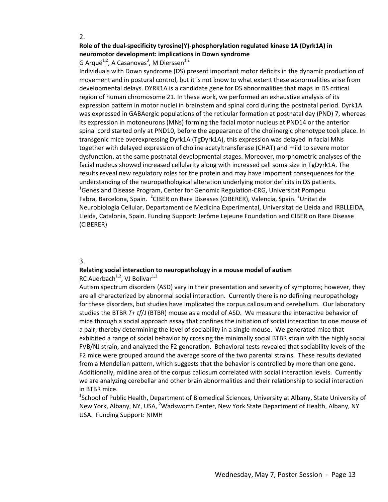#### **Role of the dual‐specificity tyrosine(Y)‐phosphorylation regulated kinase 1A (Dyrk1A) in neuromotor development: implications in Down syndrome**

#### G Arqué<sup>1,2</sup>, A Casanovas<sup>3</sup>, M Dierssen<sup>1,2</sup>

Individuals with Down syndrome (DS) present important motor deficits in the dynamic production of movement and in postural control, but it is not know to what extent these abnormalities arise from developmental delays. DYRK1A is a candidate gene for DS abnormalities that maps in DS critical region of human chromosome 21. In these work, we performed an exhaustive analysis of its expression pattern in motor nuclei in brainstem and spinal cord during the postnatal period. Dyrk1A was expressed in GABAergic populations of the reticular formation at postnatal day (PND) 7, whereas its expression in motoneurons (MNs) forming the facial motor nucleus at PND14 or the anterior spinal cord started only at PND10, before the appearance of the cholinergic phenotype took place. In transgenic mice overexpressing Dyrk1A (TgDyrk1A), this expression was delayed in facial MNs together with delayed expression of choline acetyltransferase (CHAT) and mild to severe motor dysfunction, at the same postnatal developmental stages. Moreover, morphometric analyses of the facial nucleus showed increased cellularity along with increased cell soma size in TgDyrk1A. The results reveal new regulatory roles for the protein and may have important consequences for the understanding of the neuropathological alteration underlying motor deficits in DS patients. <sup>1</sup>Genes and Disease Program, Center for Genomic Regulation-CRG, Universitat Pompeu Fabra, Barcelona, Spain. <sup>2</sup>CIBER on Rare Diseases (CIBERER), Valencia, Spain. <sup>3</sup>Unitat de Neurobiologia Cellular, Departament de Medicina Experimental, Universitat de Lleida and IRBLLEIDA, Lleida, Catalonia, Spain. Funding Support: Jerôme Lejeune Foundation and CIBER on Rare Disease (CIBERER)

#### 3.

#### **Relating social interaction to neuropathology in a mouse model of autism** RC Auerbach<sup>1,2</sup>, VJ Bolivar<sup>1,2</sup>

Autism spectrum disorders (ASD) vary in their presentation and severity of symptoms; however, they are all characterized by abnormal social interaction. Currently there is no defining neuropathology for these disorders, but studies have implicated the corpus callosum and cerebellum. Our laboratory studies the BTBR *T+ tf*/J (BTBR) mouse as a model of ASD. We measure the interactive behavior of mice through a social approach assay that confines the initiation of social interaction to one mouse of a pair, thereby determining the level of sociability in a single mouse. We generated mice that exhibited a range of social behavior by crossing the minimally social BTBR strain with the highly social FVB/NJ strain, and analyzed the F2 generation. Behavioral tests revealed that sociability levels of the F2 mice were grouped around the average score of the two parental strains. These results deviated from a Mendelian pattern, which suggests that the behavior is controlled by more than one gene. Additionally, midline area of the corpus callosum correlated with social interaction levels. Currently we are analyzing cerebellar and other brain abnormalities and their relationship to social interaction in BTBR mice.

<sup>1</sup>School of Public Health, Department of Biomedical Sciences, University at Albany, State University of New York, Albany, NY, USA, <sup>2</sup>Wadsworth Center, New York State Department of Health, Albany, NY USA. Funding Support: NIMH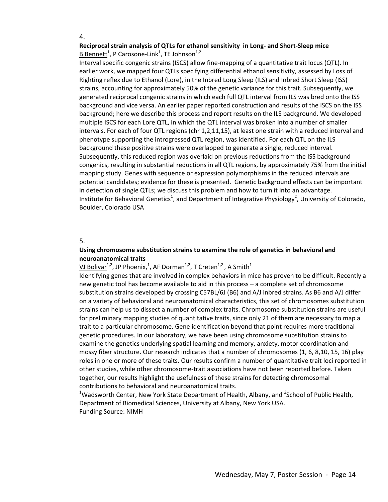#### **Reciprocal strain analysis of QTLs for ethanol sensitivity in Long‐ and Short‐Sleep mice**  $B$  Bennett<sup>1</sup>, P Carosone-Link<sup>1</sup>, TE Johnson<sup>1,2</sup>

Interval specific congenic strains (ISCS) allow fine‐mapping of a quantitative trait locus (QTL). In earlier work, we mapped four QTLs specifying differential ethanol sensitivity, assessed by Loss of Righting reflex due to Ethanol (Lore), in the Inbred Long Sleep (ILS) and Inbred Short Sleep (ISS) strains, accounting for approximately 50% of the genetic variance for this trait. Subsequently, we generated reciprocal congenic strains in which each full QTL interval from ILS was bred onto the ISS background and vice versa. An earlier paper reported construction and results of the ISCS on the ISS background; here we describe this process and report results on the ILS background. We developed multiple ISCS for each Lore QTL, in which the QTL interval was broken into a number of smaller intervals. For each of four QTL regions (chr 1,2,11,15), at least one strain with a reduced interval and phenotype supporting the introgressed QTL region, was identified. For each QTL on the ILS background these positive strains were overlapped to generate a single, reduced interval. Subsequently, this reduced region was overlaid on previous reductions from the ISS background congenics, resulting in substantial reductions in all QTL regions, by approximately 75% from the initial mapping study. Genes with sequence or expression polymorphisms in the reduced intervals are potential candidates; evidence for these is presented. Genetic background effects can be important in detection of single QTLs; we discuss this problem and how to turn it into an advantage. Institute for Behavioral Genetics<sup>1</sup>, and Department of Integrative Physiology<sup>2</sup>, University of Colorado, Boulder, Colorado USA

#### 5.

#### **Using chromosome substitution strains to examine the role of genetics in behavioral and neuroanatomical traits**

#### <mark>VJ Bolivar<sup>1,2</sup>, JP Phoenix,<sup>1</sup>, AF Dorman<sup>1,2</sup>, T Creten<sup>1,2</sup> , A Smith<sup>1</sup></mark>

Identifying genes that are involved in complex behaviors in mice has proven to be difficult. Recently a new genetic tool has become available to aid in this process – a complete set of chromosome substitution strains developed by crossing C57BL/6J (B6) and A/J inbred strains. As B6 and A/J differ on a variety of behavioral and neuroanatomical characteristics, this set of chromosomes substitution strains can help us to dissect a number of complex traits. Chromosome substitution strains are useful for preliminary mapping studies of quantitative traits, since only 21 of them are necessary to map a trait to a particular chromosome. Gene identification beyond that point requires more traditional genetic procedures. In our laboratory, we have been using chromosome substitution strains to examine the genetics underlying spatial learning and memory, anxiety, motor coordination and mossy fiber structure. Our research indicates that a number of chromosomes (1, 6, 8,10, 15, 16) play roles in one or more of these traits. Our results confirm a number of quantitative trait loci reported in other studies, while other chromosome‐trait associations have not been reported before. Taken together, our results highlight the usefulness of these strains for detecting chromosomal contributions to behavioral and neuroanatomical traits.

<sup>1</sup>Wadsworth Center, New York State Department of Health, Albany, and <sup>2</sup>School of Public Health, Department of Biomedical Sciences, University at Albany, New York USA. Funding Source: NIMH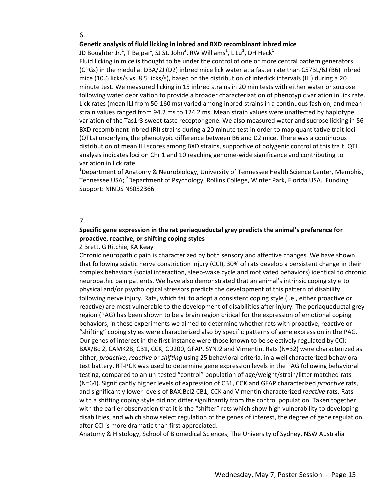#### **Genetic analysis of fluid licking in inbred and BXD recombinant inbred mice**

 $10$  Boughter Jr.<sup>1</sup>, T Bajpai<sup>1</sup>, SJ St. John<sup>2</sup>, RW Williams<sup>1</sup>, L Lu<sup>1</sup>, DH Heck<sup>1</sup>

Fluid licking in mice is thought to be under the control of one or more central pattern generators (CPGs) in the medulla. DBA/2J (D2) inbred mice lick water at a faster rate than C57BL/6J (B6) inbred mice (10.6 licks/s vs. 8.5 licks/s), based on the distribution of interlick intervals (ILI) during a 20 minute test. We measured licking in 15 inbred strains in 20 min tests with either water or sucrose following water deprivation to provide a broader characterization of phenotypic variation in lick rate. Lick rates (mean ILI from 50‐160 ms) varied among inbred strains in a continuous fashion, and mean strain values ranged from 94.2 ms to 124.2 ms. Mean strain values were unaffected by haplotype variation of the Tas1r3 sweet taste receptor gene. We also measured water and sucrose licking in 56 BXD recombinant inbred (RI) strains during a 20 minute test in order to map quantitative trait loci (QTLs) underlying the phenotypic difference between B6 and D2 mice. There was a continuous distribution of mean ILI scores among BXD strains, supportive of polygenic control of this trait. QTL analysis indicates loci on Chr 1 and 10 reaching genome‐wide significance and contributing to variation in lick rate.

<sup>1</sup>Department of Anatomy & Neurobiology, University of Tennessee Health Science Center, Memphis, Tennessee USA; <sup>2</sup>Department of Psychology, Rollins College, Winter Park, Florida USA. Funding Support: NINDS NS052366

#### 7.

#### **Specific gene expression in the rat periaqueductal grey predicts the animal's preference for proactive, reactive, or shifting coping styles**

#### Z Brett, G Ritchie, KA Keay

Chronic neuropathic pain is characterized by both sensory and affective changes. We have shown that following sciatic nerve constriction injury (CCI), 30% of rats develop a persistent change in their complex behaviors (social interaction, sleep‐wake cycle and motivated behaviors) identical to chronic neuropathic pain patients. We have also demonstrated that an animal's intrinsic coping style to physical and/or psychological stressors predicts the development of this pattern of disability following nerve injury. Rats, which fail to adopt a consistent coping style (i.e., either proactive or reactive) are most vulnerable to the development of disabilities after injury. The periaqueductal grey region (PAG) has been shown to be a brain region critical for the expression of emotional coping behaviors, in these experiments we aimed to determine whether rats with proactive, reactive or "shifting" coping styles were characterized also by specific patterns of gene expression in the PAG. Our genes of interest in the first instance were those known to be selectively regulated by CCI: BAX/Bcl2, CAMK2B, CB1, CCK, CD200, GFAP, SYNJ2 and Vimentin. Rats (N=32) were characterized as either, *proactive*, *reactive* or *shifting* using 25 behavioral criteria, in a well characterized behavioral test battery. RT‐PCR was used to determine gene expression levels in the PAG following behavioral testing, compared to an un‐tested "control" population of age/weight/strain/litter matched rats (N=64). Significantly higher levels of expression of CB1, CCK and GFAP characterized *proactive* rats, and significantly lower levels of BAX:Bcl2 CB1, CCK and Vimentin characterized *reactive* rats. Rats with a shifting coping style did not differ significantly from the control population. Taken together with the earlier observation that it is the "shifter" rats which show high vulnerability to developing disabilities, and which show select regulation of the genes of interest, the degree of gene regulation after CCI is more dramatic than first appreciated.

Anatomy & Histology, School of Biomedical Sciences, The University of Sydney, NSW Australia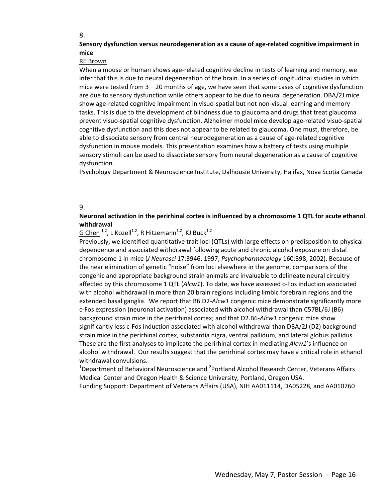#### **Sensory dysfunction versus neurodegeneration as a cause of age‐related cognitive impairment in mice**

#### RE Brown

When a mouse or human shows age-related cognitive decline in tests of learning and memory, we infer that this is due to neural degeneration of the brain. In a series of longitudinal studies in which mice were tested from 3 – 20 months of age, we have seen that some cases of cognitive dysfunction are due to sensory dysfunction while others appear to be due to neural degeneration. DBA/2J mice show age-related cognitive impairment in visuo-spatial but not non-visual learning and memory tasks. This is due to the development of blindness due to glaucoma and drugs that treat glaucoma prevent visuo‐spatial cognitive dysfunction. Alzheimer model mice develop age‐related visuo‐spatial cognitive dysfunction and this does not appear to be related to glaucoma. One must, therefore, be able to dissociate sensory from central neurodegeneration as a cause of age-related cognitive dysfunction in mouse models. This presentation examines how a battery of tests using multiple sensory stimuli can be used to dissociate sensory from neural degeneration as a cause of cognitive dysfunction.

Psychology Department & Neuroscience Institute, Dalhousie University, Halifax, Nova Scotia Canada

#### 9.

#### **Neuronal activation in the perirhinal cortex is influenced by a chromosome 1 QTL for acute ethanol withdrawal**

#### G Chen  $^{1,2}$ , L Kozell<sup>1,2</sup>, R Hitzemann<sup>1,2</sup>, KJ Buck<sup>1,2</sup>

Previously, we identified quantitative trait loci (QTLs) with large effects on predisposition to physical dependence and associated withdrawal following acute and chronic alcohol exposure on distal chromosome 1 in mice (*J Neurosci* 17:3946, 1997; *Psychopharmacology* 160:398, 2002). Because of the near elimination of genetic "noise" from loci elsewhere in the genome, comparisons of the congenic and appropriate background strain animals are invaluable to delineate neural circuitry affected by this chromosome 1 QTL (*Alcw1*). To date, we have assessed c‐Fos induction associated with alcohol withdrawal in more than 20 brain regions including limbic forebrain regions and the extended basal ganglia. We report that B6.D2*‐Alcw1* congenic mice demonstrate significantly more c‐Fos expression (neuronal activation) associated with alcohol withdrawal than C57BL/6J (B6) background strain mice in the perirhinal cortex; and that D2.B6‐*Alcw1* congenic mice show significantly less c‐Fos induction associated with alcohol withdrawal than DBA/2J (D2) background strain mice in the perirhinal cortex, substantia nigra, ventral pallidum, and lateral globus pallidus. These are the first analyses to implicate the perirhinal cortex in mediating *Alcw1*'s influence on alcohol withdrawal. Our results suggest that the perirhinal cortex may have a critical role in ethanol withdrawal convulsions.

 $^{1}$ Department of Behavioral Neuroscience and <sup>2</sup>Portland Alcohol Research Center, Veterans Affairs Medical Center and Oregon Health & Science University, Portland, Oregon USA.

Funding Support: Department of Veterans Affairs (USA), NIH AA011114, DA05228, and AA010760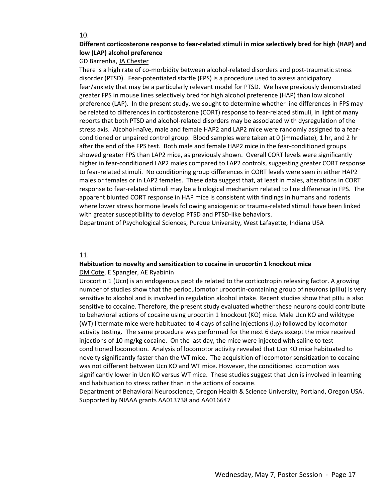#### **Different corticosterone response to fear‐related stimuli in mice selectively bred for high (HAP) and low (LAP) alcohol preference**

#### GD Barrenha, JA Chester

There is a high rate of co-morbidity between alcohol-related disorders and post-traumatic stress disorder (PTSD). Fear‐potentiated startle (FPS) is a procedure used to assess anticipatory fear/anxiety that may be a particularly relevant model for PTSD. We have previously demonstrated greater FPS in mouse lines selectively bred for high alcohol preference (HAP) than low alcohol preference (LAP). In the present study, we sought to determine whether line differences in FPS may be related to differences in corticosterone (CORT) response to fear-related stimuli, in light of many reports that both PTSD and alcohol‐related disorders may be associated with dysregulation of the stress axis. Alcohol‐naïve, male and female HAP2 and LAP2 mice were randomly assigned to a fear‐ conditioned or unpaired control group. Blood samples were taken at 0 (immediate), 1 hr, and 2 hr after the end of the FPS test. Both male and female HAP2 mice in the fear-conditioned groups showed greater FPS than LAP2 mice, as previously shown. Overall CORT levels were significantly higher in fear-conditioned LAP2 males compared to LAP2 controls, suggesting greater CORT response to fear-related stimuli. No conditioning group differences in CORT levels were seen in either HAP2 males or females or in LAP2 females. These data suggest that, at least in males, alterations in CORT response to fear‐related stimuli may be a biological mechanism related to line difference in FPS. The apparent blunted CORT response in HAP mice is consistent with findings in humans and rodents where lower stress hormone levels following anxiogenic or trauma-related stimuli have been linked with greater susceptibility to develop PTSD and PTSD-like behaviors.

Department of Psychological Sciences, Purdue University, West Lafayette, Indiana USA

#### 11.

## **Habituation to novelty and sensitization to cocaine in urocortin 1 knockout mice**

DM Cote, E Spangler, AE Ryabinin

Urocortin 1 (Ucn) is an endogenous peptide related to the corticotropin releasing factor. A growing number of studies show that the perioculomotor urocortin‐containing group of neurons (pIIIu) is very sensitive to alcohol and is involved in regulation alcohol intake. Recent studies show that pIIIu is also sensitive to cocaine. Therefore, the present study evaluated whether these neurons could contribute to behavioral actions of cocaine using urocortin 1 knockout (KO) mice. Male Ucn KO and wildtype (WT) littermate mice were habituated to 4 days of saline injections (i.p) followed by locomotor activity testing. The same procedure was performed for the next 6 days except the mice received injections of 10 mg/kg cocaine. On the last day, the mice were injected with saline to test conditioned locomotion. Analysis of locomotor activity revealed that Ucn KO mice habituated to novelty significantly faster than the WT mice. The acquisition of locomotor sensitization to cocaine was not different between Ucn KO and WT mice. However, the conditioned locomotion was significantly lower in Ucn KO versus WT mice. These studies suggest that Ucn is involved in learning and habituation to stress rather than in the actions of cocaine.

Department of Behavioral Neuroscience, Oregon Health & Science University, Portland, Oregon USA. Supported by NIAAA grants AA013738 and AA016647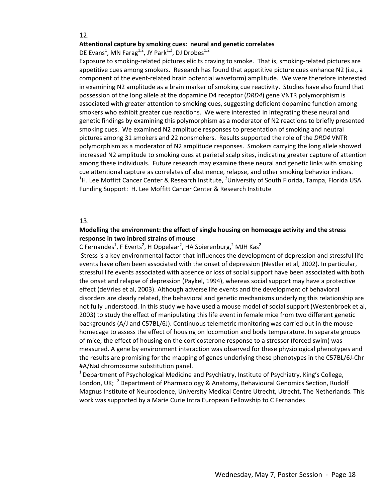#### **Attentional capture by smoking cues: neural and genetic correlates**

 $DE$  Evans<sup>1</sup>, MN Farag<sup>1,2</sup>, JY Park<sup>1,2</sup>, DJ Drobes<sup>1,2</sup>

Exposure to smoking-related pictures elicits craving to smoke. That is, smoking-related pictures are appetitive cues among smokers. Research has found that appetitive picture cues enhance N2 (i.e., a component of the event‐related brain potential waveform) amplitude. We were therefore interested in examining N2 amplitude as a brain marker of smoking cue reactivity. Studies have also found that possession of the long allele at the dopamine D4 receptor (*DRD4*) gene VNTR polymorphism is associated with greater attention to smoking cues, suggesting deficient dopamine function among smokers who exhibit greater cue reactions. We were interested in integrating these neural and genetic findings by examining this polymorphism as a moderator of N2 reactions to briefly presented smoking cues. We examined N2 amplitude responses to presentation of smoking and neutral pictures among 31 smokers and 22 nonsmokers. Results supported the role of the *DRD4* VNTR polymorphism as a moderator of N2 amplitude responses. Smokers carrying the long allele showed increased N2 amplitude to smoking cues at parietal scalp sites, indicating greater capture of attention among these individuals. Future research may examine these neural and genetic links with smoking cue attentional capture as correlates of abstinence, relapse, and other smoking behavior indices. <sup>1</sup>H. Lee Moffitt Cancer Center & Research Institute, <sup>2</sup>University of South Florida, Tampa, Florida USA. Funding Support: H. Lee Moffitt Cancer Center & Research Institute

#### 13.

#### **Modelling the environment: the effect of single housing on homecage activity and the stress response in two inbred strains of mouse**

C Fernandes<sup>1</sup>, F Everts<sup>2</sup>, H Oppelaar<sup>2</sup>, HA Spierenburg,<sup>2</sup> MJH Kas<sup>2</sup>

Stress is a key environmental factor that influences the development of depression and stressful life events have often been associated with the onset of depression (Nestler et al, 2002). In particular, stressful life events associated with absence or loss of social support have been associated with both the onset and relapse of depression (Paykel, 1994), whereas social support may have a protective effect (deVries et al, 2003). Although adverse life events and the development of behavioral disorders are clearly related, the behavioral and genetic mechanisms underlying this relationship are not fully understood. In this study we have used a mouse model of social support (Westenbroek et al, 2003) to study the effect of manipulating this life event in female mice from two different genetic backgrounds (A/J and C57BL/6J). Continuous telemetric monitoring was carried out in the mouse homecage to assess the effect of housing on locomotion and body temperature. In separate groups of mice, the effect of housing on the corticosterone response to a stressor (forced swim) was measured. A gene by environment interaction was observed for these physiological phenotypes and the results are promising for the mapping of genes underlying these phenotypes in the C57BL/6J‐Chr #A/NaJ chromosome substitution panel.

<sup>1</sup> Department of Psychological Medicine and Psychiatry, Institute of Psychiatry, King's College, London, UK; <sup>2</sup> Department of Pharmacology & Anatomy, Behavioural Genomics Section, Rudolf Magnus Institute of Neuroscience, University Medical Centre Utrecht, Utrecht, The Netherlands. This work was supported by a Marie Curie Intra European Fellowship to C Fernandes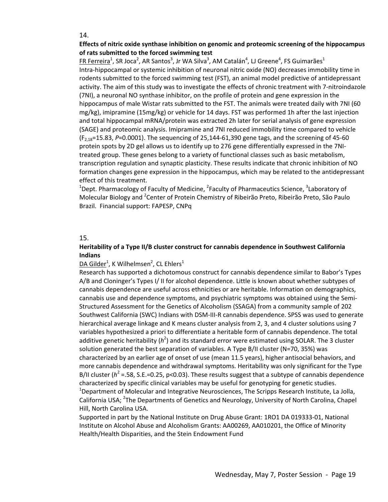#### **Effects of nitric oxide synthase inhibition on genomic and proteomic screening of the hippocampus of rats submitted to the forced swimming test**

 $FR Ferreira<sup>1</sup>, SR Joca<sup>2</sup>, AR Santos<sup>3</sup>, Jr WA Silva<sup>3</sup>, AM Catalán<sup>4</sup>, LJ Greene<sup>4</sup>, FS Guimarães<sup>1</sup>$ </u> Intra-hippocampal or systemic inhibition of neuronal nitric oxide (NO) decreases immobility time in rodents submitted to the forced swimming test (FST), an animal model predictive of antidepressant activity. The aim of this study was to investigate the effects of chronic treatment with 7‐nitroindazole (7NI), a neuronal NO synthase inhibitor, on the profile of protein and gene expression in the hippocampus of male Wistar rats submitted to the FST. The animals were treated daily with 7NI (60 mg/kg), imipramine (15mg/kg) or vehicle for 14 days. FST was performed 1h after the last injection and total hippocampal mRNA/protein was extracted 2h later for serial analysis of gene expression (SAGE) and proteomic analysis. Imipramine and 7NI reduced immobility time compared to vehicle (F2,18=15.83, *P*=0.0001). The sequencing of 25,144‐61,390 gene tags, and the screening of 45‐60 protein spots by 2D gel allows us to identify up to 276 gene differentially expressed in the 7NI‐ treated group. These genes belong to a variety of functional classes such as basic metabolism, transcription regulation and synaptic plasticity. These results indicate that chronic inhibition of NO formation changes gene expression in the hippocampus, which may be related to the antidepressant effect of this treatment.

<sup>1</sup>Dept. Pharmacology of Faculty of Medicine, <sup>2</sup>Faculty of Pharmaceutics Science, <sup>3</sup>Laboratory of Molecular Biology and <sup>2</sup>Center of Protein Chemistry of Ribeirão Preto, Ribeirão Preto, São Paulo Brazil. Financial support: FAPESP, CNPq

#### 15.

#### **Heritability of a Type II/B cluster construct for cannabis dependence in Southwest California Indians**

#### $\overline{\mathsf{DA}}$  Gilder<sup>1</sup>, K Wilhelmsen<sup>2</sup>, CL Ehlers<sup>1</sup>

Research has supported a dichotomous construct for cannabis dependence similar to Babor's Types A/B and Cloninger's Types I/ II for alcohol dependence. Little is known about whether subtypes of cannabis dependence are useful across ethnicities or are heritable. Information on demographics, cannabis use and dependence symptoms, and psychiatric symptoms was obtained using the Semi‐ Structured Assessment for the Genetics of Alcoholism (SSAGA) from a community sample of 202 Southwest California (SWC) Indians with DSM‐III‐R cannabis dependence. SPSS was used to generate hierarchical average linkage and K means cluster analysis from 2, 3, and 4 cluster solutions using 7 variables hypothesized a priori to differentiate a heritable form of cannabis dependence. The total additive genetic heritability (h<sup>2</sup>) and its standard error were estimated using SOLAR. The 3 cluster solution generated the best separation of variables. A Type B/II cluster (N=70, 35%) was characterized by an earlier age of onset of use (mean 11.5 years), higher antisocial behaviors, and more cannabis dependence and withdrawal symptoms. Heritability was only significant for the Type B/II cluster  $(h^2 = .58, S.E.=0.25, p < 0.03)$ . These results suggest that a subtype of cannabis dependence characterized by specific clinical variables may be useful for genotyping for genetic studies. <sup>1</sup>Department of Molecular and Integrative Neurosciences, The Scripps Research Institute, La Jolla, California USA; <sup>2</sup>The Departments of Genetics and Neurology, University of North Carolina, Chapel Hill, North Carolina USA.

Supported in part by the National Institute on Drug Abuse Grant: 1RO1 DA 019333‐01, National Institute on Alcohol Abuse and Alcoholism Grants: AA00269, AA010201, the Office of Minority Health/Health Disparities, and the Stein Endowment Fund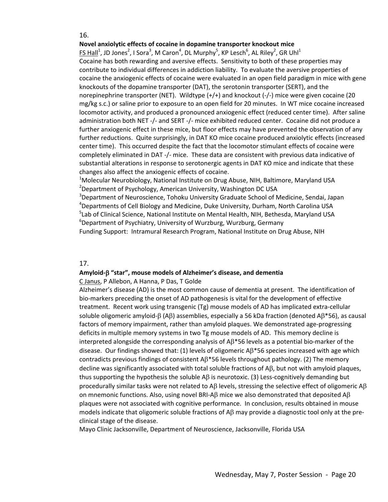#### **Novel anxiolytic effects of cocaine in dopamine transporter knockout mice**

 $FS$  Hall<sup>1</sup>, JD Jones<sup>2</sup>, I Sora<sup>3</sup>, M Caron<sup>4</sup>, DL Murphy<sup>5</sup>, KP Lesch<sup>6</sup>, AL Riley<sup>2</sup>, GR Uhl<sup>1</sup> Cocaine has both rewarding and aversive effects. Sensitivity to both of these properties may contribute to individual differences in addiction liability. To evaluate the aversive properties of cocaine the anxiogenic effects of cocaine were evaluated in an open field paradigm in mice with gene knockouts of the dopamine transporter (DAT), the serotonin transporter (SERT), and the norepinephrine transporter (NET). Wildtype (+/+) and knockout (‐/‐) mice were given cocaine (20 mg/kg s.c.) or saline prior to exposure to an open field for 20 minutes. In WT mice cocaine increased locomotor activity, and produced a pronounced anxiogenic effect (reduced center time). After saline administration both NET ‐/‐ and SERT ‐/‐ mice exhibited reduced center. Cocaine did not produce a further anxiogenic effect in these mice, but floor effects may have prevented the observation of any further reductions. Quite surprisingly, in DAT KO mice cocaine produced anxiolytic effects (increased center time). This occurred despite the fact that the locomotor stimulant effects of cocaine were completely eliminated in DAT ‐/‐ mice. These data are consistent with previous data indicative of substantial alterations in response to serotonergic agents in DAT KO mice and indicate that these changes also affect the anxiogenic effects of cocaine.

<sup>1</sup>Molecular Neurobiology, National Institute on Drug Abuse, NIH, Baltimore, Maryland USA <sup>2</sup>Department of Psychology, American University, Washington DC USA

<sup>3</sup>Department of Neuroscience, Tohoku University Graduate School of Medicine, Sendai, Japan 4 Departments of Cell Biology and Medicine, Duke University, Durham, North Carolina USA 5 Lab of Clinical Science, National Institute on Mental Health, NIH, Bethesda, Maryland USA 6 Department of Psychiatry, University of Wurzburg, Wurzburg, Germany Funding Support: Intramural Research Program, National Institute on Drug Abuse, NIH

#### 17.

#### **Amyloid‐**β **"star", mouse models of Alzheimer's disease, and dementia**

C Janus, P Allebon, A Hanna, P Das, T Golde

Alzheimer's disease (AD) is the most common cause of dementia at present. The identification of bio-markers preceding the onset of AD pathogenesis is vital for the development of effective treatment. Recent work using transgenic (Tg) mouse models of AD has implicated extra‐cellular soluble oligomeric amyloid‐β (Aβ) assemblies, especially a 56 kDa fraction (denoted Aβ\*56), as causal factors of memory impairment, rather than amyloid plaques. We demonstrated age-progressing deficits in multiple memory systems in two Tg mouse models of AD. This memory decline is interpreted alongside the corresponding analysis of Aβ\*56 levels as a potential bio‐marker of the disease. Our findings showed that: (1) levels of oligomeric  $\mathsf{AB}^*$ 56 species increased with age which contradicts previous findings of consistent  $AB^*56$  levels throughout pathology. (2) The memory decline was significantly associated with total soluble fractions of Aβ, but not with amyloid plaques, thus supporting the hypothesis the soluble  $\Delta\beta$  is neurotoxic. (3) Less-cognitively demanding but procedurally similar tasks were not related to A $\beta$  levels, stressing the selective effect of oligomeric A $\beta$ on mnemonic functions. Also, using novel BRI-A $\beta$  mice we also demonstrated that deposited A $\beta$ plaques were not associated with cognitive performance. In conclusion, results obtained in mouse models indicate that oligomeric soluble fractions of  $AB$  may provide a diagnostic tool only at the preclinical stage of the disease.

Mayo Clinic Jacksonville, Department of Neuroscience, Jacksonville, Florida USA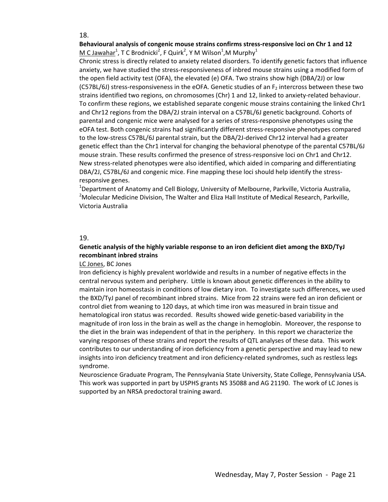#### **Behavioural analysis of congenic mouse strains confirms stress‐responsive loci on Chr 1 and 12**  $M$  C Jawahar<sup>1</sup>, T C Brodnicki<sup>2</sup>, F Quirk<sup>2</sup>, Y M Wilson<sup>1</sup>,M Murphy<sup>1</sup>

Chronic stress is directly related to anxiety related disorders. To identify genetic factors that influence anxiety, we have studied the stress‐responsiveness of inbred mouse strains using a modified form of the open field activity test (OFA), the elevated (e) OFA. Two strains show high (DBA/2J) or low (C57BL/6J) stress-responsiveness in the eOFA. Genetic studies of an  $F<sub>2</sub>$  intercross between these two strains identified two regions, on chromosomes (Chr) 1 and 12, linked to anxiety‐related behaviour. To confirm these regions, we established separate congenic mouse strains containing the linked Chr1 and Chr12 regions from the DBA/2J strain interval on a C57BL/6J genetic background. Cohorts of parental and congenic mice were analysed for a series of stress-responsive phenotypes using the eOFA test. Both congenic strains had significantly different stress-responsive phenotypes compared to the low-stress C57BL/6J parental strain, but the DBA/2J-derived Chr12 interval had a greater genetic effect than the Chr1 interval for changing the behavioral phenotype of the parental C57BL/6J mouse strain. These results confirmed the presence of stress-responsive loci on Chr1 and Chr12. New stress‐related phenotypes were also identified, which aided in comparing and differentiating DBA/2J, C57BL/6J and congenic mice. Fine mapping these loci should help identify the stress‐ responsive genes.

<sup>1</sup>Department of Anatomy and Cell Biology, University of Melbourne, Parkville, Victoria Australia, <sup>2</sup>Molecular Medicine Division, The Walter and Eliza Hall Institute of Medical Research, Parkville, Victoria Australia

#### 19.

#### **Genetic analysis of the highly variable response to an iron deficient diet among the BXD/TyJ recombinant inbred strains**

#### LC Jones, BC Jones

Iron deficiency is highly prevalent worldwide and results in a number of negative effects in the central nervous system and periphery. Little is known about genetic differences in the ability to maintain iron homeostasis in conditions of low dietary iron. To investigate such differences, we used the BXD/TyJ panel of recombinant inbred strains. Mice from 22 strains were fed an iron deficient or control diet from weaning to 120 days, at which time iron was measured in brain tissue and hematological iron status was recorded. Results showed wide genetic‐based variability in the magnitude of iron loss in the brain as well as the change in hemoglobin. Moreover, the response to the diet in the brain was independent of that in the periphery. In this report we characterize the varying responses of these strains and report the results of QTL analyses of these data. This work contributes to our understanding of iron deficiency from a genetic perspective and may lead to new insights into iron deficiency treatment and iron deficiency-related syndromes, such as restless legs syndrome.

Neuroscience Graduate Program, The Pennsylvania State University, State College, Pennsylvania USA. This work was supported in part by USPHS grants NS 35088 and AG 21190. The work of LC Jones is supported by an NRSA predoctoral training award.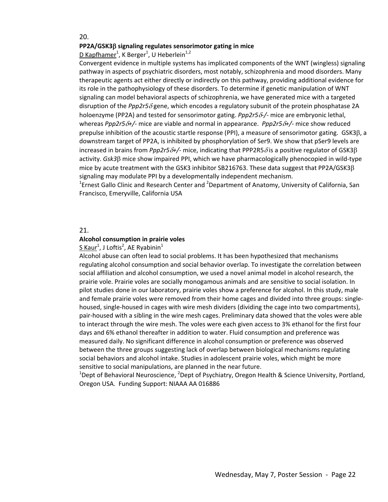#### **PP2A/GSK3**β **signaling regulates sensorimotor gating in mice**

D Kapfhamer<sup>1</sup>, K Berger<sup>1</sup>, U Heberlein<sup>1,2</sup>

Convergent evidence in multiple systems has implicated components of the WNT (wingless) signaling pathway in aspects of psychiatric disorders, most notably, schizophrenia and mood disorders. Many therapeutic agents act either directly or indirectly on this pathway, providing additional evidence for its role in the pathophysiology of these disorders. To determine if genetic manipulation of WNT signaling can model behavioral aspects of schizophrenia, we have generated mice with a targeted disruption of the *Ppp2r5*δ gene, which encodes a regulatory subunit of the protein phosphatase 2A holoenzyme (PP2A) and tested for sensorimotor gating. *Ppp2r5*δ*‐/‐* mice are embryonic lethal, whereas *Ppp2r5*δ*+/‐* mice are viable and normal in appearance. *Ppp2r5*δ*+/‐* mice show reduced prepulse inhibition of the acoustic startle response (PPI), a measure of sensorimotor gating. GSK3β, a downstream target of PP2A, is inhibited by phosphorylation of Ser9. We show that pSer9 levels are increased in brains from *Ppp2r5*δ*+/‐* mice, indicating that PPP2R5<sup>δ</sup> is a positive regulator of GSK3β activity. *Gsk3*β mice show impaired PPI, which we have pharmacologically phenocopied in wild‐type mice by acute treatment with the GSK3 inhibitor SB216763. These data suggest that PP2A/GSK3β signaling may modulate PPI by a developmentally independent mechanism.

<sup>1</sup>Ernest Gallo Clinic and Research Center and <sup>2</sup>Department of Anatomy, University of California, San Francisco, Emeryville, California USA

#### 21.

#### **Alcohol consumption in prairie voles**

#### $S$  Kaur<sup>1</sup>, J Loftis<sup>2</sup>, AE Ryabinin<sup>1</sup>

Alcohol abuse can often lead to social problems. It has been hypothesized that mechanisms regulating alcohol consumption and social behavior overlap. To investigate the correlation between social affiliation and alcohol consumption, we used a novel animal model in alcohol research, the prairie vole. Prairie voles are socially monogamous animals and are sensitive to social isolation. In pilot studies done in our laboratory, prairie voles show a preference for alcohol. In this study, male and female prairie voles were removed from their home cages and divided into three groups: single‐ housed, single-housed in cages with wire mesh dividers (dividing the cage into two compartments), pair‐housed with a sibling in the wire mesh cages. Preliminary data showed that the voles were able to interact through the wire mesh. The voles were each given access to 3% ethanol for the first four days and 6% ethanol thereafter in addition to water. Fluid consumption and preference was measured daily. No significant difference in alcohol consumption or preference was observed between the three groups suggesting lack of overlap between biological mechanisms regulating social behaviors and alcohol intake. Studies in adolescent prairie voles, which might be more sensitive to social manipulations, are planned in the near future.

<sup>1</sup>Dept of Behavioral Neuroscience, <sup>2</sup>Dept of Psychiatry, Oregon Health & Science University, Portland, Oregon USA. Funding Support: NIAAA AA 016886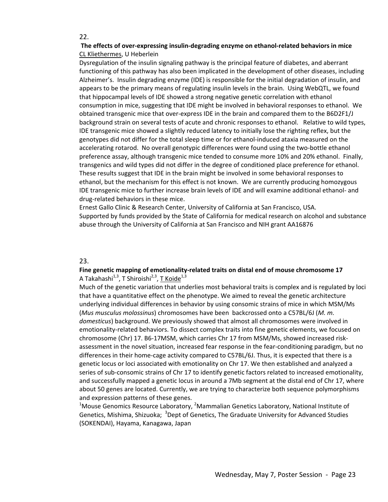#### **The effects of over‐expressing insulin‐degrading enzyme on ethanol‐related behaviors in mice**  CL Kliethermes, U Heberlein

Dysregulation of the insulin signaling pathway is the principal feature of diabetes, and aberrant functioning of this pathway has also been implicated in the development of other diseases, including Alzheimer's. Insulin degrading enzyme (IDE) is responsible for the initial degradation of insulin, and appears to be the primary means of regulating insulin levels in the brain. Using WebQTL, we found that hippocampal levels of IDE showed a strong negative genetic correlation with ethanol consumption in mice, suggesting that IDE might be involved in behavioral responses to ethanol. We obtained transgenic mice that over‐express IDE in the brain and compared them to the B6D2F1/J background strain on several tests of acute and chronic responses to ethanol. Relative to wild types, IDE transgenic mice showed a slightly reduced latency to initially lose the righting reflex, but the genotypes did not differ for the total sleep time or for ethanol-induced ataxia measured on the accelerating rotarod. No overall genotypic differences were found using the two‐bottle ethanol preference assay, although transgenic mice tended to consume more 10% and 20% ethanol. Finally, transgenics and wild types did not differ in the degree of conditioned place preference for ethanol. These results suggest that IDE in the brain might be involved in some behavioral responses to ethanol, but the mechanism for this effect is not known. We are currently producing homozygous IDE transgenic mice to further increase brain levels of IDE and will examine additional ethanol‐ and drug‐related behaviors in these mice.

Ernest Gallo Clinic & Research Center, University of California at San Francisco, USA. Supported by funds provided by the State of California for medical research on alcohol and substance abuse through the University of California at San Francisco and NIH grant AA16876

#### 23.

#### **Fine genetic mapping of emotionality‐related traits on distal end of mouse chromosome 17** A Takahashi<sup>1,3</sup>, T Shiroishi<sup>2,3</sup>, T Koide<sup>1,3</sup>

Much of the genetic variation that underlies most behavioral traits is complex and is regulated by loci that have a quantitative effect on the phenotype. We aimed to reveal the genetic architecture underlying individual differences in behavior by using consomic strains of mice in which MSM/Ms (*Mus musculus molossinus*) chromosomes have been backcrossed onto a C57BL/6J (*M. m. domesticus*) background. We previously showed that almost all chromosomes were involved in emotionality-related behaviors. To dissect complex traits into fine genetic elements, we focused on chromosome (Chr) 17. B6‐17MSM, which carries Chr 17 from MSM/Ms, showed increased risk‐ assessment in the novel situation, increased fear response in the fear‐conditioning paradigm, but no differences in their home-cage activity compared to C57BL/6J. Thus, it is expected that there is a genetic locus or loci associated with emotionality on Chr 17. We then established and analyzed a series of sub-consomic strains of Chr 17 to identify genetic factors related to increased emotionality, and successfully mapped a genetic locus in around a 7Mb segment at the distal end of Chr 17, where about 50 genes are located. Currently, we are trying to characterize both sequence polymorphisms and expression patterns of these genes.

<sup>1</sup>Mouse Genomics Resource Laboratory, <sup>2</sup>Mammalian Genetics Laboratory, National Institute of Genetics, Mishima, Shizuoka; <sup>3</sup>Dept of Genetics, The Graduate University for Advanced Studies (SOKENDAI), Hayama, Kanagawa, Japan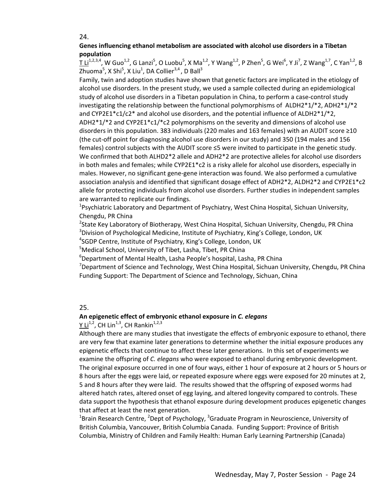#### **Genes influencing ethanol metabolism are associated with alcohol use disorders in a Tibetan population**

 $\rm \overline{I~Li}^{1,2,3,4}$ , W Guo $^{1,2}$ , G Lanzi $^5$ , O Luobu $^5$ , X Ma $^{1,2}$ , Y Wang $^{1,2}$ , P Zhen $^5$ , G Wei $^6$ , Y Ji $^7$ , Z Wang $^{1,7}$ , C Yan $^{1,2}$ , B Zhuoma $^5$ , X Shi $^5$ , X Liu $^1$ , DA Collier $^{3,4}$ , D Ball $^3$ 

Family, twin and adoption studies have shown that genetic factors are implicated in the etiology of alcohol use disorders. In the present study, we used a sample collected during an epidemiological study of alcohol use disorders in a Tibetan population in China, to perform a case-control study investigating the relationship between the functional polymorphisms of  $ALDH2*1/*2$ ,  $ADH2*1/*2$ and CYP2E1 $*c1/c2*$  and alcohol use disorders, and the potential influence of ALDH2 $*1/*2$ , ADH2\*1/\*2 and CYP2E1\*c1/\*c2 polymorphisms on the severity and dimensions of alcohol use disorders in this population. 383 individuals (220 males and 163 females) with an AUDIT score ≥10 (the cut‐off point for diagnosing alcohol use disorders in our study) and 350 (194 males and 156 females) control subjects with the AUDIT score ≤5 were invited to participate in the genetic study. We confirmed that both ALHD2\*2 allele and ADH2\*2 are protective alleles for alcohol use disorders in both males and females; while CYP2E1\*c2 is a risky allele for alcohol use disorders, especially in males. However, no significant gene‐gene interaction was found. We also performed a cumulative association analysis and identified that significant dosage effect of ADH2\*2, ALDH2\*2 and CYP2E1\*c2 allele for protecting individuals from alcohol use disorders. Further studies in independent samples are warranted to replicate our findings.

<sup>1</sup>Psychiatric Laboratory and Department of Psychiatry, West China Hospital, Sichuan University, Chengdu, PR China

<sup>2</sup>State Key Laboratory of Biotherapy, West China Hospital, Sichuan University, Chengdu, PR China <sup>3</sup>Division of Psychological Medicine, Institute of Psychiatry, King's College, London, UK

4 SGDP Centre, Institute of Psychiatry, King's College, London, UK

5 Medical School, University of Tibet, Lasha, Tibet, PR China

6 Department of Mental Health, Lasha People's hospital, Lasha, PR China

<sup>7</sup>Department of Science and Technology, West China Hospital, Sichuan University, Chengdu, PR China Funding Support: The Department of Science and Technology, Sichuan, China

#### 25.

#### **An epigenetic effect of embryonic ethanol exposure in** *C. elegans*

Y Li<sup>1,2</sup>, CH Lin<sup>1,3</sup>, CH Rankin<sup>1,2,3</sup>

Although there are many studies that investigate the effects of embryonic exposure to ethanol, there are very few that examine later generations to determine whether the initial exposure produces any epigenetic effects that continue to affect these later generations. In this set of experiments we examine the offspring of *C. elegans* who were exposed to ethanol during embryonic development. The original exposure occurred in one of four ways, either 1 hour of exposure at 2 hours or 5 hours or 8 hours after the eggs were laid, or repeated exposure where eggs were exposed for 20 minutes at 2, 5 and 8 hours after they were laid. The results showed that the offspring of exposed worms had altered hatch rates, altered onset of egg laying, and altered longevity compared to controls. These data support the hypothesis that ethanol exposure during development produces epigenetic changes that affect at least the next generation.

<sup>1</sup>Brain Research Centre, <sup>2</sup>Dept of Psychology, <sup>3</sup>Graduate Program in Neuroscience, University of British Columbia, Vancouver, British Columbia Canada. Funding Support: Province of British Columbia, Ministry of Children and Family Health: Human Early Learning Partnership (Canada)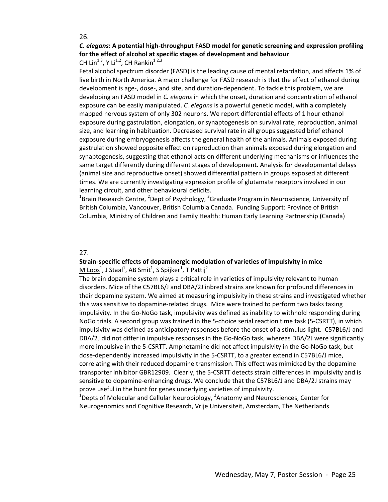## *C. elegans***: A potential high‐throughput FASD model for genetic screening and expression profiling for the effect of alcohol at specific stages of development and behaviour**

CH Lin<sup>1,3</sup>, Y Li<sup>1,2</sup>, CH Rankin<sup>1,2,3</sup>

Fetal alcohol spectrum disorder (FASD) is the leading cause of mental retardation, and affects 1% of live birth in North America. A major challenge for FASD research is that the effect of ethanol during development is age‐, dose‐, and site, and duration‐dependent. To tackle this problem, we are developing an FASD model in *C. elegans* in which the onset, duration and concentration of ethanol exposure can be easily manipulated. *C. elegans* is a powerful genetic model, with a completely mapped nervous system of only 302 neurons. We report differential effects of 1 hour ethanol exposure during gastrulation, elongation, or synaptogenesis on survival rate, reproduction, animal size, and learning in habituation. Decreased survival rate in all groups suggested brief ethanol exposure during embryogenesis affects the general health of the animals. Animals exposed during gastrulation showed opposite effect on reproduction than animals exposed during elongation and synaptogenesis, suggesting that ethanol acts on different underlying mechanisms or influences the same target differently during different stages of development. Analysis for developmental delays (animal size and reproductive onset) showed differential pattern in groups exposed at different times. We are currently investigating expression profile of glutamate receptors involved in our learning circuit, and other behavioural deficits.

<sup>1</sup>Brain Research Centre, <sup>2</sup>Dept of Psychology, <sup>3</sup>Graduate Program in Neuroscience, University of British Columbia, Vancouver, British Columbia Canada. Funding Support: Province of British Columbia, Ministry of Children and Family Health: Human Early Learning Partnership (Canada)

#### 27.

#### **Strain‐specific effects of dopaminergic modulation of varieties of impulsivity in mice**  $M$  Loos $^1$ , J Staal $^1$ , AB Smit $^1$ , S Spijker $^1$ , T Pattij $^2$

The brain dopamine system plays a critical role in varieties of impulsivity relevant to human disorders. Mice of the C57BL6/J and DBA/2J inbred strains are known for profound differences in their dopamine system. We aimed at measuring impulsivity in these strains and investigated whether this was sensitive to dopamine‐related drugs. Mice were trained to perform two tasks taxing impulsivity. In the Go‐NoGo task, impulsivity was defined as inability to withhold responding during NoGo trials. A second group was trained in the 5‐choice serial reaction time task (5‐CSRTT), in which impulsivity was defined as anticipatory responses before the onset of a stimulus light. C57BL6/J and DBA/2J did not differ in impulsive responses in the Go-NoGo task, whereas DBA/2J were significantly more impulsive in the 5-CSRTT. Amphetamine did not affect impulsivity in the Go-NoGo task, but dose-dependently increased impulsivity in the 5-CSRTT, to a greater extend in C57BL6/J mice, correlating with their reduced dopamine transmission. This effect was mimicked by the dopamine transporter inhibitor GBR12909. Clearly, the 5‐CSRTT detects strain differences in impulsivity and is sensitive to dopamine-enhancing drugs. We conclude that the C57BL6/J and DBA/2J strains may prove useful in the hunt for genes underlying varieties of impulsivity.

 $^{1}$ Depts of Molecular and Cellular Neurobiology,  $^{2}$ Anatomy and Neurosciences, Center for Neurogenomics and Cognitive Research, Vrije Universiteit, Amsterdam, The Netherlands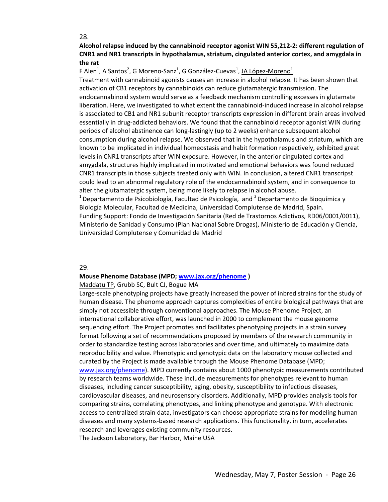#### **Alcohol relapse induced by the cannabinoid receptor agonist WIN 55,212‐2: different regulation of CNR1 and NR1 transcripts in hypothalamus, striatum, cingulated anterior cortex, and amygdala in the rat**

F Alen<sup>1</sup>, A Santos<sup>2</sup>, G Moreno-Sanz<sup>1</sup>, G González-Cuevas<sup>1</sup>, <u>JA López-Moreno<sup>1</sup></u>

Treatment with cannabinoid agonists causes an increase in alcohol relapse. It has been shown that activation of CB1 receptors by cannabinoids can reduce glutamatergic transmission. The endocannabinoid system would serve as a feedback mechanism controlling excesses in glutamate liberation. Here, we investigated to what extent the cannabinoid‐induced increase in alcohol relapse is associated to CB1 and NR1 subunit receptor transcripts expression in different brain areas involved essentially in drug-addicted behaviors. We found that the cannabinoid receptor agonist WIN during periods of alcohol abstinence can long‐lastingly (up to 2 weeks) enhance subsequent alcohol consumption during alcohol relapse. We observed that in the hypothalamus and striatum, which are known to be implicated in individual homeostasis and habit formation respectively, exhibited great levels in CNR1 transcripts after WIN exposure. However, in the anterior cingulated cortex and amygdala, structures highly implicated in motivated and emotional behaviors was found reduced CNR1 transcripts in those subjects treated only with WIN. In conclusion, altered CNR1 transcripst could lead to an abnormal regulatory role of the endocannabinoid system, and in consequence to alter the glutamatergic system, being more likely to relapse in alcohol abuse.

<sup>1</sup> Departamento de Psicobiología, Facultad de Psicología, and <sup>2</sup> Departamento de Bioquímica y Biología Molecular, Facultad de Medicina, Universidad Complutense de Madrid, Spain. Funding Support: Fondo de Investigación Sanitaria (Red de Trastornos Adictivos, RD06/0001/0011), Ministerio de Sanidad y Consumo (Plan Nacional Sobre Drogas), Ministerio de Educación y Ciencia, Universidad Complutense y Comunidad de Madrid

#### 29.

#### **Mouse Phenome Database (MPD; www.jax.org/phenome )**

#### Maddatu TP, Grubb SC, Bult CJ, Bogue MA

Large-scale phenotyping projects have greatly increased the power of inbred strains for the study of human disease. The phenome approach captures complexities of entire biological pathways that are simply not accessible through conventional approaches. The Mouse Phenome Project, an international collaborative effort, was launched in 2000 to complement the mouse genome sequencing effort. The Project promotes and facilitates phenotyping projects in a strain survey format following a set of recommendations proposed by members of the research community in order to standardize testing across laboratories and over time, and ultimately to maximize data reproducibility and value. Phenotypic and genotypic data on the laboratory mouse collected and curated by the Project is made available through the Mouse Phenome Database (MPD; www.jax.org/phenome). MPD currently contains about 1000 phenotypic measurements contributed by research teams worldwide. These include measurements for phenotypes relevant to human diseases, including cancer susceptibility, aging, obesity, susceptibility to infectious diseases, cardiovascular diseases, and neurosensory disorders. Additionally, MPD provides analysis tools for comparing strains, correlating phenotypes, and linking phenotype and genotype. With electronic access to centralized strain data, investigators can choose appropriate strains for modeling human diseases and many systems‐based research applications. This functionality, in turn, accelerates research and leverages existing community resources. The Jackson Laboratory, Bar Harbor, Maine USA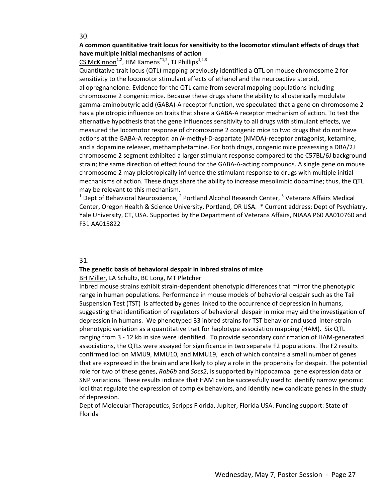#### **A common quantitative trait locus for sensitivity to the locomotor stimulant effects of drugs that have multiple initial mechanisms of action**

#### CS McKinnon<sup>1,2</sup>, HM Kamens<sup>\*1,2</sup>, TJ Phillips<sup>1,2,3</sup>

Quantitative trait locus (QTL) mapping previously identified a QTL on mouse chromosome 2 for sensitivity to the locomotor stimulant effects of ethanol and the neuroactive steroid, allopregnanolone. Evidence for the QTL came from several mapping populations including chromosome 2 congenic mice. Because these drugs share the ability to allosterically modulate gamma-aminobutyric acid (GABA)-A receptor function, we speculated that a gene on chromosome 2 has a pleiotropic influence on traits that share a GABA-A receptor mechanism of action. To test the alternative hypothesis that the gene influences sensitivity to all drugs with stimulant effects, we measured the locomotor response of chromosome 2 congenic mice to two drugs that do not have actions at the GABA‐A receptor: an *N*‐methyl‐D‐aspartate (NMDA)‐receptor antagonist, ketamine, and a dopamine releaser, methamphetamine. For both drugs, congenic mice possessing a DBA/2J chromosome 2 segment exhibited a larger stimulant response compared to the C57BL/6J background strain; the same direction of effect found for the GABA‐A‐acting compounds. A single gene on mouse chromosome 2 may pleiotropically influence the stimulant response to drugs with multiple initial mechanisms of action. These drugs share the ability to increase mesolimbic dopamine; thus, the QTL may be relevant to this mechanism.

 $1$  Dept of Behavioral Neuroscience,  $2$  Portland Alcohol Research Center,  $3$  Veterans Affairs Medical Center, Oregon Health & Science University, Portland, OR USA. \* Current address: Dept of Psychiatry, Yale University, CT, USA. Supported by the Department of Veterans Affairs, NIAAA P60 AA010760 and F31 AA015822

#### 31.

#### **The genetic basis of behavioral despair in inbred strains of mice**

BH Miller, LA Schultz, BC Long, MT Pletcher

Inbred mouse strains exhibit strain‐dependent phenotypic differences that mirror the phenotypic range in human populations. Performance in mouse models of behavioral despair such as the Tail Suspension Test (TST) is affected by genes linked to the occurrence of depression in humans, suggesting that identification of regulators of behavioral despair in mice may aid the investigation of depression in humans. We phenotyped 33 inbred strains for TST behavior and used inter‐strain phenotypic variation as a quantitative trait for haplotype association mapping (HAM). Six QTL ranging from 3 ‐ 12 kb in size were identified. To provide secondary confirmation of HAM‐generated associations, the QTLs were assayed for significance in two separate F2 populations. The F2 results confirmed loci on MMU9, MMU10, and MMU19, each of which contains a small number of genes that are expressed in the brain and are likely to play a role in the propensity for despair. The potential role for two of these genes, *Rab6b* and *Socs2*, is supported by hippocampal gene expression data or SNP variations. These results indicate that HAM can be successfully used to identify narrow genomic loci that regulate the expression of complex behaviors, and identify new candidate genes in the study of depression.

Dept of Molecular Therapeutics, Scripps Florida, Jupiter, Florida USA. Funding support: State of Florida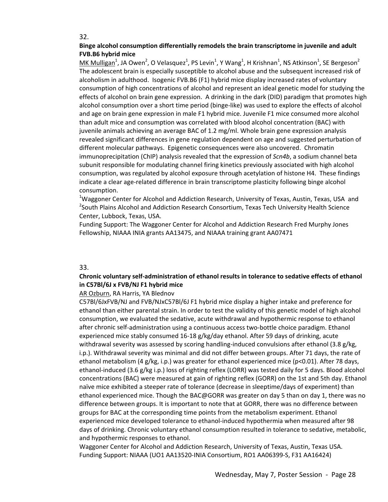#### **Binge alcohol consumption differentially remodels the brain transcriptome in juvenile and adult FVB.B6 hybrid mice**

 $\underline{\mathsf{MK}\text{ \: Mulligan}^1}$ , JA Owen<sup>2</sup>, O Velasquez<sup>1</sup>, PS Levin<sup>1</sup>, Y Wang<sup>1</sup>, H Krishnan<sup>1</sup>, NS Atkinson<sup>1</sup>, SE Bergeson<sup>2</sup> The adolescent brain is especially susceptible to alcohol abuse and the subsequent increased risk of alcoholism in adulthood. Isogenic FVB.B6 (F1) hybrid mice display increased rates of voluntary consumption of high concentrations of alcohol and represent an ideal genetic model for studying the effects of alcohol on brain gene expression. A drinking in the dark (DID) paradigm that promotes high alcohol consumption over a short time period (binge‐like) was used to explore the effects of alcohol and age on brain gene expression in male F1 hybrid mice. Juvenile F1 mice consumed more alcohol than adult mice and consumption was correlated with blood alcohol concentration (BAC) with juvenile animals achieving an average BAC of 1.2 mg/ml. Whole brain gene expression analysis revealed significant differences in gene regulation dependent on age and suggested perturbation of different molecular pathways. Epigenetic consequences were also uncovered. Chromatin immunoprecipitation (ChIP) analysis revealed that the expression of *Scn4b*, a sodium channel beta subunit responsible for modulating channel firing kinetics previously associated with high alcohol consumption, was regulated by alcohol exposure through acetylation of histone H4. These findings indicate a clear age‐related difference in brain transcriptome plasticity following binge alcohol consumption.

<sup>1</sup>Waggoner Center for Alcohol and Addiction Research, University of Texas, Austin, Texas, USA and <sup>2</sup>South Plains Alcohol and Addiction Research Consortium, Texas Tech University Health Science Center, Lubbock, Texas, USA.

Funding Support: The Waggoner Center for Alcohol and Addiction Research Fred Murphy Jones Fellowship, NIAAA INIA grants AA13475, and NIAAA training grant AA07471

#### 33.

#### **Chronic voluntary self‐administration of ethanol results in tolerance to sedative effects of ethanol in C57Bl/6J x FVB/NJ F1 hybrid mice**

#### AR Ozburn, RA Harris, YA Blednov

C57Bl/6JxFVB/NJ and FVB/NJxC57Bl/6J F1 hybrid mice display a higher intake and preference for ethanol than either parental strain. In order to test the validity of this genetic model of high alcohol consumption, we evaluated the sedative, acute withdrawal and hypothermic response to ethanol after chronic self-administration using a continuous access two-bottle choice paradigm. Ethanol experienced mice stably consumed 16‐18 g/kg/day ethanol. After 59 days of drinking, acute withdrawal severity was assessed by scoring handling-induced convulsions after ethanol (3.8 g/kg, i.p.). Withdrawal severity was minimal and did not differ between groups. After 71 days, the rate of ethanol metabolism (4 g/kg, i.p.) was greater for ethanol experienced mice (p<0.01). After 78 days, ethanol-induced (3.6 g/kg i.p.) loss of righting reflex (LORR) was tested daily for 5 days. Blood alcohol concentrations (BAC) were measured at gain of righting reflex (GORR) on the 1st and 5th day. Ethanol naïve mice exhibited a steeper rate of tolerance (decrease in sleeptime/days of experiment) than ethanol experienced mice. Though the BAC@GORR was greater on day 5 than on day 1, there was no difference between groups. It is important to note that at GORR, there was no difference between groups for BAC at the corresponding time points from the metabolism experiment. Ethanol experienced mice developed tolerance to ethanol‐induced hypothermia when measured after 98 days of drinking. Chronic voluntary ethanol consumption resulted in tolerance to sedative, metabolic, and hypothermic responses to ethanol.

Waggoner Center for Alcohol and Addiction Research, University of Texas, Austin, Texas USA. Funding Support: NIAAA (UO1 AA13520‐INIA Consortium, RO1 AA06399‐S, F31 AA16424)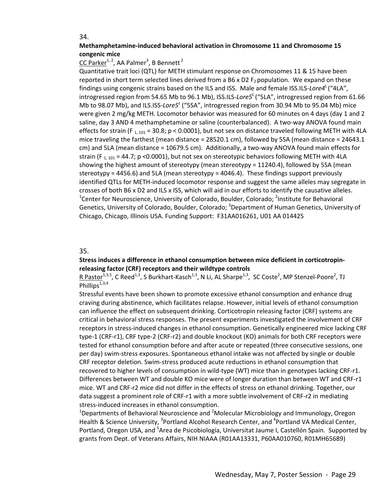#### **Methamphetamine‐induced behavioral activation in Chromosome 11 and Chromosome 15 congenic mice**

#### CC Parker<sup>1, 2</sup>, AA Palmer<sup>3</sup>, B Bennett<sup>2</sup>

Quantitative trait loci (QTL) for METH stimulant response on Chromosomes 11 & 15 have been reported in short term selected lines derived from a B6 x D2  $F<sub>2</sub>$  population. We expand on these findings using congenic strains based on the ILS and ISS. Male and female ISS.ILS-Lore4<sup>L</sup> ("4LA", introgressed region from 54.65 Mb to 96.1 Mb), ISS.ILS‐*Lore5<sup>L</sup>* ("5LA", introgressed region from 61.66 Mb to 98.07 Mb), and ILS.ISS‐*Lore5<sup>s</sup>* ("5SA", introgressed region from 30.94 Mb to 95.04 Mb) mice were given 2 mg/kg METH. Locomotor behavior was measured for 60 minutes on 4 days (day 1 and 2 saline, day 3 AND 4 methamphetamine or saline (counterbalanced). A two-way ANOVA found main effects for strain (F<sub>1, 101</sub> = 30.8; p < 0.0001), but not sex on distance traveled following METH with 4LA mice traveling the farthest (mean distance = 28520.1 cm), followed by 5SA (mean distance = 24643.1 cm) and 5LA (mean distance = 10679.5 cm). Additionally, a two-way ANOVA found main effects for strain (F<sub>1, 101</sub> = 44.7; p <0.0001), but not sex on stereotypic behaviors following METH with 4LA showing the highest amount of stereotypy (mean stereotypy = 11240.4), followed by 5SA (mean stereotypy = 4456.6) and 5LA (mean stereotypy = 4046.4). These findings support previously identified QTLs for METH‐induced locomotor response and suggest the same alleles may segregate in crosses of both B6 x D2 and ILS x ISS, which will aid in our efforts to identify the causative alleles. <sup>1</sup>Center for Neuroscience, University of Colorado, Boulder, Colorado; <sup>2</sup>Institute for Behavioral Genetics, University of Colorado, Boulder, Colorado; <sup>3</sup>Department of Human Genetics, University of Chicago, Chicago, Illinois USA. Funding Support: F31AA016261, U01 AA 014425

#### 35.

#### **Stress induces a difference in ethanol consumption between mice deficient in corticotropin‐ releasing factor (CRF) receptors and their wildtype controls**

R Pastor<sup>1,3,5</sup>, C Reed<sup>1,3</sup>, S Burkhart-Kasch<sup>1,3</sup>, N Li, AL Sharpe<sup>1,3</sup>, SC Coste<sup>2</sup>, MP Stenzel-Poore<sup>2</sup>, TJ Phillips $1,3,4$ 

Stressful events have been shown to promote excessive ethanol consumption and enhance drug craving during abstinence, which facilitates relapse. However, initial levels of ethanol consumption can influence the effect on subsequent drinking. Corticotropin releasing factor (CRF) systems are critical in behavioral stress responses. The present experiments investigated the involvement of CRF receptors in stress‐induced changes in ethanol consumption. Genetically engineered mice lacking CRF type‐1 (CRF‐r1), CRF type‐2 (CRF‐r2) and double knockout (KO) animals for both CRF receptors were tested for ethanol consumption before and after acute or repeated (three consecutive sessions, one per day) swim‐stress exposures. Spontaneous ethanol intake was not affected by single or double CRF receptor deletion. Swim‐stress produced acute reductions in ethanol consumption that recovered to higher levels of consumption in wild-type (WT) mice than in genotypes lacking CRF-r1. Differences between WT and double KO mice were of longer duration than between WT and CRF‐r1 mice. WT and CRF‐r2 mice did not differ in the effects of stress on ethanol drinking. Together, our data suggest a prominent role of CRF‐r1 with a more subtle involvement of CRF‐r2 in mediating stress‐induced increases in ethanol consumption.

<sup>1</sup>Departments of Behavioral Neuroscience and <sup>2</sup>Molecular Microbiology and Immunology, Oregon Health & Science University, <sup>3</sup>Portland Alcohol Research Center, and <sup>4</sup>Portland VA Medical Center, Portland, Oregon USA, and <sup>5</sup>Area de Psicobiología, Universitat Jaume I, Castellón Spain. Supported by grants from Dept. of Veterans Affairs, NIH NIAAA (R01AA13331, P60AA010760, R01MH65689)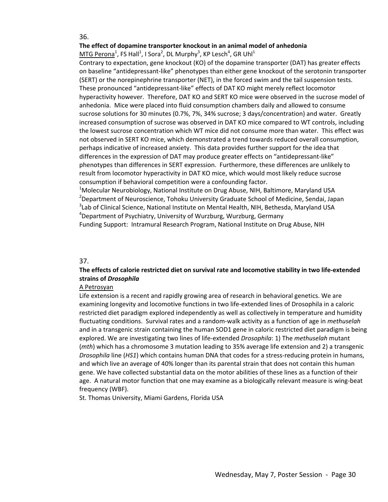#### **The effect of dopamine transporter knockout in an animal model of anhedonia**

 $M$ TG Perona $^1$ , FS Hall $^1$ , I Sora $^2$ , DL Murphy $^3$ , KP Lesch $^4$ , GR Uhl $^1$ 

Contrary to expectation, gene knockout (KO) of the dopamine transporter (DAT) has greater effects on baseline "antidepressant‐like" phenotypes than either gene knockout of the serotonin transporter (SERT) or the norepinephrine transporter (NET), in the forced swim and the tail suspension tests. These pronounced "antidepressant‐like" effects of DAT KO might merely reflect locomotor hyperactivity however. Therefore, DAT KO and SERT KO mice were observed in the sucrose model of anhedonia. Mice were placed into fluid consumption chambers daily and allowed to consume sucrose solutions for 30 minutes (0.7%, 7%, 34% sucrose; 3 days/concentration) and water. Greatly increased consumption of sucrose was observed in DAT KO mice compared to WT controls, including the lowest sucrose concentration which WT mice did not consume more than water. This effect was not observed in SERT KO mice, which demonstrated a trend towards reduced overall consumption, perhaps indicative of increased anxiety. This data provides further support for the idea that differences in the expression of DAT may produce greater effects on "antidepressant‐like" phenotypes than differences in SERT expression. Furthermore, these differences are unlikely to result from locomotor hyperactivity in DAT KO mice, which would most likely reduce sucrose consumption if behavioral competition were a confounding factor.

<sup>1</sup>Molecular Neurobiology, National Institute on Drug Abuse, NIH, Baltimore, Maryland USA <sup>2</sup>Department of Neuroscience, Tohoku University Graduate School of Medicine, Sendai, Japan <sup>3</sup>Lab of Clinical Science, National Institute on Mental Health, NIH, Bethesda, Maryland USA 4 Department of Psychiatry, University of Wurzburg, Wurzburg, Germany Funding Support: Intramural Research Program, National Institute on Drug Abuse, NIH

#### 37.

#### **The effects of calorie restricted diet on survival rate and locomotive stability in two life‐extended strains of** *Drosophila*

#### A Petrosyan

Life extension is a recent and rapidly growing area of research in behavioral genetics. We are examining longevity and locomotive functions in two life‐extended lines of Drosophila in a caloric restricted diet paradigm explored independently as well as collectively in temperature and humidity fluctuating conditions. Survival rates and a random‐walk activity as a function of age in *methuselah* and in a transgenic strain containing the human SOD1 gene in caloric restricted diet paradigm is being explored. We are investigating two lines of life‐extended *Drosophila*: 1) The *methuselah* mutant (*mth*) which has a chromosome 3 mutation leading to 35% average life extension and 2) a transgenic *Drosophila* line (*HS1*) which contains human DNA that codes for a stress-reducing protein in humans, and which live an average of 40% longer than its parental strain that does not contain this human gene. We have collected substantial data on the motor abilities of these lines as a function of their age. A natural motor function that one may examine as a biologically relevant measure is wing‐beat frequency (WBF).

St. Thomas University, Miami Gardens, Florida USA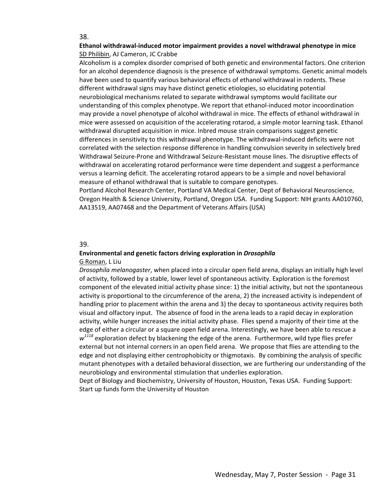#### **Ethanol withdrawal‐induced motor impairment provides a novel withdrawal phenotype in mice** SD Philibin, AJ Cameron, JC Crabbe

Alcoholism is a complex disorder comprised of both genetic and environmental factors. One criterion for an alcohol dependence diagnosis is the presence of withdrawal symptoms. Genetic animal models have been used to quantify various behavioral effects of ethanol withdrawal in rodents. These different withdrawal signs may have distinct genetic etiologies, so elucidating potential neurobiological mechanisms related to separate withdrawal symptoms would facilitate our understanding of this complex phenotype. We report that ethanol‐induced motor incoordination may provide a novel phenotype of alcohol withdrawal in mice. The effects of ethanol withdrawal in mice were assessed on acquisition of the accelerating rotarod, a simple motor learning task. Ethanol withdrawal disrupted acquisition in mice. Inbred mouse strain comparisons suggest genetic differences in sensitivity to this withdrawal phenotype. The withdrawal-induced deficits were not correlated with the selection response difference in handling convulsion severity in selectively bred Withdrawal Seizure‐Prone and Withdrawal Seizure‐Resistant mouse lines. The disruptive effects of withdrawal on accelerating rotarod performance were time dependent and suggest a performance versus a learning deficit. The accelerating rotarod appears to be a simple and novel behavioral measure of ethanol withdrawal that is suitable to compare genotypes.

Portland Alcohol Research Center, Portland VA Medical Center, Dept of Behavioral Neuroscience, Oregon Health & Science University, Portland, Oregon USA. Funding Support: NIH grants AA010760, AA13519, AA07468 and the Department of Veterans Affairs (USA)

#### 39.

## **Environmental and genetic factors driving exploration in** *Drosophila*

#### G Roman, L Liu

*Drosophila melanogaster*, when placed into a circular open field arena, displays an initially high level of activity, followed by a stable, lower level of spontaneous activity. Exploration is the foremost component of the elevated initial activity phase since: 1) the initial activity, but not the spontaneous activity is proportional to the circumference of the arena, 2) the increased activity is independent of handling prior to placement within the arena and 3) the decay to spontaneous activity requires both visual and olfactory input. The absence of food in the arena leads to a rapid decay in exploration activity, while hunger increases the initial activity phase. Flies spend a majority of their time at the edge of either a circular or a square open field arena. Interestingly, we have been able to rescue a  $w^{1118}$  exploration defect by blackening the edge of the arena. Furthermore, wild type flies prefer external but not internal corners in an open field arena. We propose that flies are attending to the edge and not displaying either centrophobicity or thigmotaxis. By combining the analysis of specific mutant phenotypes with a detailed behavioral dissection, we are furthering our understanding of the neurobiology and environmental stimulation that underlies exploration.

Dept of Biology and Biochemistry, University of Houston, Houston, Texas USA. Funding Support: Start up funds form the University of Houston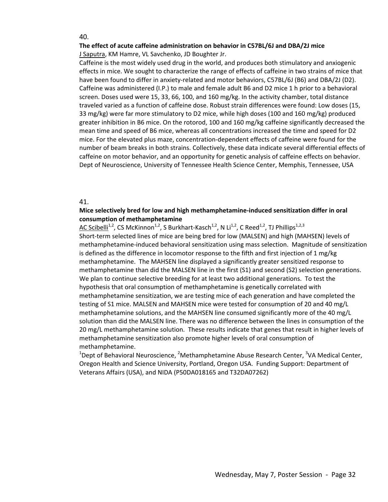#### **The effect of acute caffeine administration on behavior in C57BL/6J and DBA/2J mice** J Saputra, KM Hamre, VL Savchenko, JD Boughter Jr.

Caffeine is the most widely used drug in the world, and produces both stimulatory and anxiogenic effects in mice. We sought to characterize the range of effects of caffeine in two strains of mice that have been found to differ in anxiety-related and motor behaviors, C57BL/6J (B6) and DBA/2J (D2). Caffeine was administered (I.P.) to male and female adult B6 and D2 mice 1 h prior to a behavioral screen. Doses used were 15, 33, 66, 100, and 160 mg/kg. In the activity chamber, total distance traveled varied as a function of caffeine dose. Robust strain differences were found: Low doses (15, 33 mg/kg) were far more stimulatory to D2 mice, while high doses (100 and 160 mg/kg) produced greater inhibition in B6 mice. On the rotorod, 100 and 160 mg/kg caffeine significantly decreased the mean time and speed of B6 mice, whereas all concentrations increased the time and speed for D2 mice. For the elevated plus maze, concentration‐dependent effects of caffeine were found for the number of beam breaks in both strains. Collectively, these data indicate several differential effects of caffeine on motor behavior, and an opportunity for genetic analysis of caffeine effects on behavior. Dept of Neuroscience, University of Tennessee Health Science Center, Memphis, Tennessee, USA

#### 41.

#### **Mice selectively bred for low and high methamphetamine‐induced sensitization differ in oral consumption of methamphetamine**

AC Scibelli<sup>1,2</sup>, CS McKinnon<sup>1,2</sup>, S Burkhart-Kasch<sup>1,2</sup>, N Li<sup>1,2</sup>, C Reed<sup>1,2</sup>, TJ Phillips<sup>1,2,3</sup> Short-term selected lines of mice are being bred for low (MALSEN) and high (MAHSEN) levels of methamphetamine‐induced behavioral sensitization using mass selection. Magnitude of sensitization is defined as the difference in locomotor response to the fifth and first injection of 1 mg/kg methamphetamine. The MAHSEN line displayed a significantly greater sensitized response to methamphetamine than did the MALSEN line in the first (S1) and second (S2) selection generations. We plan to continue selective breeding for at least two additional generations. To test the hypothesis that oral consumption of methamphetamine is genetically correlated with methamphetamine sensitization, we are testing mice of each generation and have completed the testing of S1 mice. MALSEN and MAHSEN mice were tested for consumption of 20 and 40 mg/L methamphetamine solutions, and the MAHSEN line consumed significantly more of the 40 mg/L solution than did the MALSEN line. There was no difference between the lines in consumption of the 20 mg/L methamphetamine solution. These results indicate that genes that result in higher levels of methamphetamine sensitization also promote higher levels of oral consumption of methamphetamine.

<sup>1</sup>Dept of Behavioral Neuroscience, <sup>2</sup>Methamphetamine Abuse Research Center, <sup>3</sup>VA Medical Center, Oregon Health and Science University, Portland, Oregon USA. Funding Support: Department of Veterans Affairs (USA), and NIDA (P50DA018165 and T32DA07262)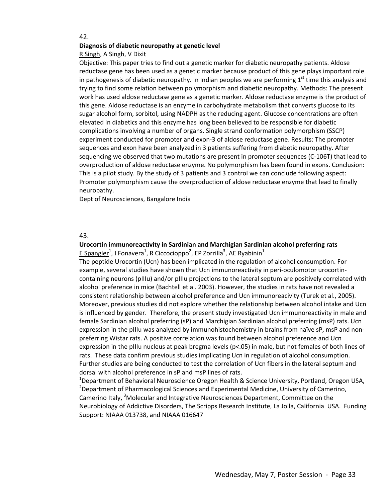#### **Diagnosis of diabetic neuropathy at genetic level**

R Singh, A Singh, V Dixit

Objective: This paper tries to find out a genetic marker for diabetic neuropathy patients. Aldose reductase gene has been used as a genetic marker because product of this gene plays important role in pathogenesis of diabetic neuropathy. In Indian peoples we are performing  $1<sup>st</sup>$  time this analysis and trying to find some relation between polymorphism and diabetic neuropathy. Methods: The present work has used aldose reductase gene as a genetic marker. Aldose reductase enzyme is the product of this gene. Aldose reductase is an enzyme in carbohydrate metabolism that converts glucose to its sugar alcohol form, sorbitol, using NADPH as the reducing agent. Glucose concentrations are often elevated in diabetics and this enzyme has long been believed to be responsible for diabetic complications involving a number of organs. Single strand conformation polymorphism (SSCP) experiment conducted for promoter and exon‐3 of aldose reductase gene. Results: The promoter sequences and exon have been analyzed in 3 patients suffering from diabetic neuropathy. After sequencing we observed that two mutations are present in promoter sequences (C-106T) that lead to overproduction of aldose reductase enzyme. No polymorphism has been found in exons. Conclusion: This is a pilot study. By the study of 3 patients and 3 control we can conclude following aspect: Promoter polymorphism cause the overproduction of aldose reductase enzyme that lead to finally neuropathy.

Dept of Neurosciences, Bangalore India

#### 43.

#### **Urocortin immunoreactivity in Sardinian and Marchigian Sardinian alcohol preferring rats**  $E$  Spangler<sup>1</sup>, I Fonavera<sup>1</sup>, R Ciccocioppo<sup>2</sup>, EP Zorrilla<sup>3</sup>, AE Ryabinin<sup>1</sup>

The peptide Urocortin (Ucn) has been implicated in the regulation of alcohol consumption. For example, several studies have shown that Ucn immunoreactivity in peri-oculomotor urocortincontaining neurons (pIIIu) and/or pIIIu projections to the lateral septum are positively correlated with alcohol preference in mice (Bachtell et al. 2003). However, the studies in rats have not revealed a consistent relationship between alcohol preference and Ucn immunoreacivity (Turek et al., 2005). Moreover, previous studies did not explore whether the relationship between alcohol intake and Ucn is influenced by gender. Therefore, the present study investigated Ucn immunoreactivity in male and female Sardinian alcohol preferring (sP) and Marchigian Sardinian alcohol preferring (msP) rats. Ucn expression in the pIIIu was analyzed by immunohistochemistry in brains from naïve sP, msP and nonpreferring Wistar rats. A positive correlation was found between alcohol preference and Ucn expression in the pIIIu nucleus at peak bregma levels (p<.05) in male, but not females of both lines of rats. These data confirm previous studies implicating Ucn in regulation of alcohol consumption. Further studies are being conducted to test the correlation of Ucn fibers in the lateral septum and dorsal with alcohol preference in sP and msP lines of rats.

<sup>1</sup>Department of Behavioral Neuroscience Oregon Health & Science University, Portland, Oregon USA, <sup>2</sup>Department of Pharmacological Sciences and Experimental Medicine, University of Camerino, Camerino Italy, <sup>3</sup>Molecular and Integrative Neurosciences Department, Committee on the Neurobiology of Addictive Disorders, The Scripps Research Institute, La Jolla, California USA. Funding Support: NIAAA 013738, and NIAAA 016647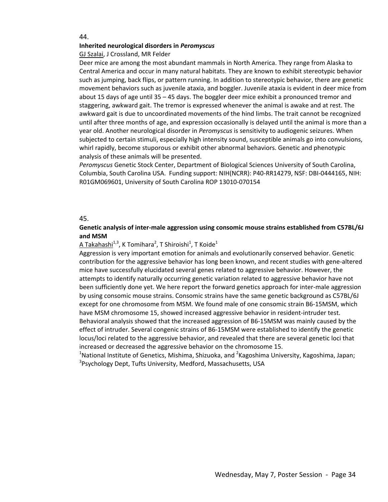#### **Inherited neurological disorders in** *Peromyscus*

GJ Szalai, J Crossland, MR Felder

Deer mice are among the most abundant mammals in North America. They range from Alaska to Central America and occur in many natural habitats. They are known to exhibit stereotypic behavior such as jumping, back flips, or pattern running. In addition to stereotypic behavior, there are genetic movement behaviors such as juvenile ataxia, and boggler. Juvenile ataxia is evident in deer mice from about 15 days of age until 35 – 45 days. The boggler deer mice exhibit a pronounced tremor and staggering, awkward gait. The tremor is expressed whenever the animal is awake and at rest. The awkward gait is due to uncoordinated movements of the hind limbs. The trait cannot be recognized until after three months of age, and expression occasionally is delayed until the animal is more than a year old. Another neurological disorder in *Peromyscus* is sensitivity to audiogenic seizures. When subjected to certain stimuli, especially high intensity sound, susceptible animals go into convulsions, whirl rapidly, become stuporous or exhibit other abnormal behaviors. Genetic and phenotypic analysis of these animals will be presented.

*Peromyscus* Genetic Stock Center, Department of Biological Sciences University of South Carolina, Columbia, South Carolina USA. Funding support: NIH(NCRR): P40‐RR14279, NSF: DBI‐0444165, NIH: R01GM069601, University of South Carolina ROP 13010‐070154

#### 45.

#### **Genetic analysis of inter‐male aggression using consomic mouse strains established from C57BL/6J and MSM**

 $\underline{\mathsf{A}}$  Takahashi $^{1,3}$ , K Tomihara $^2$ , T Shiroishi $^1$ , T Koide $^1$ 

Aggression is very important emotion for animals and evolutionarily conserved behavior. Genetic contribution for the aggressive behavior has long been known, and recent studies with gene‐altered mice have successfully elucidated several genes related to aggressive behavior. However, the attempts to identify naturally occurring genetic variation related to aggressive behavior have not been sufficiently done yet. We here report the forward genetics approach for inter-male aggression by using consomic mouse strains. Consomic strains have the same genetic background as C57BL/6J except for one chromosome from MSM. We found male of one consomic strain B6‐15MSM, which have MSM chromosome 15, showed increased aggressive behavior in resident-intruder test. Behavioral analysis showed that the increased aggression of B6‐15MSM was mainly caused by the effect of intruder. Several congenic strains of B6‐15MSM were established to identify the genetic locus/loci related to the aggressive behavior, and revealed that there are several genetic loci that increased or decreased the aggressive behavior on the chromosome 15.

<sup>1</sup>National Institute of Genetics, Mishima, Shizuoka, and <sup>2</sup>Kagoshima University, Kagoshima, Japan; <sup>3</sup>Psychology Dept, Tufts University, Medford, Massachusetts, USA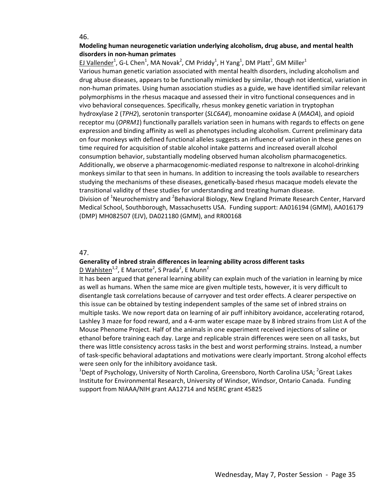#### **Modeling human neurogenetic variation underlying alcoholism, drug abuse, and mental health disorders in non‐human primates**

EJ Vallender<sup>1</sup>, G-L Chen<sup>1</sup>, MA Novak<sup>2</sup>, CM Priddy<sup>1</sup>, H Yang<sup>1</sup>, DM Platt<sup>2</sup>, GM Miller<sup>1</sup>

Various human genetic variation associated with mental health disorders, including alcoholism and drug abuse diseases, appears to be functionally mimicked by similar, though not identical, variation in non‐human primates. Using human association studies as a guide, we have identified similar relevant polymorphisms in the rhesus macaque and assessed their in vitro functional consequences and in vivo behavioral consequences. Specifically, rhesus monkey genetic variation in tryptophan hydroxylase 2 (*TPH2*), serotonin transporter (*SLC6A4*), monoamine oxidase A (*MAOA*), and opioid receptor mu (*OPRM1*) functionally parallels variation seen in humans with regards to effects on gene expression and binding affinity as well as phenotypes including alcoholism. Current preliminary data on four monkeys with defined functional alleles suggests an influence of variation in these genes on time required for acquisition of stable alcohol intake patterns and increased overall alcohol consumption behavior, substantially modeling observed human alcoholism pharmacogenetics. Additionally, we observe a pharmacogenomic-mediated response to naltrexone in alcohol-drinking monkeys similar to that seen in humans. In addition to increasing the tools available to researchers studying the mechanisms of these diseases, genetically‐based rhesus macaque models elevate the transitional validity of these studies for understanding and treating human disease.

Division of <sup>1</sup>Neurochemistry and <sup>2</sup>Behavioral Biology, New England Primate Research Center, Harvard Medical School, Southborough, Massachusetts USA. Funding support: AA016194 (GMM), AA016179 (DMP) MH082507 (EJV), DA021180 (GMM), and RR00168

#### 47.

#### **Generality of inbred strain differences in learning ability across different tasks**

D Wahlsten<sup>1,2</sup>, E Marcotte<sup>2</sup>, S Prada<sup>2</sup>, E Munn<sup>2</sup>

It has been argued that general learning ability can explain much of the variation in learning by mice as well as humans. When the same mice are given multiple tests, however, it is very difficult to disentangle task correlations because of carryover and test order effects. A clearer perspective on this issue can be obtained by testing independent samples of the same set of inbred strains on multiple tasks. We now report data on learning of air puff inhibitory avoidance, accelerating rotarod, Lashley 3 maze for food reward, and a 4‐arm water escape maze by 8 inbred strains from List A of the Mouse Phenome Project. Half of the animals in one experiment received injections of saline or ethanol before training each day. Large and replicable strain differences were seen on all tasks, but there was little consistency across tasks in the best and worst performing strains. Instead, a number of task‐specific behavioral adaptations and motivations were clearly important. Strong alcohol effects were seen only for the inhibitory avoidance task.

 $^{1}$ Dept of Psychology, University of North Carolina, Greensboro, North Carolina USA;  $^{2}$ Great Lakes Institute for Environmental Research, University of Windsor, Windsor, Ontario Canada. Funding support from NIAAA/NIH grant AA12714 and NSERC grant 45825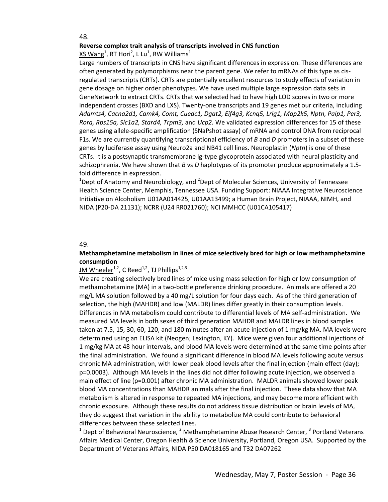#### **Reverse complex trait analysis of transcripts involved in CNS function**

 $\times$ S Wang $^1$ , RT Hori $^2$ , L Lu $^1$ , RW Williams $^1$ 

Large numbers of transcripts in CNS have significant differences in expression. These differences are often generated by polymorphisms near the parent gene. We refer to mRNAs of this type as cis‐ regulated transcripts (CRTs). CRTs are potentially excellent resources to study effects of variation in gene dosage on higher order phenotypes. We have used multiple large expression data sets in GeneNetwork to extract CRTs. CRTs that we selected had to have high LOD scores in two or more independent crosses (BXD and LXS). Twenty‐one transcripts and 19 genes met our criteria, including *Adamts4, Cacna2d1, Camk4, Comt, Cuedc1, Dgat2, Eif4g3, Kcnq5, Lrig1, Map2k5, Nptn, Paip1, Per3, Rora, Rps15a, Slc1a2, Stard4, Trpm3,* and *Ucp2.* We validated expression differences for 15 of these genes using allele‐specific amplification (SNaPshot assay) of mRNA and control DNA from reciprocal F1s. We are currently quantifying transcriptional efficiency of *B* and *D* promoters in a subset of these genes by luciferase assay using Neuro2a and NB41 cell lines. Neuroplastin (*Nptn*) is one of these CRTs. It is a postsynaptic transmembrane Ig‐type glycoprotein associated with neural plasticity and schizophrenia. We have shown that *B* vs *D* haplotypes of its promoter produce approximately a 1.5‐ fold difference in expression.

 $^{1}$ Dept of Anatomy and Neurobiology, and  $^{2}$ Dept of Molecular Sciences, University of Tennessee Health Science Center, Memphis, Tennessee USA. Funding Support: NIAAA Integrative Neuroscience Initiative on Alcoholism U01AA014425, U01AA13499; a Human Brain Project, NIAAA, NIMH, and NIDA (P20‐DA 21131); NCRR (U24 RR021760); NCI MMHCC (U01CA105417)

#### 49.

#### **Methamphetamine metabolism in lines of mice selectively bred for high or low methamphetamine consumption**

#### JM Wheeler<sup>1,2</sup>, C Reed<sup>1,2</sup>, TJ Phillips<sup>1,2,3</sup>

We are creating selectively bred lines of mice using mass selection for high or low consumption of methamphetamine (MA) in a two-bottle preference drinking procedure. Animals are offered a 20 mg/L MA solution followed by a 40 mg/L solution for four days each. As of the third generation of selection, the high (MAHDR) and low (MALDR) lines differ greatly in their consumption levels. Differences in MA metabolism could contribute to differential levels of MA self‐administration. We measured MA levels in both sexes of third generation MAHDR and MALDR lines in blood samples taken at 7.5, 15, 30, 60, 120, and 180 minutes after an acute injection of 1 mg/kg MA. MA levels were determined using an ELISA kit (Neogen; Lexington, KY). Mice were given four additional injections of 1 mg/kg MA at 48 hour intervals, and blood MA levels were determined at the same time points after the final administration. We found a significant difference in blood MA levels following acute versus chronic MA administration, with lower peak blood levels after the final injection (main effect (day); p=0.0003). Although MA levels in the lines did not differ following acute injection, we observed a main effect of line (p=0.001) after chronic MA administration. MALDR animals showed lower peak blood MA concentrations than MAHDR animals after the final injection. These data show that MA metabolism is altered in response to repeated MA injections, and may become more efficient with chronic exposure. Although these results do not address tissue distribution or brain levels of MA, they do suggest that variation in the ability to metabolize MA could contribute to behavioral differences between these selected lines.

 $1$  Dept of Behavioral Neuroscience,  $2$  Methamphetamine Abuse Research Center,  $3$  Portland Veterans Affairs Medical Center, Oregon Health & Science University, Portland, Oregon USA. Supported by the Department of Veterans Affairs, NIDA P50 DA018165 and T32 DA07262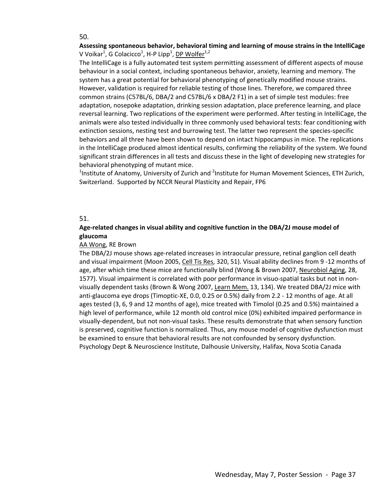#### **Assessing spontaneous behavior, behavioral timing and learning of mouse strains in the IntelliCage** V Voikar $^1$ , G Colacicco $^1$ , H-P Lipp $^1$ , <u>DP Wolfer $^{\rm 1,2}$ </u>

The IntelliCage is a fully automated test system permitting assessment of different aspects of mouse behaviour in a social context, including spontaneous behavior, anxiety, learning and memory. The system has a great potential for behavioral phenotyping of genetically modified mouse strains. However, validation is required for reliable testing of those lines. Therefore, we compared three common strains (C57BL/6, DBA/2 and C57BL/6 x DBA/2 F1) in a set of simple test modules: free adaptation, nosepoke adaptation, drinking session adaptation, place preference learning, and place reversal learning. Two replications of the experiment were performed. After testing in IntelliCage, the animals were also tested individually in three commonly used behavioral tests: fear conditioning with extinction sessions, nesting test and burrowing test. The latter two represent the species-specific behaviors and all three have been shown to depend on intact hippocampus in mice. The replications in the IntelliCage produced almost identical results, confirming the reliability of the system. We found significant strain differences in all tests and discuss these in the light of developing new strategies for behavioral phenotyping of mutant mice.

<sup>1</sup>Institute of Anatomy, University of Zurich and <sup>2</sup>Institute for Human Movement Sciences, ETH Zurich, Switzerland. Supported by NCCR Neural Plasticity and Repair, FP6

#### 51.

#### **Age‐related changes in visual ability and cognitive function in the DBA/2J mouse model of glaucoma**

#### AA Wong, RE Brown

The DBA/2J mouse shows age‐related increases in intraocular pressure, retinal ganglion cell death and visual impairment (Moon 2005, Cell Tis Res, 320, 51). Visual ability declines from 9 ‐12 months of age, after which time these mice are functionally blind (Wong & Brown 2007, Neurobiol Aging, 28, 1577). Visual impairment is correlated with poor performance in visuo-spatial tasks but not in nonvisually dependent tasks (Brown & Wong 2007, Learn Mem. 13, 134). We treated DBA/2J mice with anti-glaucoma eye drops (Timoptic-XE, 0.0, 0.25 or 0.5%) daily from 2.2 - 12 months of age. At all ages tested (3, 6, 9 and 12 months of age), mice treated with Timolol (0.25 and 0.5%) maintained a high level of performance, while 12 month old control mice (0%) exhibited impaired performance in visually‐dependent, but not non‐visual tasks. These results demonstrate that when sensory function is preserved, cognitive function is normalized. Thus, any mouse model of cognitive dysfunction must be examined to ensure that behavioral results are not confounded by sensory dysfunction. Psychology Dept & Neuroscience Institute, Dalhousie University, Halifax, Nova Scotia Canada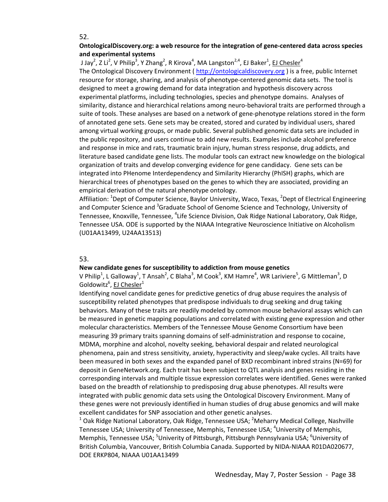#### **OntologicalDiscovery.org: a web resource for the integration of gene‐centered data across species and experimental systems**

J Jay<sup>2</sup>, Z Li<sup>2</sup>, V Philip<sup>3</sup>, Y Zhang<sup>2</sup>, R Kirova<sup>4</sup>, MA Langston<sup>2,4</sup>, EJ Baker<sup>1</sup>, <u>EJ Chesler</u><sup>4</sup>

The Ontological Discovery Environment ( http://ontologicaldiscovery.org ) is a free, public Internet resource for storage, sharing, and analysis of phenotype-centered genomic data sets. The tool is designed to meet a growing demand for data integration and hypothesis discovery across experimental platforms, including technologies, species and phenotype domains. Analyses of similarity, distance and hierarchical relations among neuro-behavioral traits are performed through a suite of tools. These analyses are based on a network of gene‐phenotype relations stored in the form of annotated gene sets. Gene sets may be created, stored and curated by individual users, shared among virtual working groups, or made public. Several published genomic data sets are included in the public repository, and users continue to add new results. Examples include alcohol preference and response in mice and rats, traumatic brain injury, human stress response, drug addicts, and literature based candidate gene lists. The modular tools can extract new knowledge on the biological organization of traits and develop converging evidence for gene candidacy. Gene sets can be integrated into PHenome Interdependency and Similarity Hierarchy (PhISH) graphs, which are hierarchical trees of phenotypes based on the genes to which they are associated, providing an empirical derivation of the natural phenotype ontology.

Affiliation: <sup>1</sup>Dept of Computer Science, Baylor University, Waco, Texas, <sup>2</sup>Dept of Electrical Engineering and Computer Science and <sup>3</sup>Graduate School of Genome Science and Technology, University of Tennessee, Knoxville, Tennessee, <sup>4</sup>Life Science Division, Oak Ridge National Laboratory, Oak Ridge, Tennessee USA. ODE is supported by the NIAAA Integrative Neuroscience Initiative on Alcoholism (U01AA13499, U24AA13513)

#### 53.

#### **New candidate genes for susceptibility to addiction from mouse genetics**

V Philip<sup>1</sup>, L Galloway<sup>1</sup>, T Ansah<sup>2</sup>, C Blaha<sup>3</sup>, M Cook<sup>3</sup>, KM Hamre<sup>4</sup>, WR Lariviere<sup>5</sup>, G Mittleman<sup>3</sup>, D Goldowitz<sup>6</sup>, EJ Chesler<sup>1</sup>

Identifying novel candidate genes for predictive genetics of drug abuse requires the analysis of susceptibility related phenotypes that predispose individuals to drug seeking and drug taking behaviors. Many of these traits are readily modeled by common mouse behavioral assays which can be measured in genetic mapping populations and correlated with existing gene expression and other molecular characteristics. Members of the Tennessee Mouse Genome Consortium have been measuring 39 primary traits spanning domains of self‐administration and response to cocaine, MDMA, morphine and alcohol, novelty seeking, behavioral despair and related neurological phenomena, pain and stress sensitivity, anxiety, hyperactivity and sleep/wake cycles. All traits have been measured in both sexes and the expanded panel of BXD recombinant inbred strains (N=69) for deposit in GeneNetwork.org. Each trait has been subject to QTL analysis and genes residing in the corresponding intervals and multiple tissue expression correlates were identified. Genes were ranked based on the breadth of relationship to predisposing drug abuse phenotypes. All results were integrated with public genomic data sets using the Ontological Discovery Environment. Many of these genes were not previously identified in human studies of drug abuse genomics and will make excellent candidates for SNP association and other genetic analyses.

 $^1$  Oak Ridge National Laboratory, Oak Ridge, Tennessee USA; <sup>2</sup>Meharry Medical College, Nashville Tennessee USA; University of Tennessee, Memphis, Tennessee USA; <sup>4</sup>University of Memphis, Memphis, Tennessee USA; <sup>5</sup>Univerity of Pittsburgh, Pittsburgh Pennsylvania USA; <sup>6</sup>University of British Columbia, Vancouver, British Columbia Canada. Supported by NIDA‐NIAAA R01DA020677, DOE ERKP804, NIAAA U01AA13499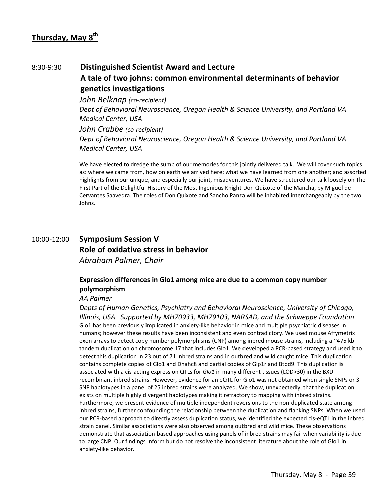## 8:30‐9:30 **Distinguished Scientist Award and Lecture A tale of two johns: common environmental determinants of behavior genetics investigations**

*John Belknap (co‐recipient) Dept of Behavioral Neuroscience, Oregon Health & Science University, and Portland VA Medical Center, USA John Crabbe (co‐recipient) Dept of Behavioral Neuroscience, Oregon Health & Science University, and Portland VA Medical Center, USA*

We have elected to dredge the sump of our memories for this jointly delivered talk. We will cover such topics as: where we came from, how on earth we arrived here; what we have learned from one another; and assorted highlights from our unique, and especially our joint, misadventures. We have structured our talk loosely on The First Part of the Delightful History of the Most Ingenious Knight Don Quixote of the Mancha, by Miguel de Cervantes Saavedra. The roles of Don Quixote and Sancho Panza will be inhabited interchangeably by the two Johns.

## 10:00‐12:00 **Symposium Session V Role of oxidative stress in behavior** *Abraham Palmer, Chair*

### **Expression differences in Glo1 among mice are due to a common copy number polymorphism**

#### *AA Palmer*

*Depts of Human Genetics, Psychiatry and Behavioral Neuroscience, University of Chicago, Illinois, USA. Supported by MH70933, MH79103, NARSAD, and the Schweppe Foundation* Glo1 has been previously implicated in anxiety-like behavior in mice and multiple psychiatric diseases in humans; however these results have been inconsistent and even contradictory. We used mouse Affymetrix exon arrays to detect copy number polymorphisms (CNP) among inbred mouse strains, including a ~475 kb tandem duplication on chromosome 17 that includes Glo1. We developed a PCR-based strategy and used it to detect this duplication in 23 out of 71 inbred strains and in outbred and wild caught mice. This duplication contains complete copies of Glo1 and Dnahc8 and partial copies of Glp1r and Btbd9. This duplication is associated with a cis‐acting expression QTLs for *Glo1* in many different tissues (LOD>30) in the BXD recombinant inbred strains. However, evidence for an eQTL for Glo1 was not obtained when single SNPs or 3‐ SNP haplotypes in a panel of 25 inbred strains were analyzed. We show, unexpectedly, that the duplication exists on multiple highly divergent haplotypes making it refractory to mapping with inbred strains. Furthermore, we present evidence of multiple independent reversions to the non-duplicated state among inbred strains, further confounding the relationship between the duplication and flanking SNPs. When we used our PCR‐based approach to directly assess duplication status, we identified the expected cis‐eQTL in the inbred strain panel. Similar associations were also observed among outbred and wild mice. These observations demonstrate that association‐based approaches using panels of inbred strains may fail when variability is due to large CNP. Our findings inform but do not resolve the inconsistent literature about the role of Glo1 in anxiety‐like behavior.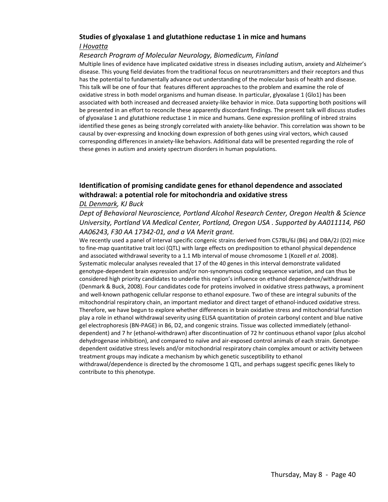#### **Studies of glyoxalase 1 and glutathione reductase 1 in mice and humans** *I Hovatta*

#### *Research Program of Molecular Neurology, Biomedicum, Finland*

Multiple lines of evidence have implicated oxidative stress in diseases including autism, anxiety and Alzheimer's disease. This young field deviates from the traditional focus on neurotransmitters and their receptors and thus has the potential to fundamentally advance out understanding of the molecular basis of health and disease. This talk will be one of four that features different approaches to the problem and examine the role of oxidative stress in both model organisms and human disease. In particular, glyoxalase 1 (Glo1) has been associated with both increased and decreased anxiety‐like behavior in mice. Data supporting both positions will be presented in an effort to reconcile these apparently discordant findings. The present talk will discuss studies of glyoxalase 1 and glutathione reductase 1 in mice and humans. Gene expression profiling of inbred strains identified these genes as being strongly correlated with anxiety-like behavior. This correlation was shown to be causal by over‐expressing and knocking down expression of both genes using viral vectors, which caused corresponding differences in anxiety‐like behaviors. Additional data will be presented regarding the role of these genes in autism and anxiety spectrum disorders in human populations.

### **Identification of promising candidate genes for ethanol dependence and associated withdrawal: a potential role for mitochondria and oxidative stress**

#### *DL Denmark, KJ Buck*

*Dept of Behavioral Neuroscience, Portland Alcohol Research Center, Oregon Health & Science University, Portland VA Medical Center, Portland, Oregon USA . Supported by AA011114, P60 AA06243, F30 AA 17342‐01, and a VA Merit grant.* 

We recently used a panel of interval specific congenic strains derived from C57BL/6J (B6) and DBA/2J (D2) mice to fine‐map quantitative trait loci (QTL) with large effects on predisposition to ethanol physical dependence and associated withdrawal severity to a 1.1 Mb interval of mouse chromosome 1 (Kozell *et al*. 2008). Systematic molecular analyses revealed that 17 of the 40 genes in this interval demonstrate validated genotype‐dependent brain expression and/or non‐synonymous coding sequence variation, and can thus be considered high priority candidates to underlie this region's influence on ethanol dependence/withdrawal (Denmark & Buck, 2008). Four candidates code for proteins involved in oxidative stress pathways, a prominent and well‐known pathogenic cellular response to ethanol exposure. Two of these are integral subunits of the mitochondrial respiratory chain, an important mediator and direct target of ethanol‐induced oxidative stress. Therefore, we have begun to explore whether differences in brain oxidative stress and mitochondrial function play a role in ethanol withdrawal severity using ELISA quantitation of protein carbonyl content and blue native gel electrophoresis (BN-PAGE) in B6, D2, and congenic strains. Tissue was collected immediately (ethanoldependent) and 7 hr (ethanol‐withdrawn) after discontinuation of 72 hr continuous ethanol vapor (plus alcohol dehydrogenase inhibition), and compared to naïve and air-exposed control animals of each strain. Genotypedependent oxidative stress levels and/or mitochondrial respiratory chain complex amount or activity between treatment groups may indicate a mechanism by which genetic susceptibility to ethanol withdrawal/dependence is directed by the chromosome 1 QTL, and perhaps suggest specific genes likely to contribute to this phenotype.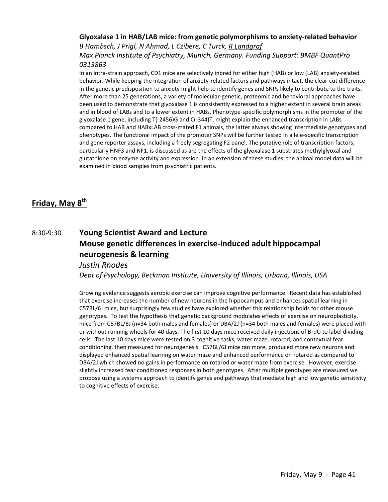#### **Glyoxalase 1 in HAB/LAB mice: from genetic polymorphisms to anxiety‐related behavior** *B Hambsch, J Prigl, N Ahmad, L Czibere, C Turck, R Landgraf*

*Max Planck Institute of Psychiatry, Munich, Germany. Funding Support: BMBF QuantPro 0313863*

In an intra‐strain approach, CD1 mice are selectively inbred for either high (HAB) or low (LAB) anxiety‐related behavior. While keeping the integration of anxiety-related factors and pathways intact, the clear-cut difference in the genetic predisposition to anxiety might help to identify genes and SNPs likely to contribute to the traits. After more than 25 generations, a variety of molecular‐genetic, proteomic and behavioral approaches have been used to demonstrate that glyoxalase 1 is consistently expressed to a higher extent in several brain areas and in blood of LABs and to a lower extent in HABs. Phenotype‐specific polymorphisms in the promoter of the glyoxalase 1 gene, including T(‐2456)G and C(‐344)T, might explain the enhanced transcription in LABs compared to HAB and HABxLAB cross-mated F1 animals, the latter always showing intermediate genotypes and phenotypes. The functional impact of the promoter SNPs will be further tested in allele‐specific transcription and gene reporter assays, including a freely segregating F2 panel. The putative role of transcription factors, particularly HNF3 and NF1, is discussed as are the effects of the glyoxalase 1 substrates methylglyoxal and glutathione on enzyme activity and expression. In an extension of these studies, the animal model data will be examined in blood samples from psychiatric patients.

## **Friday, May 8th**

## 8:30‐9:30 **Young Scientist Award and Lecture Mouse genetic differences in exercise‐induced adult hippocampal neurogenesis & learning**

#### *Justin Rhodes*

*Dept of Psychology, Beckman Institute, University of Illinois, Urbana, Illinois, USA*

Growing evidence suggests aerobic exercise can improve cognitive performance. Recent data has established that exercise increases the number of new neurons in the hippocampus and enhances spatial learning in C57BL/6J mice, but surprisingly few studies have explored whether this relationship holds for other mouse genotypes. To test the hypothesis that genetic background modulates effects of exercise on neuroplasticity, mice from C57BL/6J (n=34 both males and females) or DBA/2J (n=34 both males and females) were placed with or without running wheels for 40 days. The first 10 days mice received daily injections of BrdU to label dividing cells. The last 10 days mice were tested on 3 cognitive tasks, water maze, rotarod, and contextual fear conditioning, then measured for neurogenesis. C57BL/6J mice ran more, produced more new neurons and displayed enhanced spatial learning on water maze and enhanced performance on rotarod as compared to DBA/2J which showed no gains in performance on rotarod or water maze from exercise. However, exercise slightly increased fear conditioned responses in both genotypes. After multiple genotypes are measured we propose using a systems approach to identify genes and pathways that mediate high and low genetic sensitivity to cognitive effects of exercise.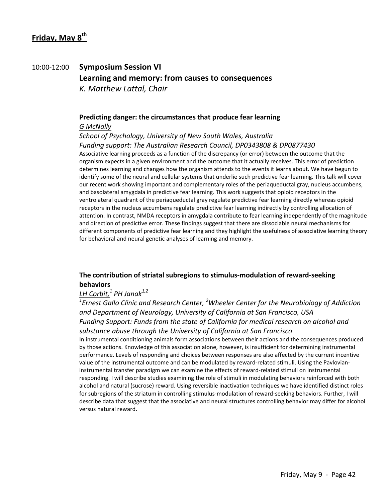## 10:00‐12:00 **Symposium Session VI Learning and memory: from causes to consequences**  *K. Matthew Lattal, Chair*

#### **Predicting danger: the circumstances that produce fear learning**  *G McNally*

*School of Psychology, University of New South Wales, Australia Funding support: The Australian Research Council, DP0343808 & DP0877430* Associative learning proceeds as a function of the discrepancy (or error) between the outcome that the organism expects in a given environment and the outcome that it actually receives. This error of prediction determines learning and changes how the organism attends to the events it learns about. We have begun to identify some of the neural and cellular systems that underlie such predictive fear learning. This talk will cover our recent work showing important and complementary roles of the periaqueductal gray, nucleus accumbens, and basolateral amygdala in predictive fear learning. This work suggests that opioid receptors in the ventrolateral quadrant of the periaqueductal gray regulate predictive fear learning directly whereas opioid receptors in the nucleus accumbens regulate predictive fear learning indirectly by controlling allocation of attention. In contrast, NMDA receptors in amygdala contribute to fear learning independently of the magnitude and direction of predictive error. These findings suggest that there are dissociable neural mechanisms for different components of predictive fear learning and they highlight the usefulness of associative learning theory for behavioral and neural genetic analyses of learning and memory.

#### **The contribution of striatal subregions to stimulus‐modulation of reward‐seeking behaviors**

#### *LH Corbit,<sup>1</sup> PH Janak1,2*

*1 Ernest Gallo Clinic and Research Center, <sup>2</sup> Wheeler Center for the Neurobiology of Addiction and Department of Neurology, University of California at San Francisco, USA Funding Support: Funds from the state of California for medical research on alcohol and substance abuse through the University of California at San Francisco*

In instrumental conditioning animals form associations between their actions and the consequences produced by those actions. Knowledge of this association alone, however, is insufficient for determining instrumental performance. Levels of responding and choices between responses are also affected by the current incentive value of the instrumental outcome and can be modulated by reward-related stimuli. Using the Pavlovianinstrumental transfer paradigm we can examine the effects of reward-related stimuli on instrumental responding. I will describe studies examining the role of stimuli in modulating behaviors reinforced with both alcohol and natural (sucrose) reward. Using reversible inactivation techniques we have identified distinct roles for subregions of the striatum in controlling stimulus-modulation of reward-seeking behaviors. Further, I will describe data that suggest that the associative and neural structures controlling behavior may differ for alcohol versus natural reward.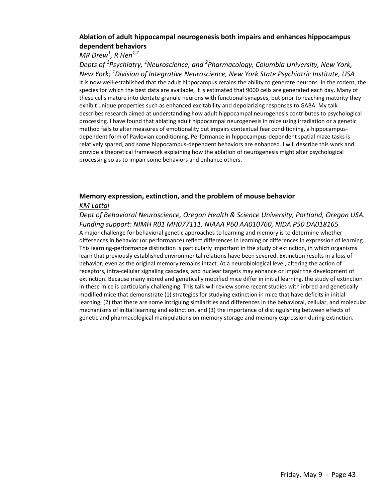#### **Ablation of adult hippocampal neurogenesis both impairs and enhances hippocampus dependent behaviors**

### *MR Drew1 , R Hen1,2*

*Depts of <sup>1</sup> Psychiatry, <sup>1</sup> Neuroscience, and <sup>2</sup> Pharmacology, Columbia University, New York, New York; <sup>1</sup> Division of Integrative Neuroscience, New York State Psychiatric Institute, USA* It is now well-established that the adult hippocampus retains the ability to generate neurons. In the rodent, the species for which the best data are available, it is estimated that 9000 cells are generated each day. Many of these cells mature into dentate granule neurons with functional synapses, but prior to reaching maturity they exhibit unique properties such as enhanced excitability and depolarizing responses to GABA. My talk describes research aimed at understanding how adult hippocampal neurogenesis contributes to psychological processing. I have found that ablating adult hippocampal neurogenesis in mice using irradiation or a genetic method fails to alter measures of emotionality but impairs contextual fear conditioning, a hippocampus‐ dependent form of Pavlovian conditioning. Performance in hippocampus‐dependent spatial maze tasks is relatively spared, and some hippocampus‐dependent behaviors are enhanced. I will describe this work and provide a theoretical framework explaining how the ablation of neurogenesis might alter psychological processing so as to impair some behaviors and enhance others.

## **Memory expression, extinction, and the problem of mouse behavior**

#### *KM Lattal*

*Dept of Behavioral Neuroscience, Oregon Health & Science University, Portland, Oregon USA. Funding support: NIMH R01 MH077111, NIAAA P60 AA010760, NIDA P50 DA018165* A major challenge for behavioral genetic approaches to learning and memory is to determine whether differences in behavior (or performance) reflect differences in learning or differences in expression of learning. This learning‐performance distinction is particularly important in the study of extinction, in which organisms learn that previously established environmental relations have been severed. Extinction results in a loss of behavior, even as the original memory remains intact. At a neurobiological level, altering the action of receptors, intra‐cellular signaling cascades, and nuclear targets may enhance or impair the development of extinction. Because many inbred and genetically modified mice differ in initial learning, the study of extinction in these mice is particularly challenging. This talk will review some recent studies with inbred and genetically modified mice that demonstrate (1) strategies for studying extinction in mice that have deficits in initial learning, (2) that there are some intriguing similarities and differences in the behavioral, cellular, and molecular mechanisms of initial learning and extinction, and (3) the importance of distinguishing between effects of genetic and pharmacological manipulations on memory storage and memory expression during extinction.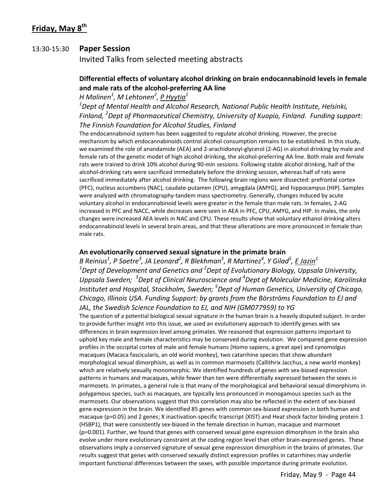## **Friday, May 8th**

#### 13:30‐15:30 **Paper Session**

Invited Talks from selected meeting abstracts

#### **Differential effects of voluntary alcohol drinking on brain endocannabinoid levels in female and male rats of the alcohol‐preferring AA line**

*H Malinen<sup>1</sup> , M Lehtonen2 , P Hyytia<sup>1</sup>*

*1 Dept of Mental Health and Alcohol Research, National Public Health Institute, Helsinki, Finland, <sup>2</sup> Dept of Pharmaceutical Chemistry, University of Kuopio, Finland. Funding support: The Finnish Foundation for Alcohol Studies, Finland*

The endocannabinoid system has been suggested to regulate alcohol drinking. However, the precise mechanism by which endocannabinoids control alcohol consumption remains to be established. In this study, we examined the role of anandamide (AEA) and 2‐arachidonoyl‐glycerol (2‐AG) in alcohol drinking by male and female rats of the genetic model of high alcohol drinking, the alcohol‐preferring AA line. Both male and female rats were trained to drink 10% alcohol during 90-min sessions. Following stable alcohol drinking, half of the alcohol-drinking rats were sacrificed immediately before the drinking session, whereas half of rats were sacrificed immediately after alcohol drinking. The following brain regions were dissected: prefrontal cortex (PFC), nucleus accumbens (NAC), caudate‐putamen (CPU), amygdala (AMYG), and hippocampus (HIP). Samples were analyzed with chromatography-tandem mass spectrometry. Generally, changes induced by acute voluntary alcohol in endocannabinoid levels were greater in the female than male rats. In females, 2‐AG increased in PFC and NACC, while decreases were seen in AEA in PFC, CPU, AMYG, and HIP. In males, the only changes were increased AEA levels in NAC and CPU. These results show that voluntary ethanol drinking alters endocannabinoid levels in several brain areas, and that these alterations are more pronounced in female than male rats.

#### **An evolutionarily conserved sexual signature in the primate brain**

B Reinius $^1$ , P Saetre $^3$ , JA Leonard $^2$ , R Blekhman $^5$ , R Martinez $^4$ , Y Gilad $^5$ , <u>E Jazin $^1$ </u> *1 Dept of Development and Genetics and <sup>2</sup> Dept of Evolutionary Biology, Uppsala University, Uppsala Sweden; 3 Dept of Clinical Neuroscience and <sup>4</sup> Dept of Molecular Medicine, Karolinska Institutet and Hospital, Stockholm, Sweden; <sup>5</sup> Dept of Human Genetics, University of Chicago, Chicago, Illinois USA. Funding Support: by grants from the Börströms Foundation to EJ and JAL, the Swedish Science Foundation to EJ, and NIH (GM077959) to YG*

The question of a potential biological sexual signature in the human brain is a heavily disputed subject. In order to provide further insight into this issue, we used an evolutionary approach to identify genes with sex differences in brain expression level among primates. We reasoned that expression patterns important to uphold key male and female characteristics may be conserved during evolution. We compared gene expression profiles in the occipital cortex of male and female humans (Homo sapiens, a great ape) and cynomolgus macaques (Macaca fascicularis, an old world monkey), two catarrhine species that show abundant morphological sexual dimorphism, as well as in common marmosets (Callithrix Jacchus, a new world monkey) which are relatively sexually monomorphic. We identified hundreds of genes with sex-biased expression patterns in humans and macaques, while fewer than ten were differentially expressed between the sexes in marmosets. In primates, a general rule is that many of the morphological and behavioral sexual dimorphisms in polygamous species, such as macaques, are typically less pronounced in monogamous species such as the marmosets. Our observations suggest that this correlation may also be reflected in the extent of sex-biased gene expression in the brain. We identified 85 genes with common sex-biased expression in both human and macaque (p=0.05) and 2 genes; X inactivation-specific transcript (XIST) and Heat shock factor binding protein 1 (HSBP1), that were consistently sex‐biased in the female direction in human, macaque and marmoset (p=0.001). Further, we found that genes with conserved sexual gene expression dimorphism in the brain also evolve under more evolutionary constraint at the coding region level than other brain-expressed genes. These observations imply a conserved signature of sexual gene expression dimorphism in the brains of primates. Our results suggest that genes with conserved sexually distinct expression profiles in catarrhines may underlie important functional differences between the sexes, with possible importance during primate evolution.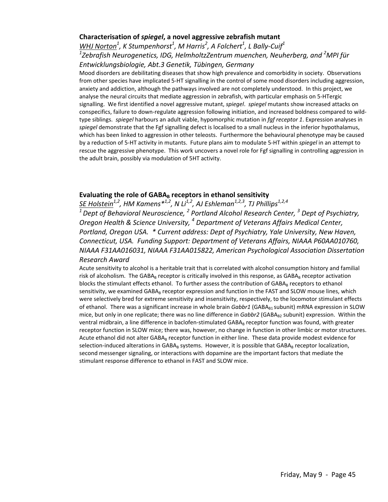#### **Characterisation of** *spiegel***, a novel aggressive zebrafish mutant**

*WHJ Norton1 , K Stumpenhorst<sup>1</sup> , M Harris<sup>2</sup> , A Folchert1 , L Bally‐Cuif<sup>1</sup> 1 Zebrafish Neurogenetics, IDG, HelmholtzZentrum muenchen, Neuherberg, and <sup>2</sup> MPI für Entwicklungsbiologie, Abt.3 Genetik, Tübingen, Germany*

Mood disorders are debilitating diseases that show high prevalence and comorbidity in society. Observations from other species have implicated 5‐HT signalling in the control of some mood disorders including aggression, anxiety and addiction, although the pathways involved are not completely understood. In this project, we analyse the neural circuits that mediate aggression in zebrafish, with particular emphasis on 5‐HTergic signalling. We first identified a novel aggressive mutant, *spiegel*. *spiegel* mutants show increased attacks on conspecifics, failure to down‐regulate aggression following initiation, and increased boldness compared to wild‐ type siblings. *spiegel* harbours an adult viable, hypomorphic mutation in *fgf receptor 1*. Expression analyses in *spiegel* demonstrate that the Fgf signalling defect is localised to a small nucleus in the inferior hypothalamus, which has been linked to aggression in other teleosts. Furthermore the behavioural phenotype may be caused by a reduction of 5‐HT activity in mutants. Future plans aim to modulate 5‐HT within *spiegel* in an attempt to rescue the aggressive phenotype. This work uncovers a novel role for Fgf signalling in controlling aggression in the adult brain, possibly via modulation of 5HT activity.

#### **Evaluating the role of GABAB receptors in ethanol sensitivity**

*SE Holstein1,2, HM Kamens\*1,2, N Li1,2, AJ Eshleman1,2,3, TJ Phillips1,2,4*

*1Dept of Behavioral Neuroscience, <sup>2</sup> Portland Alcohol Research Center, <sup>3</sup> Dept of Psychiatry, Oregon Health & Science University, <sup>4</sup> Department of Veterans Affairs Medical Center, Portland, Oregon USA. \* Current address: Dept of Psychiatry, Yale University, New Haven, Connecticut, USA. Funding Support: Department of Veterans Affairs, NIAAA P60AA010760, NIAAA F31AA016031, NIAAA F31AA015822, American Psychological Association Dissertation*

#### *Research Award*

Acute sensitivity to alcohol is a heritable trait that is correlated with alcohol consumption history and familial risk of alcoholism. The GABA<sub>B</sub> receptor is critically involved in this response, as GABA<sub>B</sub> receptor activation blocks the stimulant effects ethanol. To further assess the contribution of GABA<sub>B</sub> receptors to ethanol sensitivity, we examined GABA<sub>B</sub> receptor expression and function in the FAST and SLOW mouse lines, which were selectively bred for extreme sensitivity and insensitivity, respectively, to the locomotor stimulant effects of ethanol. There was a significant increase in whole brain *Gabbr1* (GABA<sub>B1</sub> subunit) mRNA expression in SLOW mice, but only in one replicate; there was no line difference in *Gabbr2* (GABA<sub>B2</sub> subunit) expression. Within the ventral midbrain, a line difference in baclofen-stimulated GABA<sub>B</sub> receptor function was found, with greater receptor function in SLOW mice; there was, however, no change in function in other limbic or motor structures. Acute ethanol did not alter GABA<sub>B</sub> receptor function in either line. These data provide modest evidence for selection-induced alterations in GABA<sub>B</sub> systems. However, it is possible that GABA<sub>B</sub> receptor localization, second messenger signaling, or interactions with dopamine are the important factors that mediate the stimulant response difference to ethanol in FAST and SLOW mice.